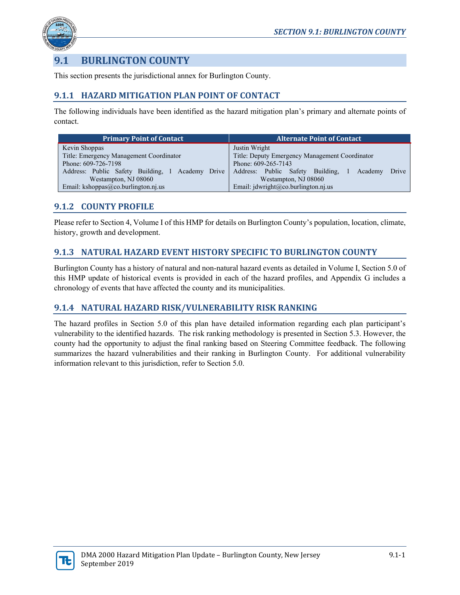

# **9.1 BURLINGTON COUNTY**

This section presents the jurisdictional annex for Burlington County.

# **9.1.1 HAZARD MITIGATION PLAN POINT OF CONTACT**

The following individuals have been identified as the hazard mitigation plan's primary and alternate points of contact.

| <b>Primary Point of Contact</b>                                                           | Alternate Point of Contact                           |  |  |  |
|-------------------------------------------------------------------------------------------|------------------------------------------------------|--|--|--|
| Kevin Shoppas                                                                             | Justin Wright                                        |  |  |  |
| Title: Deputy Emergency Management Coordinator<br>Title: Emergency Management Coordinator |                                                      |  |  |  |
| Phone: 609-726-7198                                                                       | Phone: 609-265-7143                                  |  |  |  |
| Address: Public Safety Building, 1 Academy Drive                                          | Address: Public Safety Building,<br>Academy<br>Drive |  |  |  |
| Westampton, NJ 08060                                                                      | Westampton, NJ 08060                                 |  |  |  |
| Email: kshoppas@co.burlington.nj.us                                                       | Email: jdwright@co.burlington.nj.us                  |  |  |  |

# **9.1.2 COUNTY PROFILE**

Please refer to Section 4, Volume I of this HMP for details on Burlington County's population, location, climate, history, growth and development.

# **9.1.3 NATURAL HAZARD EVENT HISTORY SPECIFIC TO BURLINGTON COUNTY**

Burlington County has a history of natural and non-natural hazard events as detailed in Volume I, Section 5.0 of this HMP update of historical events is provided in each of the hazard profiles, and Appendix G includes a chronology of events that have affected the county and its municipalities.

# **9.1.4 NATURAL HAZARD RISK/VULNERABILITY RISK RANKING**

The hazard profiles in Section 5.0 of this plan have detailed information regarding each plan participant's vulnerability to the identified hazards. The risk ranking methodology is presented in Section 5.3. However, the county had the opportunity to adjust the final ranking based on Steering Committee feedback. The following summarizes the hazard vulnerabilities and their ranking in Burlington County. For additional vulnerability information relevant to this jurisdiction, refer to Section 5.0.

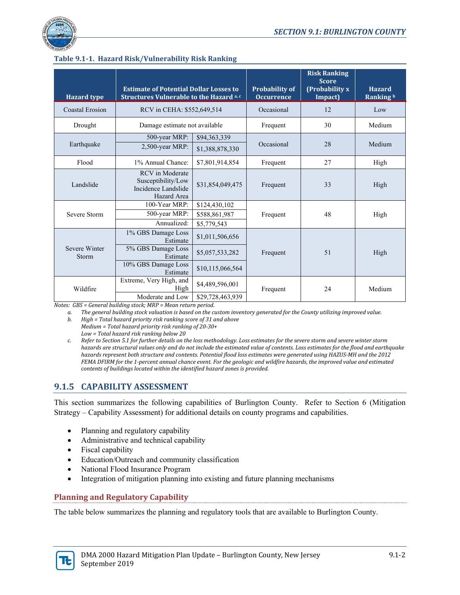

| <b>Hazard</b> type     | <b>Estimate of Potential Dollar Losses to</b><br>Structures Vulnerable to the Hazard a, c |                                 | <b>Probability of</b><br><b>Occurrence</b> | <b>Risk Ranking</b><br><b>Score</b><br>(Probability x<br>Impact) | <b>Hazard</b><br>Ranking b |
|------------------------|-------------------------------------------------------------------------------------------|---------------------------------|--------------------------------------------|------------------------------------------------------------------|----------------------------|
| Coastal Erosion        | RCV in CEHA: \$552,649,514                                                                |                                 | Occasional                                 | 12                                                               | Low                        |
| Drought                | Damage estimate not available                                                             |                                 | Frequent                                   | 30                                                               | Medium                     |
| Earthquake             | 500-year MRP:<br>2,500-year MRP:                                                          | \$94,363,339<br>\$1,388,878,330 | Occasional                                 | 28                                                               | Medium                     |
| Flood                  | 1% Annual Chance:                                                                         | \$7,801,914,854                 | Frequent                                   | 27                                                               | High                       |
| Landslide              | <b>RCV</b> in Moderate<br>Susceptibility/Low<br>Incidence Landslide<br>Hazard Area        | \$31,854,049,475                | Frequent                                   | 33                                                               | High                       |
| Severe Storm           | 100-Year MRP:<br>500-year MRP:<br>Annualized:                                             | \$124,430,102<br>\$588,861,987  | Frequent                                   | 48                                                               | High                       |
|                        | 1% GBS Damage Loss<br>Estimate                                                            | \$5,779,543<br>\$1,011,506,656  |                                            |                                                                  |                            |
| Severe Winter<br>Storm | 5% GBS Damage Loss<br>Estimate                                                            | \$5,057,533,282                 | Frequent                                   | 51                                                               | High                       |
|                        | 10% GBS Damage Loss<br>Estimate                                                           | \$10,115,066,564                |                                            |                                                                  |                            |
| Wildfire               | Extreme, Very High, and<br>High                                                           | \$4,489,596,001                 | Frequent                                   | 24                                                               | Medium                     |
|                        | Moderate and Low                                                                          | \$29,728,463,939                |                                            |                                                                  |                            |

# **Table 9.1-1. Hazard Risk/Vulnerability Risk Ranking**

*Notes: GBS = General building stock; MRP = Mean return period.*

*a. The general building stock valuation is based on the custom inventory generated for the County utilizing improved value.*

- *b. High = Total hazard priority risk ranking score of 31 and above Medium = Total hazard priority risk ranking of 20-30+ Low = Total hazard risk ranking below 20*
- *c. Refer to Section 5.1 for further details on the loss methodology. Loss estimates for the severe storm and severe winter storm hazards are structural values only and do not include the estimated value of contents. Loss estimates for the flood and earthquake hazards represent both structure and contents. Potential flood loss estimates were generated using HAZUS-MH and the 2012 FEMA DFIRM for the 1-percent annual chance event. For the geologic and wildfire hazards, the improved value and estimated contents of buildings located within the identified hazard zones is provided.*

# **9.1.5 CAPABILITY ASSESSMENT**

This section summarizes the following capabilities of Burlington County. Refer to Section 6 (Mitigation Strategy – Capability Assessment) for additional details on county programs and capabilities.

- Planning and regulatory capability
- Administrative and technical capability
- Fiscal capability
- Education/Outreach and community classification
- National Flood Insurance Program
- Integration of mitigation planning into existing and future planning mechanisms

# **Planning and Regulatory Capability**

The table below summarizes the planning and regulatory tools that are available to Burlington County.

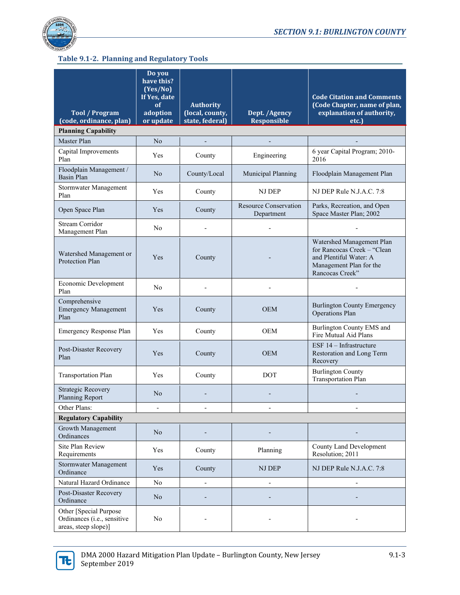

# **Table 9.1-2. Planning and Regulatory Tools**

|                                                                               | Do you<br>have this?<br>(Yes/No)<br>If Yes, date<br>оf | <b>Authority</b>                   |                                            | <b>Code Citation and Comments</b><br>(Code Chapter, name of plan,                                                                |  |
|-------------------------------------------------------------------------------|--------------------------------------------------------|------------------------------------|--------------------------------------------|----------------------------------------------------------------------------------------------------------------------------------|--|
| <b>Tool / Program</b><br>(code, ordinance, plan)                              | adoption<br>or update                                  | (local, county,<br>state, federal) | Dept. /Agency<br><b>Responsible</b>        | explanation of authority,<br>etc.)                                                                                               |  |
| <b>Planning Capability</b>                                                    |                                                        |                                    |                                            |                                                                                                                                  |  |
| Master Plan                                                                   | N <sub>o</sub>                                         |                                    |                                            |                                                                                                                                  |  |
| Capital Improvements<br>Plan                                                  | Yes                                                    | County                             | Engineering                                | 6 year Capital Program; 2010-<br>2016                                                                                            |  |
| Floodplain Management /<br><b>Basin Plan</b>                                  | No                                                     | County/Local                       | Municipal Planning                         | Floodplain Management Plan                                                                                                       |  |
| Stormwater Management<br>Plan                                                 | Yes                                                    | County                             | NJ DEP                                     | NJ DEP Rule N.J.A.C. 7:8                                                                                                         |  |
| Open Space Plan                                                               | Yes                                                    | County                             | <b>Resource Conservation</b><br>Department | Parks, Recreation, and Open<br>Space Master Plan; 2002                                                                           |  |
| <b>Stream Corridor</b><br>Management Plan                                     | No                                                     |                                    |                                            |                                                                                                                                  |  |
| Watershed Management or<br>Protection Plan                                    | Yes                                                    | County                             |                                            | Watershed Management Plan<br>for Rancocas Creek - "Clean<br>and Plentiful Water: A<br>Management Plan for the<br>Rancocas Creek" |  |
| Economic Development<br>Plan                                                  | No                                                     |                                    |                                            |                                                                                                                                  |  |
| Comprehensive<br><b>Emergency Management</b><br>Plan                          | Yes                                                    | County                             | <b>OEM</b>                                 | <b>Burlington County Emergency</b><br>Operations Plan                                                                            |  |
| Emergency Response Plan                                                       | Yes                                                    | County                             | <b>OEM</b>                                 | Burlington County EMS and<br>Fire Mutual Aid Plans                                                                               |  |
| Post-Disaster Recovery<br>Plan                                                | Yes                                                    | County                             | <b>OEM</b>                                 | ESF $14$ – Infrastructure<br>Restoration and Long Term<br>Recovery                                                               |  |
| <b>Transportation Plan</b>                                                    | Yes                                                    | County                             | <b>DOT</b>                                 | <b>Burlington County</b><br><b>Transportation Plan</b>                                                                           |  |
| <b>Strategic Recovery</b><br>Planning Report                                  | No                                                     |                                    |                                            |                                                                                                                                  |  |
| Other Plans:                                                                  |                                                        |                                    |                                            |                                                                                                                                  |  |
| <b>Regulatory Capability</b>                                                  |                                                        |                                    |                                            |                                                                                                                                  |  |
| Growth Management<br>Ordinances                                               | N <sub>o</sub>                                         |                                    |                                            |                                                                                                                                  |  |
| Site Plan Review<br>Requirements                                              | Yes                                                    | County                             | Planning                                   | County Land Development<br>Resolution; 2011                                                                                      |  |
| Stormwater Management<br>Ordinance                                            | Yes                                                    | County                             | NJ DEP                                     | NJ DEP Rule N.J.A.C. 7:8                                                                                                         |  |
| Natural Hazard Ordinance                                                      | No                                                     |                                    |                                            |                                                                                                                                  |  |
| Post-Disaster Recovery<br>Ordinance                                           | N <sub>o</sub>                                         |                                    |                                            |                                                                                                                                  |  |
| Other [Special Purpose<br>Ordinances (i.e., sensitive<br>areas, steep slope)] | No                                                     |                                    |                                            |                                                                                                                                  |  |

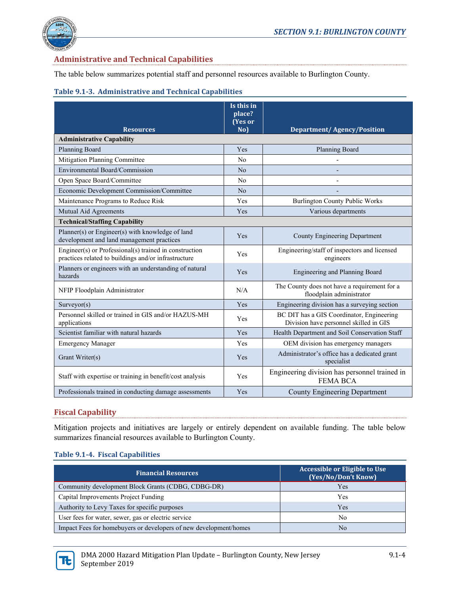

# **Administrative and Technical Capabilities**

The table below summarizes potential staff and personnel resources available to Burlington County.

#### **Table 9.1-3. Administrative and Technical Capabilities**

| <b>Resources</b>                                                                                               | Is this in<br>place?<br>(Yes or<br>No) | <b>Department/Agency/Position</b>                                                   |
|----------------------------------------------------------------------------------------------------------------|----------------------------------------|-------------------------------------------------------------------------------------|
| <b>Administrative Capability</b>                                                                               |                                        |                                                                                     |
| Planning Board                                                                                                 | Yes                                    | Planning Board                                                                      |
| Mitigation Planning Committee                                                                                  | No                                     |                                                                                     |
| Environmental Board/Commission                                                                                 | N <sub>o</sub>                         |                                                                                     |
| Open Space Board/Committee                                                                                     | No                                     |                                                                                     |
| Economic Development Commission/Committee                                                                      | No                                     |                                                                                     |
| Maintenance Programs to Reduce Risk                                                                            | Yes                                    | <b>Burlington County Public Works</b>                                               |
| Mutual Aid Agreements                                                                                          | Yes                                    | Various departments                                                                 |
| <b>Technical/Staffing Capability</b>                                                                           |                                        |                                                                                     |
| Planner(s) or Engineer(s) with knowledge of land<br>development and land management practices                  | Yes                                    | County Engineering Department                                                       |
| Engineer(s) or Professional(s) trained in construction<br>practices related to buildings and/or infrastructure | Yes                                    | Engineering/staff of inspectors and licensed<br>engineers                           |
| Planners or engineers with an understanding of natural<br>hazards                                              | Yes                                    | Engineering and Planning Board                                                      |
| NFIP Floodplain Administrator                                                                                  | N/A                                    | The County does not have a requirement for a<br>floodplain administrator            |
| Surveyor(s)                                                                                                    | Yes                                    | Engineering division has a surveying section                                        |
| Personnel skilled or trained in GIS and/or HAZUS-MH<br>applications                                            | Yes                                    | BC DIT has a GIS Coordinator, Engineering<br>Division have personnel skilled in GIS |
| Scientist familiar with natural hazards                                                                        | Yes                                    | Health Department and Soil Conservation Staff                                       |
| <b>Emergency Manager</b>                                                                                       | Yes                                    | OEM division has emergency managers                                                 |
| Grant Writer(s)                                                                                                | Yes                                    | Administrator's office has a dedicated grant<br>specialist                          |
| Staff with expertise or training in benefit/cost analysis                                                      | Yes                                    | Engineering division has personnel trained in<br><b>FEMA BCA</b>                    |
| Professionals trained in conducting damage assessments                                                         | Yes                                    | <b>County Engineering Department</b>                                                |

### **Fiscal Capability**

Mitigation projects and initiatives are largely or entirely dependent on available funding. The table below summarizes financial resources available to Burlington County.

#### **Table 9.1-4. Fiscal Capabilities**

| <b>Financial Resources</b>                                        | <b>Accessible or Eligible to Use</b><br>(Yes/No/Don't Know) |
|-------------------------------------------------------------------|-------------------------------------------------------------|
| Community development Block Grants (CDBG, CDBG-DR)                | Yes                                                         |
| Capital Improvements Project Funding                              | Yes                                                         |
| Authority to Levy Taxes for specific purposes                     | Yes                                                         |
| User fees for water, sewer, gas or electric service               | No                                                          |
| Impact Fees for homebuyers or developers of new development/homes | No                                                          |

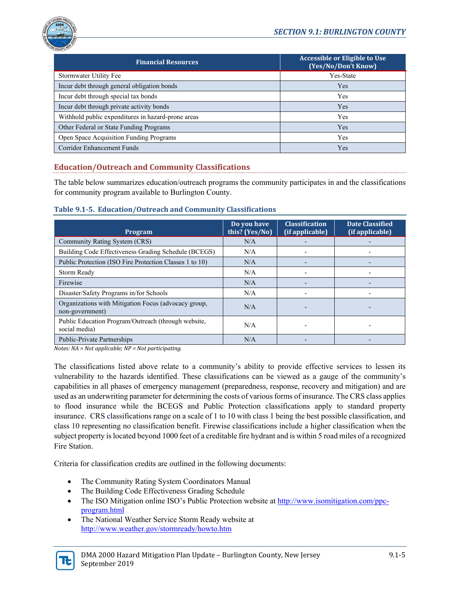

| <b>Financial Resources</b>                         | <b>Accessible or Eligible to Use</b><br>(Yes/No/Don't Know) |
|----------------------------------------------------|-------------------------------------------------------------|
| Stormwater Utility Fee                             | Yes-State                                                   |
| Incur debt through general obligation bonds        | Yes                                                         |
| Incur debt through special tax bonds               | <b>Yes</b>                                                  |
| Incur debt through private activity bonds          | Yes                                                         |
| Withhold public expenditures in hazard-prone areas | Yes                                                         |
| Other Federal or State Funding Programs            | Yes                                                         |
| Open Space Acquisition Funding Programs            | Yes                                                         |
| <b>Corridor Enhancement Funds</b>                  | Yes                                                         |

# **Education/Outreach and Community Classifications**

The table below summarizes education/outreach programs the community participates in and the classifications for community program available to Burlington County.

**Table 9.1-5. Education/Outreach and Community Classifications**

| Program                                                                 | Do you have<br>this? (Yes/No) | <b>Classification</b><br>(if applicable) | <b>Date Classified</b><br>(if applicable) |
|-------------------------------------------------------------------------|-------------------------------|------------------------------------------|-------------------------------------------|
| Community Rating System (CRS)                                           | N/A                           |                                          |                                           |
| Building Code Effectiveness Grading Schedule (BCEGS)                    | N/A                           |                                          |                                           |
| Public Protection (ISO Fire Protection Classes 1 to 10)                 | N/A                           |                                          |                                           |
| Storm Ready                                                             | N/A                           |                                          |                                           |
| Firewise                                                                | N/A                           |                                          |                                           |
| Disaster/Safety Programs in/for Schools                                 | N/A                           |                                          |                                           |
| Organizations with Mitigation Focus (advocacy group,<br>non-government) | N/A                           |                                          |                                           |
| Public Education Program/Outreach (through website,<br>social media)    | N/A                           |                                          |                                           |
| <b>Public-Private Partnerships</b>                                      | N/A                           |                                          |                                           |

*Notes: NA = Not applicable; NP = Not participating.*

The classifications listed above relate to a community's ability to provide effective services to lessen its vulnerability to the hazards identified. These classifications can be viewed as a gauge of the community's capabilities in all phases of emergency management (preparedness, response, recovery and mitigation) and are used as an underwriting parameter for determining the costs of various forms of insurance. The CRS class applies to flood insurance while the BCEGS and Public Protection classifications apply to standard property insurance. CRS classifications range on a scale of 1 to 10 with class 1 being the best possible classification, and class 10 representing no classification benefit. Firewise classifications include a higher classification when the subject property is located beyond 1000 feet of a creditable fire hydrant and is within 5 road miles of a recognized Fire Station.

Criteria for classification credits are outlined in the following documents:

- The Community Rating System Coordinators Manual
- The Building Code Effectiveness Grading Schedule
- The ISO Mitigation online ISO's Public Protection website a[t http://www.isomitigation.com/ppc](http://www.isomitigation.com/ppc-program.html)[program.html](http://www.isomitigation.com/ppc-program.html)
- The National Weather Service Storm Ready website at <http://www.weather.gov/stormready/howto.htm>

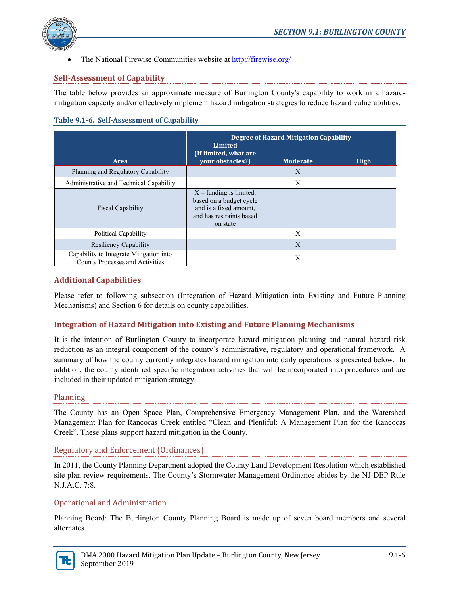

• The National Firewise Communities website a[t http://firewise.org/](http://firewise.org/)

## **Self-Assessment of Capability**

The table below provides an approximate measure of Burlington County's capability to work in a hazardmitigation capacity and/or effectively implement hazard mitigation strategies to reduce hazard vulnerabilities.

#### **Table 9.1-6. Self-Assessment of Capability**

|                                                                            | <b>Degree of Hazard Mitigation Capability</b><br>Limited                                                               |                 |             |  |  |  |
|----------------------------------------------------------------------------|------------------------------------------------------------------------------------------------------------------------|-----------------|-------------|--|--|--|
| <b>Area</b>                                                                | (If limited, what are<br>your obstacles?)                                                                              | <b>Moderate</b> | <b>High</b> |  |  |  |
| Planning and Regulatory Capability                                         |                                                                                                                        | $\mathbf{X}$    |             |  |  |  |
| Administrative and Technical Capability                                    |                                                                                                                        | X               |             |  |  |  |
| <b>Fiscal Capability</b>                                                   | $X$ – funding is limited,<br>based on a budget cycle<br>and is a fixed amount,<br>and has restraints based<br>on state |                 |             |  |  |  |
| Political Capability                                                       |                                                                                                                        | X               |             |  |  |  |
| Resiliency Capability                                                      |                                                                                                                        | X               |             |  |  |  |
| Capability to Integrate Mitigation into<br>County Processes and Activities |                                                                                                                        | X               |             |  |  |  |

### **Additional Capabilities**

Please refer to following subsection (Integration of Hazard Mitigation into Existing and Future Planning Mechanisms) and Section 6 for details on county capabilities.

# **Integration of Hazard Mitigation into Existing and Future Planning Mechanisms**

It is the intention of Burlington County to incorporate hazard mitigation planning and natural hazard risk reduction as an integral component of the county's administrative, regulatory and operational framework. A summary of how the county currently integrates hazard mitigation into daily operations is presented below. In addition, the county identified specific integration activities that will be incorporated into procedures and are included in their updated mitigation strategy.

#### Planning

The County has an Open Space Plan, Comprehensive Emergency Management Plan, and the Watershed Management Plan for Rancocas Creek entitled "Clean and Plentiful: A Management Plan for the Rancocas Creek". These plans support hazard mitigation in the County.

#### Regulatory and Enforcement (Ordinances)

In 2011, the County Planning Department adopted the County Land Development Resolution which established site plan review requirements. The County's Stormwater Management Ordinance abides by the NJ DEP Rule N.J.A.C. 7:8.

#### Operational and Administration

Planning Board: The Burlington County Planning Board is made up of seven board members and several alternates.

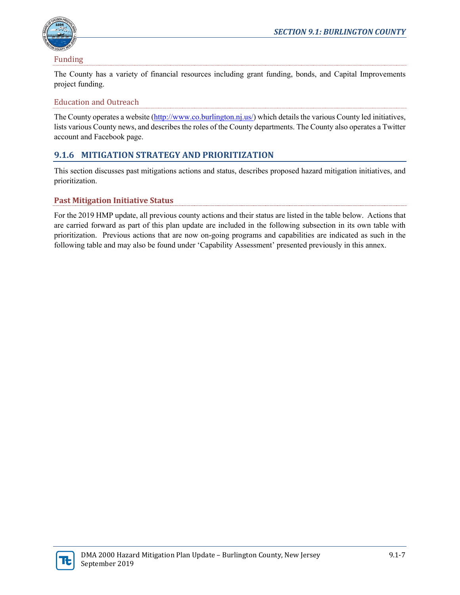

Funding

The County has a variety of financial resources including grant funding, bonds, and Capital Improvements project funding.

# Education and Outreach

The County operates a website [\(http://www.co.burlington.nj.us/\)](http://www.co.burlington.nj.us/) which details the various County led initiatives, lists various County news, and describes the roles of the County departments. The County also operates a Twitter account and Facebook page.

# **9.1.6 MITIGATION STRATEGY AND PRIORITIZATION**

This section discusses past mitigations actions and status, describes proposed hazard mitigation initiatives, and prioritization.

# **Past Mitigation Initiative Status**

For the 2019 HMP update, all previous county actions and their status are listed in the table below. Actions that are carried forward as part of this plan update are included in the following subsection in its own table with prioritization. Previous actions that are now on-going programs and capabilities are indicated as such in the following table and may also be found under 'Capability Assessment' presented previously in this annex.

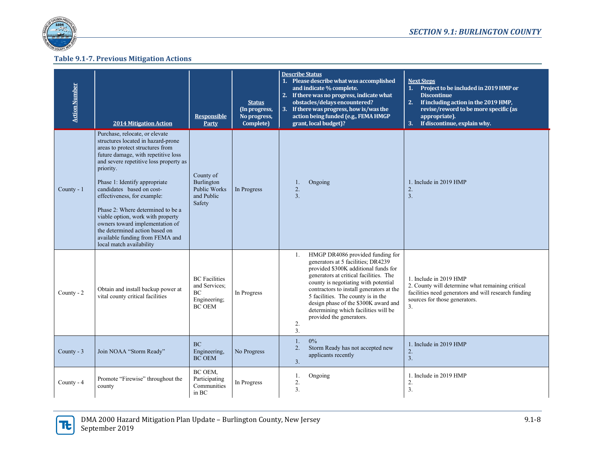

### **Table 9.1-7. Previous Mitigation Actions**

| <b>Action Number</b> | <b>2014 Mitigation Action</b>                                                                                                                                                                                                                                                                                                                                                                                                                                                                                     | <b>Responsible</b><br>Party                                                  | <b>Status</b><br>(In progress,<br>No progress,<br>Complete) | <b>Describe Status</b><br>1. Please describe what was accomplished<br><b>Next Steps</b><br>and indicate % complete.<br>1. Project to be included in 2019 HMP or<br>2. If there was no progress, indicate what<br><b>Discontinue</b><br>obstacles/delays encountered?<br>If including action in the 2019 HMP,<br>2.<br>3. If there was progress, how is/was the<br>revise/reword to be more specific (as<br>action being funded (e.g., FEMA HMGP<br>appropriate).<br>If discontinue, explain why.<br>grant, local budget)?<br>3.                                                               |  |
|----------------------|-------------------------------------------------------------------------------------------------------------------------------------------------------------------------------------------------------------------------------------------------------------------------------------------------------------------------------------------------------------------------------------------------------------------------------------------------------------------------------------------------------------------|------------------------------------------------------------------------------|-------------------------------------------------------------|-----------------------------------------------------------------------------------------------------------------------------------------------------------------------------------------------------------------------------------------------------------------------------------------------------------------------------------------------------------------------------------------------------------------------------------------------------------------------------------------------------------------------------------------------------------------------------------------------|--|
| County - 1           | Purchase, relocate, or elevate<br>structures located in hazard-prone<br>areas to protect structures from<br>future damage, with repetitive loss<br>and severe repetitive loss property as<br>priority.<br>Phase 1: Identify appropriate<br>candidates based on cost-<br>effectiveness, for example:<br>Phase 2: Where determined to be a<br>viable option, work with property<br>owners toward implementation of<br>the determined action based on<br>available funding from FEMA and<br>local match availability | County of<br>Burlington<br>Public Works<br>and Public<br>Safety              | In Progress                                                 | 1. Include in 2019 HMP<br>Ongoing<br>1.<br>2.<br>2.<br>3.<br>3.                                                                                                                                                                                                                                                                                                                                                                                                                                                                                                                               |  |
| County - 2           | Obtain and install backup power at<br>vital county critical facilities                                                                                                                                                                                                                                                                                                                                                                                                                                            | <b>BC</b> Facilities<br>and Services:<br>BC<br>Engineering;<br><b>BC OEM</b> | In Progress                                                 | HMGP DR4086 provided funding for<br>1.<br>generators at 5 facilities; DR4239<br>provided \$300K additional funds for<br>generators at critical facilities. The<br>1. Include in 2019 HMP<br>county is negotiating with potential<br>2. County will determine what remaining critical<br>contractors to install generators at the<br>facilities need generators and will research funding<br>5 facilities. The county is in the<br>sources for those generators.<br>design phase of the \$300K award and<br>3.<br>determining which facilities will be<br>provided the generators.<br>2.<br>3. |  |
| County - 3           | Join NOAA "Storm Ready"                                                                                                                                                                                                                                                                                                                                                                                                                                                                                           | <b>BC</b><br>Engineering,<br><b>BC OEM</b>                                   | No Progress                                                 | $0\%$<br>1.<br>1. Include in 2019 HMP<br>Storm Ready has not accepted new<br>2.<br>2.<br>applicants recently<br>3.<br>3.                                                                                                                                                                                                                                                                                                                                                                                                                                                                      |  |
| County - 4           | Promote "Firewise" throughout the<br>county                                                                                                                                                                                                                                                                                                                                                                                                                                                                       | BC OEM,<br>Participating<br>Communities<br>in BC                             | In Progress                                                 | Ongoing<br>1. Include in 2019 HMP<br>1.<br>2.<br>2.<br>3.<br>3.                                                                                                                                                                                                                                                                                                                                                                                                                                                                                                                               |  |

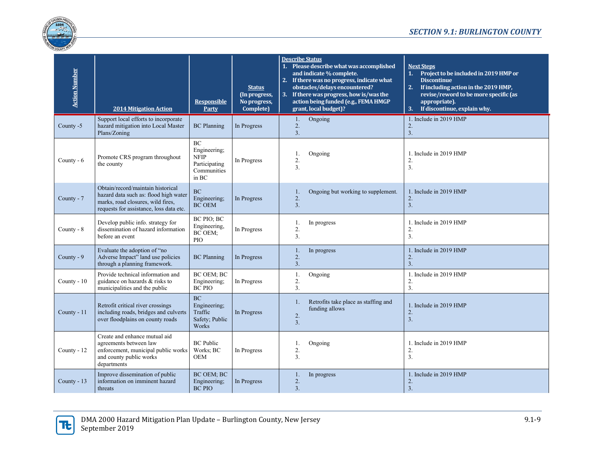

| <b>Action Number</b> | <b>2014 Mitigation Action</b>                                                                                                                              | <b>Responsible</b><br>Party                                                | <b>Status</b><br>(In progress,<br>No progress,<br>Complete) | <b>Describe Status</b><br>1. Please describe what was accomplished<br>and indicate % complete.<br>2. If there was no progress, indicate what<br>obstacles/delays encountered?<br>3. If there was progress, how is/was the<br>action being funded (e.g., FEMA HMGP<br>grant, local budget)? | <b>Next Steps</b><br>Project to be included in 2019 HMP or<br>1.<br><b>Discontinue</b><br>2.<br>If including action in the 2019 HMP,<br>revise/reword to be more specific (as<br>appropriate).<br>If discontinue, explain why.<br>3. |
|----------------------|------------------------------------------------------------------------------------------------------------------------------------------------------------|----------------------------------------------------------------------------|-------------------------------------------------------------|--------------------------------------------------------------------------------------------------------------------------------------------------------------------------------------------------------------------------------------------------------------------------------------------|--------------------------------------------------------------------------------------------------------------------------------------------------------------------------------------------------------------------------------------|
| County -5            | Support local efforts to incorporate<br>hazard mitigation into Local Master<br>Plans/Zoning                                                                | <b>BC</b> Planning                                                         | In Progress                                                 | 1.<br>Ongoing<br>2.<br>3.                                                                                                                                                                                                                                                                  | 1. Include in 2019 HMP<br>2.<br>3.                                                                                                                                                                                                   |
| County - 6           | Promote CRS program throughout<br>the county                                                                                                               | BC<br>Engineering;<br><b>NFIP</b><br>Participating<br>Communities<br>in BC | In Progress                                                 | Ongoing<br>1.<br>2.<br>3.                                                                                                                                                                                                                                                                  | 1. Include in 2019 HMP<br>2.<br>3.                                                                                                                                                                                                   |
| County - 7           | Obtain/record/maintain historical<br>hazard data such as: flood high water<br>marks, road closures, wild fires,<br>requests for assistance, loss data etc. | <b>BC</b><br>Engineering;<br><b>BC OEM</b>                                 | In Progress                                                 | Ongoing but working to supplement.<br>1.<br>2.<br>3.                                                                                                                                                                                                                                       | 1. Include in 2019 HMP<br>2.<br>3.                                                                                                                                                                                                   |
| County - 8           | Develop public info. strategy for<br>dissemination of hazard information<br>before an event                                                                | BC PIO; BC<br>Engineering,<br>BC OEM;<br>PIO                               | In Progress                                                 | In progress<br>1.<br>2.<br>3.                                                                                                                                                                                                                                                              | 1. Include in 2019 HMP<br>2.<br>3.                                                                                                                                                                                                   |
| County - 9           | Evaluate the adoption of "no<br>Adverse Impact" land use policies<br>through a planning framework.                                                         | <b>BC</b> Planning                                                         | In Progress                                                 | In progress<br>1.<br>2.<br>3.                                                                                                                                                                                                                                                              | 1. Include in 2019 HMP<br>2.<br>3.                                                                                                                                                                                                   |
| County - 10          | Provide technical information and<br>guidance on hazards & risks to<br>municipalities and the public                                                       | <b>BC OEM: BC</b><br>Engineering;<br><b>BC PIO</b>                         | In Progress                                                 | Ongoing<br>1.<br>2.<br>3.                                                                                                                                                                                                                                                                  | 1. Include in 2019 HMP<br>2.<br>3.                                                                                                                                                                                                   |
| County - 11          | Retrofit critical river crossings<br>including roads, bridges and culverts<br>over floodplains on county roads                                             | <b>BC</b><br>Engineering;<br>Traffic<br>Safety; Public<br>Works            | In Progress                                                 | Retrofits take place as staffing and<br>1.<br>funding allows<br>2.<br>3.                                                                                                                                                                                                                   | 1. Include in 2019 HMP<br>2.<br>3.                                                                                                                                                                                                   |
| County - 12          | Create and enhance mutual aid<br>agreements between law<br>enforcement, municipal public works<br>and county public works<br>departments                   | <b>BC</b> Public<br>Works; BC<br><b>OEM</b>                                | In Progress                                                 | Ongoing<br>1.<br>2.<br>3.                                                                                                                                                                                                                                                                  | 1. Include in 2019 HMP<br>2.<br>3.                                                                                                                                                                                                   |
| County - 13          | Improve dissemination of public<br>information on imminent hazard<br>threats                                                                               | <b>BC OEM: BC</b><br>Engineering;<br><b>BC PIO</b>                         | In Progress                                                 | In progress<br>1.<br>2.<br>3.                                                                                                                                                                                                                                                              | 1. Include in 2019 HMP<br>2.<br>$\overline{3}$ .                                                                                                                                                                                     |

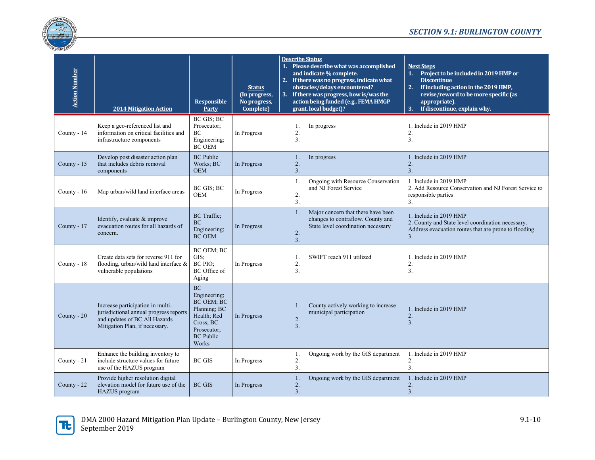

| <b>Action Number</b> | <b>2014 Mitigation Action</b>                                                                                                                 | <b>Responsible</b><br>Party                                                                                                     | <b>Status</b><br>(In progress,<br>No progress,<br>Complete) | <b>Describe Status</b><br>1. Please describe what was accomplished<br><b>Next Steps</b><br>and indicate % complete.<br>Project to be included in 2019 HMP or<br>2. If there was no progress, indicate what<br><b>Discontinue</b><br>obstacles/delays encountered?<br>2.<br>If including action in the 2019 HMP,<br>3. If there was progress, how is/was the<br>revise/reword to be more specific (as<br>action being funded (e.g., FEMA HMGP<br>appropriate).<br>grant, local budget)?<br>3. If discontinue, explain why. |
|----------------------|-----------------------------------------------------------------------------------------------------------------------------------------------|---------------------------------------------------------------------------------------------------------------------------------|-------------------------------------------------------------|---------------------------------------------------------------------------------------------------------------------------------------------------------------------------------------------------------------------------------------------------------------------------------------------------------------------------------------------------------------------------------------------------------------------------------------------------------------------------------------------------------------------------|
| County - 14          | Keep a geo-referenced list and<br>information on critical facilities and<br>infrastructure components                                         | BC GIS; BC<br>Prosecutor;<br>BC<br>Engineering;<br><b>BC OEM</b>                                                                | In Progress                                                 | 1. Include in 2019 HMP<br>In progress<br>1.<br>2.<br>2.<br>3.<br>3.                                                                                                                                                                                                                                                                                                                                                                                                                                                       |
| County - 15          | Develop post disaster action plan<br>that includes debris removal<br>components                                                               | <b>BC</b> Public<br>Works; BC<br><b>OEM</b>                                                                                     | In Progress                                                 | 1. Include in 2019 HMP<br>1.<br>In progress<br>2.<br>2.<br>3.<br>3.                                                                                                                                                                                                                                                                                                                                                                                                                                                       |
| County - 16          | Map urban/wild land interface areas                                                                                                           | BC GIS; BC<br><b>OEM</b>                                                                                                        | In Progress                                                 | Ongoing with Resource Conservation<br>1. Include in 2019 HMP<br>1.<br>and NJ Forest Service<br>2. Add Resource Conservation and NJ Forest Service to<br>2.<br>responsible parties<br>3.<br>3.                                                                                                                                                                                                                                                                                                                             |
| County - 17          | Identify, evaluate & improve<br>evacuation routes for all hazards of<br>concern.                                                              | <b>BC</b> Traffic;<br><b>BC</b><br>Engineering;<br><b>BC OEM</b>                                                                | In Progress                                                 | Major concern that there have been<br>$\mathbf{1}$ .<br>1. Include in 2019 HMP<br>changes to contraflow. County and<br>2. County and State level coordination necessary.<br>State level coordination necessary<br>Address evacuation routes that are prone to flooding.<br>2.<br>3.<br>3.                                                                                                                                                                                                                                 |
| County - 18          | Create data sets for reverse 911 for<br>flooding, urban/wild land interface &<br>vulnerable populations                                       | BC OEM; BC<br>GIS:<br>BC PIO:<br>BC Office of<br>Aging                                                                          | In Progress                                                 | SWIFT reach 911 utilized<br>1. Include in 2019 HMP<br>1.<br>2.<br>2.<br>3.<br>3.                                                                                                                                                                                                                                                                                                                                                                                                                                          |
| County $-20$         | Increase participation in multi-<br>jurisdictional annual progress reports<br>and updates of BC All Hazards<br>Mitigation Plan, if necessary. | <b>BC</b><br>Engineering;<br>BC OEM; BC<br>Planning; BC<br>Health; Red<br>Cross; BC<br>Prosecutor;<br><b>BC</b> Public<br>Works | In Progress                                                 | County actively working to increase<br>1.<br>1. Include in 2019 HMP<br>municipal participation<br>2.<br>2.<br>3.<br>3.                                                                                                                                                                                                                                                                                                                                                                                                    |
| County - 21          | Enhance the building inventory to<br>include structure values for future<br>use of the HAZUS program                                          | <b>BC GIS</b>                                                                                                                   | In Progress                                                 | Ongoing work by the GIS department<br>1. Include in 2019 HMP<br>1.<br>2.<br>2.<br>$\overline{3}$ .<br>3.                                                                                                                                                                                                                                                                                                                                                                                                                  |
| County - 22          | Provide higher resolution digital<br>elevation model for future use of the<br><b>HAZUS</b> program                                            | <b>BC GIS</b>                                                                                                                   | In Progress                                                 | Ongoing work by the GIS department<br>1. Include in 2019 HMP<br>1.<br>2.<br>2.<br>3.<br>3.                                                                                                                                                                                                                                                                                                                                                                                                                                |

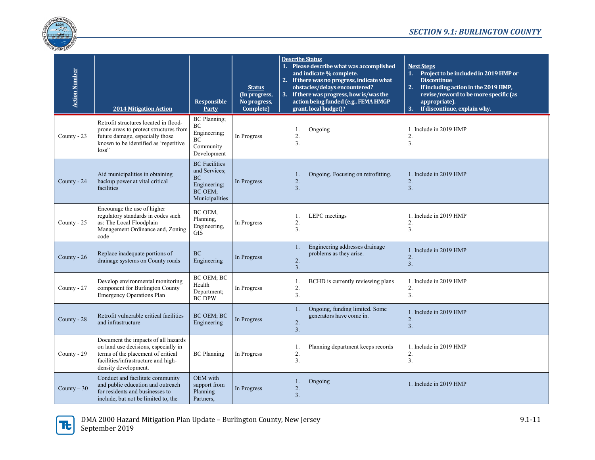

| <b>Action Number</b> | <b>2014 Mitigation Action</b>                                                                                                                                                    | <b>Responsible</b><br>Party                                                                     | <b>Status</b><br>(In progress,<br>No progress,<br>Complete) | <b>Describe Status</b><br>1. Please describe what was accomplished<br>and indicate % complete.<br>2. If there was no progress, indicate what<br>obstacles/delays encountered?<br>3. If there was progress, how is/was the<br>action being funded (e.g., FEMA HMGP<br>grant, local budget)? |                |                                                            | <b>Next Steps</b><br>Project to be included in 2019 HMP or<br>1.<br><b>Discontinue</b><br>2.<br>If including action in the 2019 HMP,<br>revise/reword to be more specific (as<br>appropriate).<br>3. If discontinue, explain why. |
|----------------------|----------------------------------------------------------------------------------------------------------------------------------------------------------------------------------|-------------------------------------------------------------------------------------------------|-------------------------------------------------------------|--------------------------------------------------------------------------------------------------------------------------------------------------------------------------------------------------------------------------------------------------------------------------------------------|----------------|------------------------------------------------------------|-----------------------------------------------------------------------------------------------------------------------------------------------------------------------------------------------------------------------------------|
| County - 23          | Retrofit structures located in flood-<br>prone areas to protect structures from<br>future damage, especially those<br>known to be identified as 'repetitive<br>loss"             | BC Planning;<br>BC<br>Engineering;<br><b>BC</b><br>Community<br>Development                     | In Progress                                                 |                                                                                                                                                                                                                                                                                            | 1.<br>2.<br>3. | Ongoing                                                    | 1. Include in 2019 HMP<br>2.<br>3.                                                                                                                                                                                                |
| County - 24          | Aid municipalities in obtaining<br>backup power at vital critical<br>facilities                                                                                                  | <b>BC</b> Facilities<br>and Services;<br><b>BC</b><br>Engineering;<br>BC OEM;<br>Municipalities | In Progress                                                 |                                                                                                                                                                                                                                                                                            | 1.<br>2.<br>3. | Ongoing. Focusing on retrofitting.                         | 1. Include in 2019 HMP<br>2.<br>3.                                                                                                                                                                                                |
| County - 25          | Encourage the use of higher<br>regulatory standards in codes such<br>as: The Local Floodplain<br>Management Ordinance and, Zoning<br>code                                        | BC OEM,<br>Planning,<br>Engineering,<br><b>GIS</b>                                              | In Progress                                                 |                                                                                                                                                                                                                                                                                            | 1.<br>2.<br>3. | LEPC meetings                                              | 1. Include in 2019 HMP<br>2.<br>$\overline{3}$ .                                                                                                                                                                                  |
| County - 26          | Replace inadequate portions of<br>drainage systems on County roads                                                                                                               | <b>BC</b><br>Engineering                                                                        | In Progress                                                 |                                                                                                                                                                                                                                                                                            | 1.<br>2.<br>3. | Engineering addresses drainage<br>problems as they arise.  | 1. Include in 2019 HMP<br>$2.$<br>3.                                                                                                                                                                                              |
| County - 27          | Develop environmental monitoring<br>component for Burlington County<br><b>Emergency Operations Plan</b>                                                                          | BC OEM; BC<br>Health<br>Department;<br><b>BC DPW</b>                                            | In Progress                                                 |                                                                                                                                                                                                                                                                                            | 1.<br>2.<br>3. | BCHD is currently reviewing plans                          | 1. Include in 2019 HMP<br>2.<br>3.                                                                                                                                                                                                |
| County - 28          | Retrofit vulnerable critical facilities<br>and infrastructure                                                                                                                    | <b>BC OEM; BC</b><br>Engineering                                                                | In Progress                                                 |                                                                                                                                                                                                                                                                                            | 1.<br>2.<br>3. | Ongoing, funding limited. Some<br>generators have come in. | 1. Include in 2019 HMP<br>2.<br>$\overline{3}$ .                                                                                                                                                                                  |
| County - 29          | Document the impacts of all hazards<br>on land use decisions, especially in<br>terms of the placement of critical<br>facilities/infrastructure and high-<br>density development. | <b>BC</b> Planning                                                                              | In Progress                                                 |                                                                                                                                                                                                                                                                                            | 1.<br>2.<br>3. | Planning department keeps records                          | 1. Include in 2019 HMP<br>2.<br>3.                                                                                                                                                                                                |
| County $-30$         | Conduct and facilitate community<br>and public education and outreach<br>for residents and businesses to<br>include, but not be limited to, the                                  | OEM with<br>support from<br>Planning<br>Partners,                                               | In Progress                                                 |                                                                                                                                                                                                                                                                                            | 1.<br>2.<br>3. | Ongoing                                                    | 1. Include in 2019 HMP                                                                                                                                                                                                            |

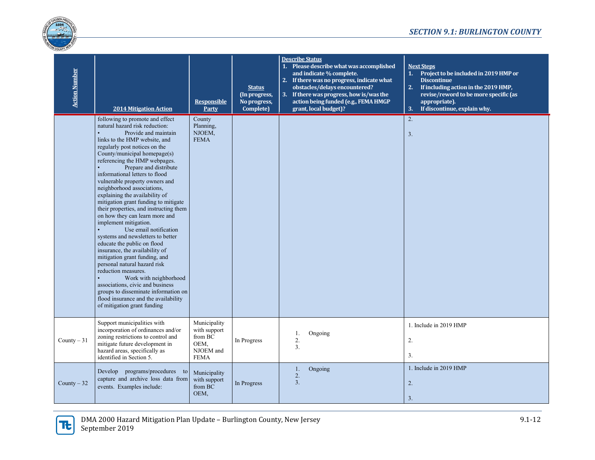

| <b>Action Number</b> | <b>2014 Mitigation Action</b>                                                                                                                                                                                                                                                                                                                                                                                                                                                                                                                                                                                                                                                                                                                                                                                                                                                                                                                | <b>Responsible</b><br>Party                                                 | <b>Status</b><br>(In progress,<br>No progress,<br>Complete) | <b>Describe Status</b><br>1. Please describe what was accomplished<br>and indicate % complete.<br>2. If there was no progress, indicate what<br>obstacles/delays encountered?<br>3. If there was progress, how is/was the<br>action being funded (e.g., FEMA HMGP<br>grant, local budget)? | <b>Next Steps</b><br>1. Project to be included in 2019 HMP or<br><b>Discontinue</b><br>2.<br>If including action in the 2019 HMP,<br>revise/reword to be more specific (as<br>appropriate).<br>If discontinue, explain why.<br>3. |
|----------------------|----------------------------------------------------------------------------------------------------------------------------------------------------------------------------------------------------------------------------------------------------------------------------------------------------------------------------------------------------------------------------------------------------------------------------------------------------------------------------------------------------------------------------------------------------------------------------------------------------------------------------------------------------------------------------------------------------------------------------------------------------------------------------------------------------------------------------------------------------------------------------------------------------------------------------------------------|-----------------------------------------------------------------------------|-------------------------------------------------------------|--------------------------------------------------------------------------------------------------------------------------------------------------------------------------------------------------------------------------------------------------------------------------------------------|-----------------------------------------------------------------------------------------------------------------------------------------------------------------------------------------------------------------------------------|
|                      | following to promote and effect<br>natural hazard risk reduction:<br>Provide and maintain<br>links to the HMP website, and<br>regularly post notices on the<br>County/municipal homepage(s)<br>referencing the HMP webpages.<br>Prepare and distribute<br>informational letters to flood<br>vulnerable property owners and<br>neighborhood associations,<br>explaining the availability of<br>mitigation grant funding to mitigate<br>their properties, and instructing them<br>on how they can learn more and<br>implement mitigation.<br>Use email notification<br>systems and newsletters to better<br>educate the public on flood<br>insurance, the availability of<br>mitigation grant funding, and<br>personal natural hazard risk<br>reduction measures.<br>Work with neighborhood<br>associations, civic and business<br>groups to disseminate information on<br>flood insurance and the availability<br>of mitigation grant funding | County<br>Planning,<br>NJOEM,<br><b>FEMA</b>                                |                                                             |                                                                                                                                                                                                                                                                                            | 2.<br>3.                                                                                                                                                                                                                          |
| County $-31$         | Support municipalities with<br>incorporation of ordinances and/or<br>zoning restrictions to control and<br>mitigate future development in<br>hazard areas, specifically as<br>identified in Section 5.                                                                                                                                                                                                                                                                                                                                                                                                                                                                                                                                                                                                                                                                                                                                       | Municipality<br>with support<br>from BC<br>OEM.<br>NJOEM and<br><b>FEMA</b> | In Progress                                                 | 1.<br>Ongoing<br>2.<br>3.                                                                                                                                                                                                                                                                  | 1. Include in 2019 HMP<br>2.<br>3.                                                                                                                                                                                                |
| County $-32$         | Develop programs/procedures to<br>capture and archive loss data from<br>events. Examples include:                                                                                                                                                                                                                                                                                                                                                                                                                                                                                                                                                                                                                                                                                                                                                                                                                                            | Municipality<br>with support<br>from BC<br>OEM,                             | In Progress                                                 | Ongoing<br>1.<br>2.<br>3.                                                                                                                                                                                                                                                                  | 1. Include in 2019 HMP<br>2.<br>3.                                                                                                                                                                                                |

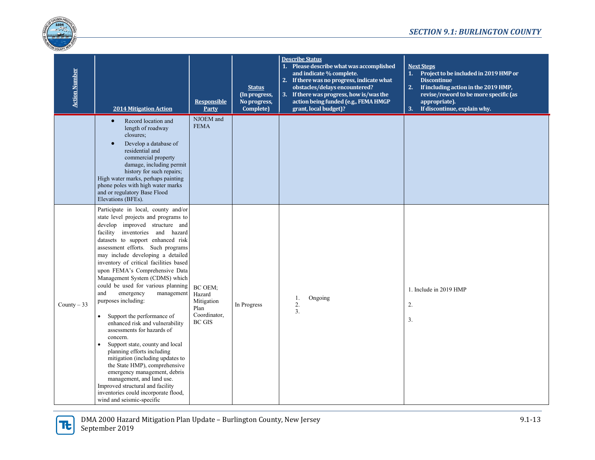

| <b>Action Number</b> | <b>2014 Mitigation Action</b>                                                                                                                                                                                                                                                                                                                                                                                                                                                                                                                                                                                                                                                                                                                                                                                                                                                                                    | <b>Responsible</b><br>Party                                              | <b>Status</b><br>(In progress,<br>No progress,<br>Complete) | <b>Describe Status</b><br>1. Please describe what was accomplished<br>and indicate % complete.<br>2. If there was no progress, indicate what<br>obstacles/delays encountered?<br>3. If there was progress, how is/was the<br>action being funded (e.g., FEMA HMGP<br>grant, local budget)? | <b>Next Steps</b><br>Project to be included in 2019 HMP or<br>1.<br><b>Discontinue</b><br>2.<br>If including action in the 2019 HMP,<br>revise/reword to be more specific (as<br>appropriate).<br>If discontinue, explain why.<br>3. |
|----------------------|------------------------------------------------------------------------------------------------------------------------------------------------------------------------------------------------------------------------------------------------------------------------------------------------------------------------------------------------------------------------------------------------------------------------------------------------------------------------------------------------------------------------------------------------------------------------------------------------------------------------------------------------------------------------------------------------------------------------------------------------------------------------------------------------------------------------------------------------------------------------------------------------------------------|--------------------------------------------------------------------------|-------------------------------------------------------------|--------------------------------------------------------------------------------------------------------------------------------------------------------------------------------------------------------------------------------------------------------------------------------------------|--------------------------------------------------------------------------------------------------------------------------------------------------------------------------------------------------------------------------------------|
|                      | Record location and<br>$\bullet$<br>length of roadway<br>closures;<br>Develop a database of<br>$\bullet$<br>residential and<br>commercial property<br>damage, including permit<br>history for such repairs;<br>High water marks, perhaps painting<br>phone poles with high water marks<br>and or regulatory Base Flood<br>Elevations (BFEs).                                                                                                                                                                                                                                                                                                                                                                                                                                                                                                                                                                     | NJOEM and<br><b>FEMA</b>                                                 |                                                             |                                                                                                                                                                                                                                                                                            |                                                                                                                                                                                                                                      |
| County $-33$         | Participate in local, county and/or<br>state level projects and programs to<br>develop improved structure and<br>facility inventories and hazard<br>datasets to support enhanced risk<br>assessment efforts. Such programs<br>may include developing a detailed<br>inventory of critical facilities based<br>upon FEMA's Comprehensive Data<br>Management System (CDMS) which<br>could be used for various planning<br>and<br>emergency<br>management<br>purposes including:<br>Support the performance of<br>enhanced risk and vulnerability<br>assessments for hazards of<br>concern.<br>Support state, county and local<br>$\bullet$<br>planning efforts including<br>mitigation (including updates to<br>the State HMP), comprehensive<br>emergency management, debris<br>management, and land use.<br>Improved structural and facility<br>inventories could incorporate flood,<br>wind and seismic-specific | BC OEM;<br>Hazard<br>Mitigation<br>Plan<br>Coordinator,<br><b>BC GIS</b> | In Progress                                                 | Ongoing<br>1.<br>2.<br>3.                                                                                                                                                                                                                                                                  | 1. Include in 2019 HMP<br>$\overline{2}$ .<br>3.                                                                                                                                                                                     |

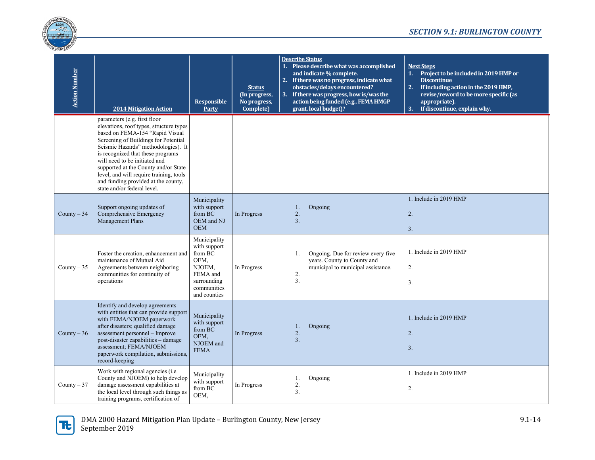

| <b>Action Number</b> | <b>2014 Mitigation Action</b>                                                                                                                                                                                                                                                                                                                                                                                            | <b>Responsible</b><br>Party                                                                                         | <b>Status</b><br>(In progress,<br>No progress,<br>Complete) | <b>Describe Status</b><br>1. Please describe what was accomplished<br>and indicate % complete.<br>2. If there was no progress, indicate what<br>obstacles/delays encountered?<br>3. If there was progress, how is/was the<br>action being funded (e.g., FEMA HMGP<br>grant, local budget)? | <b>Next Steps</b><br>1. Project to be included in 2019 HMP or<br><b>Discontinue</b><br>2.<br>If including action in the 2019 HMP,<br>revise/reword to be more specific (as<br>appropriate).<br>If discontinue, explain why.<br>3. |
|----------------------|--------------------------------------------------------------------------------------------------------------------------------------------------------------------------------------------------------------------------------------------------------------------------------------------------------------------------------------------------------------------------------------------------------------------------|---------------------------------------------------------------------------------------------------------------------|-------------------------------------------------------------|--------------------------------------------------------------------------------------------------------------------------------------------------------------------------------------------------------------------------------------------------------------------------------------------|-----------------------------------------------------------------------------------------------------------------------------------------------------------------------------------------------------------------------------------|
|                      | parameters (e.g. first floor<br>elevations, roof types, structure types<br>based on FEMA-154 "Rapid Visual<br>Screening of Buildings for Potential<br>Seismic Hazards" methodologies). It<br>is recognized that these programs<br>will need to be initiated and<br>supported at the County and/or State<br>level, and will require training, tools<br>and funding provided at the county,<br>state and/or federal level. |                                                                                                                     |                                                             |                                                                                                                                                                                                                                                                                            |                                                                                                                                                                                                                                   |
| County $-34$         | Support ongoing updates of<br>Comprehensive Emergency<br>Management Plans                                                                                                                                                                                                                                                                                                                                                | Municipality<br>with support<br>from BC<br>OEM and NJ<br><b>OEM</b>                                                 | In Progress                                                 | Ongoing<br>1.<br>2.<br>3.                                                                                                                                                                                                                                                                  | 1. Include in 2019 HMP<br>2.<br>3.                                                                                                                                                                                                |
| County $-35$         | Foster the creation, enhancement and<br>maintenance of Mutual Aid<br>Agreements between neighboring<br>communities for continuity of<br>operations                                                                                                                                                                                                                                                                       | Municipality<br>with support<br>from BC<br>OEM.<br>NJOEM,<br>FEMA and<br>surrounding<br>communities<br>and counties | In Progress                                                 | Ongoing. Due for review every five<br>1.<br>years. County to County and<br>municipal to municipal assistance.<br>2.<br>3.                                                                                                                                                                  | 1. Include in 2019 HMP<br>2.<br>3.                                                                                                                                                                                                |
| County $-36$         | Identify and develop agreements<br>with entities that can provide support<br>with FEMA/NJOEM paperwork<br>after disasters; qualified damage<br>assessment personnel - Improve<br>post-disaster capabilities - damage<br>assessment; FEMA/NJOEM<br>paperwork compilation, submissions,<br>record-keeping                                                                                                                  | Municipality<br>with support<br>from BC<br>OEM,<br>NJOEM and<br><b>FEMA</b>                                         | In Progress                                                 | Ongoing<br>1.<br>2.<br>3.                                                                                                                                                                                                                                                                  | 1. Include in 2019 HMP<br>2.<br>3.                                                                                                                                                                                                |
| County $-37$         | Work with regional agencies (i.e.<br>County and NJOEM) to help develop<br>damage assessment capabilities at<br>the local level through such things as<br>training programs, certification of                                                                                                                                                                                                                             | Municipality<br>with support<br>from $\operatorname{BC}$<br>OEM,                                                    | In Progress                                                 | Ongoing<br>1.<br>2.<br>3.                                                                                                                                                                                                                                                                  | 1. Include in 2019 HMP<br>2.                                                                                                                                                                                                      |

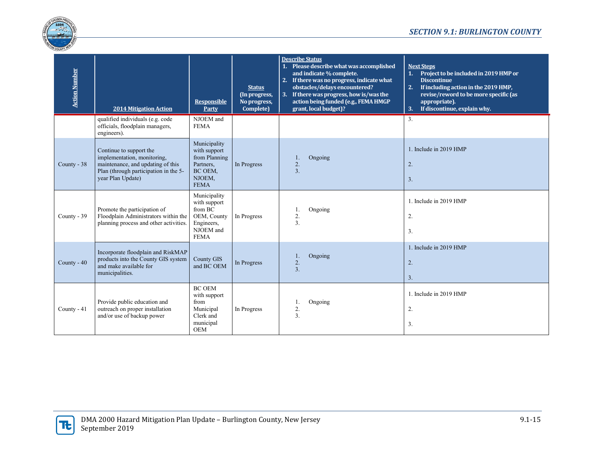

| <b>Action Number</b> | <b>2014 Mitigation Action</b>                                                                                                                             | <b>Responsible</b><br>Party                                                                      | <b>Status</b><br>(In progress,<br>No progress,<br>Complete) | <b>Describe Status</b><br>1. Please describe what was accomplished<br>and indicate % complete.<br>2. If there was no progress, indicate what<br>obstacles/delays encountered?<br>3. If there was progress, how is/was the<br>action being funded (e.g., FEMA HMGP<br>grant, local budget)? | 2.<br>3. | <b>Next Steps</b><br>1. Project to be included in 2019 HMP or<br><b>Discontinue</b><br>If including action in the 2019 HMP,<br>revise/reword to be more specific (as<br>appropriate).<br>If discontinue, explain why. |
|----------------------|-----------------------------------------------------------------------------------------------------------------------------------------------------------|--------------------------------------------------------------------------------------------------|-------------------------------------------------------------|--------------------------------------------------------------------------------------------------------------------------------------------------------------------------------------------------------------------------------------------------------------------------------------------|----------|-----------------------------------------------------------------------------------------------------------------------------------------------------------------------------------------------------------------------|
|                      | qualified individuals (e.g. code<br>officials, floodplain managers,<br>engineers).                                                                        | NJOEM and<br><b>FEMA</b>                                                                         |                                                             |                                                                                                                                                                                                                                                                                            | 3.       |                                                                                                                                                                                                                       |
| County - 38          | Continue to support the<br>implementation, monitoring,<br>maintenance, and updating of this<br>Plan (through participation in the 5-<br>year Plan Update) | Municipality<br>with support<br>from Planning<br>Partners,<br>BC OEM,<br>NJOEM,<br><b>FEMA</b>   | In Progress                                                 | Ongoing<br>2.<br>3.                                                                                                                                                                                                                                                                        | 2.<br>3. | 1. Include in 2019 HMP                                                                                                                                                                                                |
| County - 39          | Promote the participation of<br>Floodplain Administrators within the<br>planning process and other activities.                                            | Municipality<br>with support<br>from BC<br>OEM, County<br>Engineers,<br>NJOEM and<br><b>FEMA</b> | In Progress                                                 | Ongoing<br>1.<br>2.<br>3.                                                                                                                                                                                                                                                                  | 2.<br>3. | 1. Include in 2019 HMP                                                                                                                                                                                                |
| County - 40          | Incorporate floodplain and RiskMAP<br>products into the County GIS system<br>and make available for<br>municipalities.                                    | <b>County GIS</b><br>and BC OEM                                                                  | In Progress                                                 | Ongoing<br>1.<br>2.<br>3.                                                                                                                                                                                                                                                                  | 2.<br>3. | 1. Include in 2019 HMP                                                                                                                                                                                                |
| County - 41          | Provide public education and<br>outreach on proper installation<br>and/or use of backup power                                                             | <b>BC OEM</b><br>with support<br>from<br>Municipal<br>Clerk and<br>municipal<br>OEM              | In Progress                                                 | Ongoing<br>1.<br>2.<br>3.                                                                                                                                                                                                                                                                  | 2.<br>3. | 1. Include in 2019 HMP                                                                                                                                                                                                |

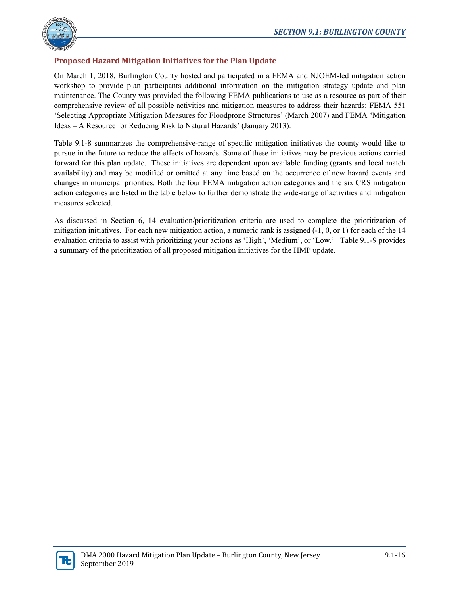

# **Proposed Hazard Mitigation Initiatives for the Plan Update**

On March 1, 2018, Burlington County hosted and participated in a FEMA and NJOEM-led mitigation action workshop to provide plan participants additional information on the mitigation strategy update and plan maintenance. The County was provided the following FEMA publications to use as a resource as part of their comprehensive review of all possible activities and mitigation measures to address their hazards: FEMA 551 'Selecting Appropriate Mitigation Measures for Floodprone Structures' (March 2007) and FEMA 'Mitigation Ideas – A Resource for Reducing Risk to Natural Hazards' (January 2013).

Table 9.1-8 summarizes the comprehensive-range of specific mitigation initiatives the county would like to pursue in the future to reduce the effects of hazards. Some of these initiatives may be previous actions carried forward for this plan update. These initiatives are dependent upon available funding (grants and local match availability) and may be modified or omitted at any time based on the occurrence of new hazard events and changes in municipal priorities. Both the four FEMA mitigation action categories and the six CRS mitigation action categories are listed in the table below to further demonstrate the wide-range of activities and mitigation measures selected.

As discussed in Section 6, 14 evaluation/prioritization criteria are used to complete the prioritization of mitigation initiatives. For each new mitigation action, a numeric rank is assigned  $(-1, 0, 0, 0, 1)$  for each of the 14 evaluation criteria to assist with prioritizing your actions as 'High', 'Medium', or 'Low.' Table 9.1-9 provides a summary of the prioritization of all proposed mitigation initiatives for the HMP update.

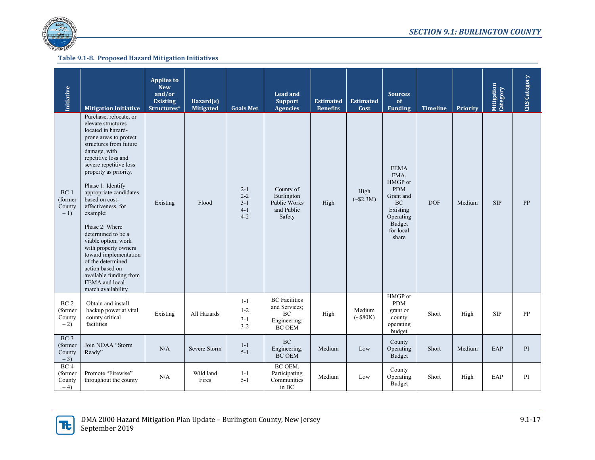

| Initiative                           | <b>Mitigation Initiative</b>                                                                                                                                                                                                                                                                                                                                                                                                                                                                                                                  | <b>Applies to</b><br><b>New</b><br>and/or<br><b>Existing</b><br>Structures* | Hazard(s)<br><b>Mitigated</b> | <b>Goals Met</b>                                    | <b>Lead and</b><br><b>Support</b><br><b>Agencies</b>                                         | <b>Estimated</b><br><b>Benefits</b> | <b>Estimated</b><br>Cost   | <b>Sources</b><br>of<br><b>Funding</b>                                                                                          | <b>Timeline</b> | Priority | Mitigation<br>Category | CRS Category |
|--------------------------------------|-----------------------------------------------------------------------------------------------------------------------------------------------------------------------------------------------------------------------------------------------------------------------------------------------------------------------------------------------------------------------------------------------------------------------------------------------------------------------------------------------------------------------------------------------|-----------------------------------------------------------------------------|-------------------------------|-----------------------------------------------------|----------------------------------------------------------------------------------------------|-------------------------------------|----------------------------|---------------------------------------------------------------------------------------------------------------------------------|-----------------|----------|------------------------|--------------|
| $BC-1$<br>(former<br>County<br>$-1$  | Purchase, relocate, or<br>elevate structures<br>located in hazard-<br>prone areas to protect<br>structures from future<br>damage, with<br>repetitive loss and<br>severe repetitive loss<br>property as priority.<br>Phase 1: Identify<br>appropriate candidates<br>based on cost-<br>effectiveness, for<br>example:<br>Phase 2: Where<br>determined to be a<br>viable option, work<br>with property owners<br>toward implementation<br>of the determined<br>action based on<br>available funding from<br>FEMA and local<br>match availability | Existing                                                                    | Flood                         | $2 - 1$<br>$2 - 2$<br>$3 - 1$<br>$4 - 1$<br>$4 - 2$ | County of<br>Burlington<br>Public Works<br>and Public<br>Safety                              | High                                | High<br>$(*\$2.3M)$        | <b>FEMA</b><br>FMA,<br>HMGP or<br><b>PDM</b><br>Grant and<br><b>BC</b><br>Existing<br>Operating<br>Budget<br>for local<br>share | <b>DOF</b>      | Medium   | <b>SIP</b>             | PP           |
| $BC-2$<br>(former<br>County<br>$-2)$ | Obtain and install<br>backup power at vital<br>county critical<br>facilities                                                                                                                                                                                                                                                                                                                                                                                                                                                                  | Existing                                                                    | All Hazards                   | $1 - 1$<br>$1 - 2$<br>$3 - 1$<br>$3 - 2$            | <b>BC</b> Facilities<br>and Services;<br>$\rm BC$<br>Engineering;<br>$\operatorname{BC}$ OEM | High                                | Medium<br>$({\sim}$ \$80K) | HMGP or<br><b>PDM</b><br>grant or<br>county<br>operating<br>budget                                                              | Short           | High     | <b>SIP</b>             | PP           |
| $BC-3$<br>(former<br>County<br>$-3)$ | Join NOAA "Storm<br>Ready"                                                                                                                                                                                                                                                                                                                                                                                                                                                                                                                    | N/A                                                                         | Severe Storm                  | $1-1$<br>$5 - 1$                                    | <b>BC</b><br>Engineering,<br><b>BC OEM</b>                                                   | Medium                              | Low                        | County<br>Operating<br>Budget                                                                                                   | Short           | Medium   | EAP                    | PI           |
| $BC-4$<br>(former<br>County<br>$-4$  | Promote "Firewise"<br>throughout the county                                                                                                                                                                                                                                                                                                                                                                                                                                                                                                   | N/A                                                                         | Wild land<br>Fires            | $1 - 1$<br>$5 - 1$                                  | BC OEM,<br>Participating<br>Communities<br>in BC                                             | Medium                              | Low                        | County<br>Operating<br>Budget                                                                                                   | Short           | High     | EAP                    | PI           |

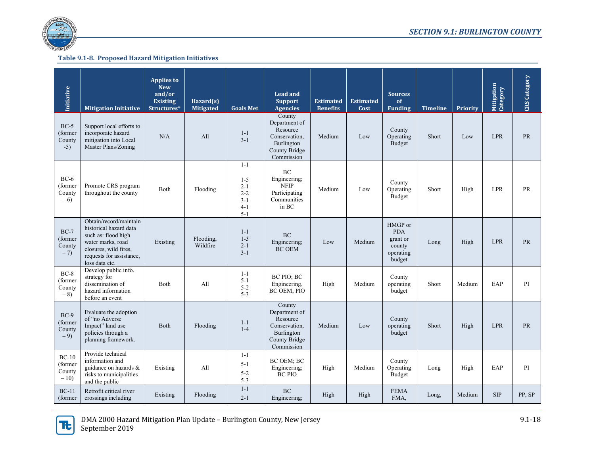

| Initiative                            | <b>Mitigation Initiative</b>                                                                                                                                        | <b>Applies to</b><br><b>New</b><br>and/or<br><b>Existing</b><br>Structures* | Hazard $(s)$<br><b>Mitigated</b> | <b>Goals Met</b>                                                      | Lead and<br><b>Support</b><br><b>Agencies</b>                                                     | <b>Estimated</b><br><b>Benefits</b> | <b>Estimated</b><br>Cost | <b>Sources</b><br>of<br><b>Funding</b>                             | <b>Timeline</b> | Priority | Mitigation<br>Category | CRS Category |
|---------------------------------------|---------------------------------------------------------------------------------------------------------------------------------------------------------------------|-----------------------------------------------------------------------------|----------------------------------|-----------------------------------------------------------------------|---------------------------------------------------------------------------------------------------|-------------------------------------|--------------------------|--------------------------------------------------------------------|-----------------|----------|------------------------|--------------|
| $BC-5$<br>(former<br>County<br>$-5)$  | Support local efforts to<br>incorporate hazard<br>mitigation into Local<br>Master Plans/Zoning                                                                      | N/A                                                                         | A11                              | $1 - 1$<br>$3-1$                                                      | County<br>Department of<br>Resource<br>Conservation.<br>Burlington<br>County Bridge<br>Commission | Medium                              | Low                      | County<br>Operating<br>Budget                                      | Short           | Low      | <b>LPR</b>             | PR           |
| $BC-6$<br>(former<br>County<br>$-6$   | Promote CRS program<br>throughout the county                                                                                                                        | Both                                                                        | Flooding                         | $1 - 1$<br>$1 - 5$<br>$2 - 1$<br>$2 - 2$<br>$3-1$<br>$4-1$<br>$5 - 1$ | <b>BC</b><br>Engineering;<br><b>NFIP</b><br>Participating<br>Communities<br>in BC                 | Medium                              | Low                      | County<br>Operating<br>Budget                                      | Short           | High     | <b>LPR</b>             | <b>PR</b>    |
| $BC-7$<br>(former<br>County<br>$-7)$  | Obtain/record/maintain<br>historical hazard data<br>such as: flood high<br>water marks, road<br>closures, wild fires,<br>requests for assistance,<br>loss data etc. | Existing                                                                    | Flooding,<br>Wildfire            | $1 - 1$<br>$1-3$<br>$2 - 1$<br>$3-1$                                  | <b>BC</b><br>Engineering;<br><b>BC OEM</b>                                                        | Low                                 | Medium                   | HMGP or<br><b>PDA</b><br>grant or<br>county<br>operating<br>budget | Long            | High     | <b>LPR</b>             | PR           |
| $BC-8$<br>(former<br>County<br>$-8)$  | Develop public info.<br>strategy for<br>dissemination of<br>hazard information<br>before an event                                                                   | Both                                                                        | A11                              | $1 - 1$<br>$5 - 1$<br>$5 - 2$<br>$5 - 3$                              | BC PIO; BC<br>Engineering,<br><b>BC OEM; PIO</b>                                                  | High                                | Medium                   | County<br>operating<br>budget                                      | Short           | Medium   | EAP                    | PI           |
| $BC-9$<br>(former<br>County<br>$-9$   | Evaluate the adoption<br>of "no Adverse<br>Impact" land use<br>policies through a<br>planning framework.                                                            | Both                                                                        | Flooding                         | $1 - 1$<br>$1-4$                                                      | County<br>Department of<br>Resource<br>Conservation,<br>Burlington<br>County Bridge<br>Commission | Medium                              | Low                      | County<br>operating<br>budget                                      | Short           | High     | <b>LPR</b>             | <b>PR</b>    |
| $BC-10$<br>(former<br>County<br>$-10$ | Provide technical<br>information and<br>guidance on hazards &<br>risks to municipalities<br>and the public                                                          | Existing                                                                    | A11                              | $1 - 1$<br>5-1<br>$5 - 2$<br>$5 - 3$                                  | BC OEM; BC<br>Engineering;<br><b>BC PIO</b>                                                       | High                                | Medium                   | County<br>Operating<br>Budget                                      | Long            | High     | EAP                    | PI           |
| $BC-11$<br>(former)                   | Retrofit critical river<br>crossings including                                                                                                                      | Existing                                                                    | Flooding                         | $1-1$<br>$2 - 1$                                                      | <b>BC</b><br>Engineering;                                                                         | High                                | High                     | <b>FEMA</b><br>FMA,                                                | Long,           | Medium   | <b>SIP</b>             | PP, SP       |

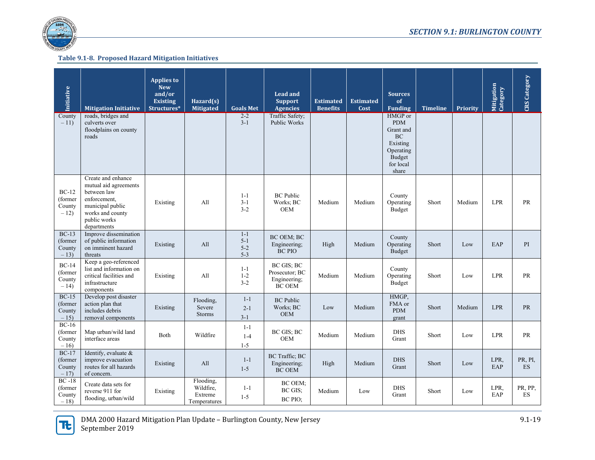

| <b>Initiative</b>                      | <b>Mitigation Initiative</b>                                                                                                                      | <b>Applies to</b><br><b>New</b><br>and/or<br><b>Existing</b><br>Structures* | Hazard(s)<br><b>Mitigated</b>                     | <b>Goals Met</b>                         | <b>Lead and</b><br><b>Support</b><br><b>Agencies</b>          | <b>Estimated</b><br><b>Benefits</b> | <b>Estimated</b><br>Cost | <b>Sources</b><br>of<br><b>Funding</b>                                                                   | <b>Timeline</b> | <b>Priority</b> | Mitigation<br>Category | <b>CRS</b> Category  |
|----------------------------------------|---------------------------------------------------------------------------------------------------------------------------------------------------|-----------------------------------------------------------------------------|---------------------------------------------------|------------------------------------------|---------------------------------------------------------------|-------------------------------------|--------------------------|----------------------------------------------------------------------------------------------------------|-----------------|-----------------|------------------------|----------------------|
| County<br>$-11)$                       | roads, bridges and<br>culverts over<br>floodplains on county<br>roads                                                                             |                                                                             |                                                   | $2 - 2$<br>$3-1$                         | Traffic Safety;<br><b>Public Works</b>                        |                                     |                          | HMGP or<br><b>PDM</b><br>Grant and<br><b>BC</b><br>Existing<br>Operating<br>Budget<br>for local<br>share |                 |                 |                        |                      |
| $BC-12$<br>(former<br>County<br>$-12)$ | Create and enhance<br>mutual aid agreements<br>between law<br>enforcement,<br>municipal public<br>works and county<br>public works<br>departments | Existing                                                                    | All                                               | $1 - 1$<br>$3 - 1$<br>$3 - 2$            | <b>BC</b> Public<br>Works; BC<br><b>OEM</b>                   | Medium                              | Medium                   | County<br>Operating<br>Budget                                                                            | Short           | Medium          | <b>LPR</b>             | PR                   |
| $BC-13$<br>(former<br>County<br>$-13)$ | Improve dissemination<br>of public information<br>on imminent hazard<br>threats                                                                   | Existing                                                                    | All                                               | $1 - 1$<br>$5 - 1$<br>$5 - 2$<br>$5 - 3$ | BC OEM; BC<br>Engineering;<br><b>BC PIO</b>                   | High                                | Medium                   | County<br>Operating<br>Budget                                                                            | Short           | Low             | EAP                    | PI                   |
| $BC-14$<br>(former<br>County<br>$-14$  | Keep a geo-referenced<br>list and information on<br>critical facilities and<br>infrastructure<br>components                                       | Existing                                                                    | All                                               | $1 - 1$<br>$1-2$<br>$3 - 2$              | BC GIS; BC<br>Prosecutor; BC<br>Engineering;<br><b>BC OEM</b> | Medium                              | Medium                   | County<br>Operating<br>Budget                                                                            | Short           | Low             | LPR                    | PR                   |
| $BC-15$<br>(former<br>County<br>$-15$  | Develop post disaster<br>action plan that<br>includes debris<br>removal components                                                                | Existing                                                                    | Flooding,<br>Severe<br>Storms                     | $1-1$<br>$2 - 1$<br>$3 - 1$              | <b>BC</b> Public<br>Works; BC<br><b>OEM</b>                   | Low                                 | Medium                   | HMGP,<br>FMA or<br><b>PDM</b><br>grant                                                                   | Short           | Medium          | <b>LPR</b>             | <b>PR</b>            |
| $BC-16$<br>(former<br>County<br>$-16$  | Map urban/wild land<br>interface areas                                                                                                            | <b>Both</b>                                                                 | Wildfire                                          | $1-1$<br>$1 - 4$<br>$1 - 5$              | BC GIS: BC<br><b>OEM</b>                                      | Medium                              | Medium                   | <b>DHS</b><br>Grant                                                                                      | Short           | Low             | <b>LPR</b>             | PR                   |
| $BC-17$<br>(former<br>County<br>$-17$  | Identify, evaluate &<br>improve evacuation<br>routes for all hazards<br>of concern.                                                               | Existing                                                                    | All                                               | $1 - 1$<br>$1 - 5$                       | BC Traffic; BC<br>Engineering;<br><b>BC OEM</b>               | High                                | Medium                   | <b>DHS</b><br>Grant                                                                                      | Short           | Low             | LPR,<br>EAP            | PR, PI,<br><b>ES</b> |
| $BC -18$<br>(former<br>County<br>$-18$ | Create data sets for<br>reverse 911 for<br>flooding, urban/wild                                                                                   | Existing                                                                    | Flooding,<br>Wildfire,<br>Extreme<br>Temperatures | $1 - 1$<br>$1 - 5$                       | BC OEM;<br>BC GIS;<br>BC PIO;                                 | Medium                              | Low                      | <b>DHS</b><br>Grant                                                                                      | Short           | Low             | LPR.<br>EAP            | PR, PP,<br>ES        |

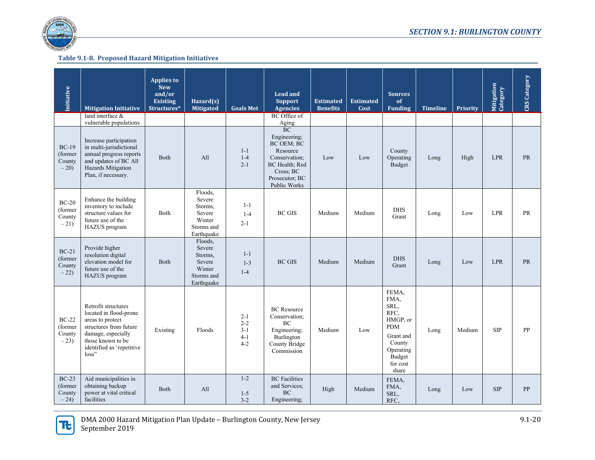

| Initiative                                   | <b>Mitigation Initiative</b>                                                                                                                                                 | <b>Applies to</b><br><b>New</b><br>and/or<br><b>Existing</b><br>Structures* | Hazard(s)<br><b>Mitigated</b>                                                | <b>Goals Met</b>                                    | <b>Lead and</b><br><b>Support</b><br><b>Agencies</b>                                                                                                | <b>Estimated</b><br><b>Benefits</b> | <b>Estimated</b><br>Cost | <b>Sources</b><br>of<br><b>Funding</b>                                                                                     | <b>Timeline</b> | <b>Priority</b> | Mitigation<br>Category | <b>CRS</b> Category |
|----------------------------------------------|------------------------------------------------------------------------------------------------------------------------------------------------------------------------------|-----------------------------------------------------------------------------|------------------------------------------------------------------------------|-----------------------------------------------------|-----------------------------------------------------------------------------------------------------------------------------------------------------|-------------------------------------|--------------------------|----------------------------------------------------------------------------------------------------------------------------|-----------------|-----------------|------------------------|---------------------|
|                                              | land interface $&$<br>vulnerable populations                                                                                                                                 |                                                                             |                                                                              |                                                     | BC Office of<br>Aging                                                                                                                               |                                     |                          |                                                                                                                            |                 |                 |                        |                     |
| $BC-19$<br>(former<br>County<br>$-20$        | Increase participation<br>in multi-jurisdictional<br>annual progress reports<br>and updates of BC All<br>Hazards Mitigation<br>Plan, if necessary.                           | <b>Both</b>                                                                 | All                                                                          | $1-1$<br>$1-4$<br>$2 - 1$                           | <b>BC</b><br>Engineering:<br><b>BC OEM: BC</b><br>Resource<br>Conservation:<br><b>BC</b> Health: Red<br>Cross: BC<br>Prosecutor; BC<br>Public Works | Low                                 | Low                      | County<br>Operating<br>Budget                                                                                              | Long            | High            | <b>LPR</b>             | <b>PR</b>           |
| $BC-20$<br>(former<br>County<br>$-21)$       | Enhance the building<br>inventory to include<br>structure values for<br>future use of the<br>HAZUS program                                                                   | Both                                                                        | Floods,<br>Severe<br>Storms,<br>Severe<br>Winter<br>Storms and<br>Earthquake | $1 - 1$<br>$1 - 4$<br>$2 - 1$                       | <b>BC GIS</b>                                                                                                                                       | Medium                              | Medium                   | <b>DHS</b><br>Grant                                                                                                        | Long            | Low             | <b>LPR</b>             | PR                  |
| $BC-21$<br>(former<br>County<br>$-22)$       | Provide higher<br>resolution digital<br>elevation model for<br>future use of the<br>HAZUS program                                                                            | Both                                                                        | Floods,<br>Severe<br>Storms,<br>Severe<br>Winter<br>Storms and<br>Earthquake | $1 - 1$<br>$1 - 3$<br>$1 - 4$                       | <b>BC GIS</b>                                                                                                                                       | Medium                              | Medium                   | <b>DHS</b><br>Grant                                                                                                        | Long            | Low             | <b>LPR</b>             | <b>PR</b>           |
| <b>BC-22</b><br>(former)<br>County<br>$-23)$ | Retrofit structures<br>located in flood-prone<br>areas to protect<br>structures from future<br>damage, especially<br>those known to be<br>identified as 'repetitive<br>loss" | Existing                                                                    | Floods                                                                       | $2 - 1$<br>$2 - 2$<br>$3 - 1$<br>$4 - 1$<br>$4 - 2$ | <b>BC</b> Resource<br>Conservation;<br>BC<br>Engineering;<br>Burlington<br>County Bridge<br>Commission                                              | Medium                              | Low                      | FEMA,<br>FMA,<br>SRL,<br>RFC.<br>HMGP, or<br><b>PDM</b><br>Grant and<br>County<br>Operating<br>Budget<br>for cost<br>share | Long            | Medium          | <b>SIP</b>             | <b>PP</b>           |
| $BC-23$<br>(former<br>County<br>$-24$        | Aid municipalities in<br>obtaining backup<br>power at vital critical<br>facilities                                                                                           | <b>Both</b>                                                                 | All                                                                          | $1 - 2$<br>$1 - 5$<br>$3-2$                         | <b>BC</b> Facilities<br>and Services:<br><b>BC</b><br>Engineering:                                                                                  | High                                | Medium                   | FEMA,<br>FMA,<br>SRL,<br>RFC,                                                                                              | Long            | Low             | <b>SIP</b>             | PP                  |

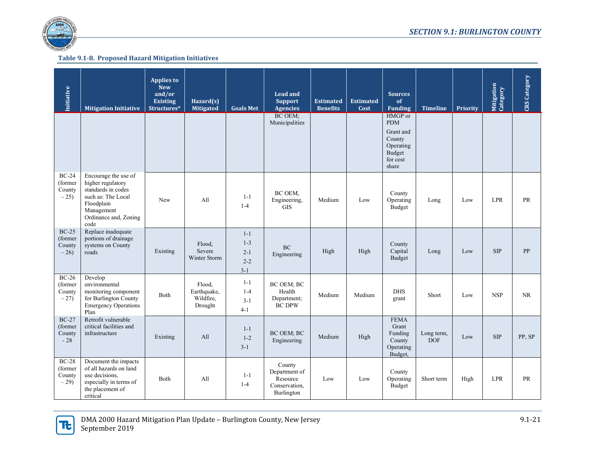

| Initiative                                 | <b>Mitigation Initiative</b>                                                                                                                       | <b>Applies to</b><br><b>New</b><br>and/or<br><b>Existing</b><br>Structures* | Hazard $(s)$<br><b>Mitigated</b>              | <b>Goals Met</b>                                  | <b>Lead and</b><br><b>Support</b><br><b>Agencies</b>               | <b>Estimated</b><br><b>Benefits</b> | <b>Estimated</b><br>Cost | <b>Sources</b><br>of<br><b>Funding</b>                                                   | <b>Timeline</b>          | Priority | Mitigation<br>Category | <b>CRS</b> Category |
|--------------------------------------------|----------------------------------------------------------------------------------------------------------------------------------------------------|-----------------------------------------------------------------------------|-----------------------------------------------|---------------------------------------------------|--------------------------------------------------------------------|-------------------------------------|--------------------------|------------------------------------------------------------------------------------------|--------------------------|----------|------------------------|---------------------|
|                                            |                                                                                                                                                    |                                                                             |                                               |                                                   | BC OEM;<br>Municipalities                                          |                                     |                          | HMGP or<br><b>PDM</b><br>Grant and<br>County<br>Operating<br>Budget<br>for cost<br>share |                          |          |                        |                     |
| $BC-24$<br>(former<br>County<br>$-25$      | Encourage the use of<br>higher regulatory<br>standards in codes<br>such as: The Local<br>Floodplain<br>Management<br>Ordinance and, Zoning<br>code | New                                                                         | All                                           | $1 - 1$<br>$1 - 4$                                | BC OEM,<br>Engineering,<br><b>GIS</b>                              | Medium                              | Low                      | County<br>Operating<br>Budget                                                            | Long                     | Low      | <b>LPR</b>             | PR                  |
| $BC-25$<br>(former<br>County<br>$-26$      | Replace inadequate<br>portions of drainage<br>systems on County<br>roads                                                                           | Existing                                                                    | Flood,<br>Severe<br>Winter Storm              | $1 - 1$<br>$1 - 3$<br>$2 - 1$<br>$2 - 2$<br>$3-1$ | <b>BC</b><br>Engineering                                           | High                                | High                     | County<br>Capital<br><b>Budget</b>                                                       | Long                     | Low      | <b>SIP</b>             | PP                  |
| $BC-26$<br>(former<br>County<br>$-27$      | Develop<br>environmental<br>monitoring component<br>for Burlington County<br><b>Emergency Operations</b><br>Plan                                   | <b>Both</b>                                                                 | Flood,<br>Earthquake,<br>Wildfire,<br>Drought | $1 - 1$<br>$1 - 4$<br>$3 - 1$<br>$4-1$            | BC OEM; BC<br>Health<br>Department;<br><b>BC DPW</b>               | Medium                              | Medium                   | <b>DHS</b><br>grant                                                                      | Short                    | Low      | <b>NSP</b>             | <b>NR</b>           |
| <b>BC-27</b><br>(former<br>County<br>$-28$ | Retrofit vulnerable<br>critical facilities and<br>infrastructure                                                                                   | Existing                                                                    | All                                           | $1 - 1$<br>$1 - 2$<br>$3-1$                       | <b>BC OEM: BC</b><br>Engineering                                   | Medium                              | High                     | <b>FEMA</b><br>Grant<br>Funding<br>County<br>Operating<br>Budget,                        | Long term,<br><b>DOF</b> | Low      | <b>SIP</b>             | PP, SP              |
| $BC-28$<br>(former<br>County<br>$-29$      | Document the impacts<br>of all hazards on land<br>use decisions.<br>especially in terms of<br>the placement of<br>critical                         | <b>B</b> oth                                                                | A11                                           | $1 - 1$<br>$1 - 4$                                | County<br>Department of<br>Resource<br>Conservation,<br>Burlington | Low                                 | Low                      | County<br>Operating<br>Budget                                                            | Short term               | High     | <b>LPR</b>             | <b>PR</b>           |

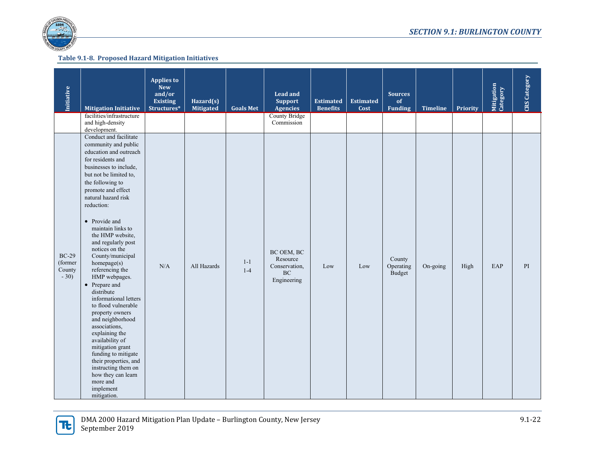

| <b>Initiative</b>                      | <b>Mitigation Initiative</b>                                                                                                                                                                                                                                                                                                                                                                                                                                                                                                                                                                                                                                                                                                                   | <b>Applies to</b><br><b>New</b><br>and/or<br><b>Existing</b><br>Structures* | Hazard(s)<br>Mitigated | <b>Goals Met</b> | <b>Lead and</b><br><b>Support</b><br><b>Agencies</b>         | <b>Estimated</b><br><b>Benefits</b> | <b>Estimated</b><br>Cost | <b>Sources</b><br>of<br><b>Funding</b> | <b>Timeline</b> | Priority | Mitigation<br>Category | <b>CRS</b> Category |
|----------------------------------------|------------------------------------------------------------------------------------------------------------------------------------------------------------------------------------------------------------------------------------------------------------------------------------------------------------------------------------------------------------------------------------------------------------------------------------------------------------------------------------------------------------------------------------------------------------------------------------------------------------------------------------------------------------------------------------------------------------------------------------------------|-----------------------------------------------------------------------------|------------------------|------------------|--------------------------------------------------------------|-------------------------------------|--------------------------|----------------------------------------|-----------------|----------|------------------------|---------------------|
|                                        | facilities/infrastructure<br>and high-density<br>development.                                                                                                                                                                                                                                                                                                                                                                                                                                                                                                                                                                                                                                                                                  |                                                                             |                        |                  | <b>County Bridge</b><br>Commission                           |                                     |                          |                                        |                 |          |                        |                     |
| $BC-29$<br>(former<br>County<br>$-30)$ | Conduct and facilitate<br>community and public<br>education and outreach<br>for residents and<br>businesses to include,<br>but not be limited to,<br>the following to<br>promote and effect<br>natural hazard risk<br>reduction:<br>• Provide and<br>maintain links to<br>the HMP website,<br>and regularly post<br>notices on the<br>County/municipal<br>homepage(s)<br>referencing the<br>HMP webpages.<br>• Prepare and<br>distribute<br>informational letters<br>to flood vulnerable<br>property owners<br>and neighborhood<br>associations,<br>explaining the<br>availability of<br>mitigation grant<br>funding to mitigate<br>their properties, and<br>instructing them on<br>how they can learn<br>more and<br>implement<br>mitigation. | $\rm N/A$                                                                   | All Hazards            | $1-1$<br>$1 - 4$ | BC OEM, BC<br>Resource<br>Conservation,<br>BC<br>Engineering | Low                                 | Low                      | County<br>Operating<br>Budget          | On-going        | High     | EAP                    | PI                  |

15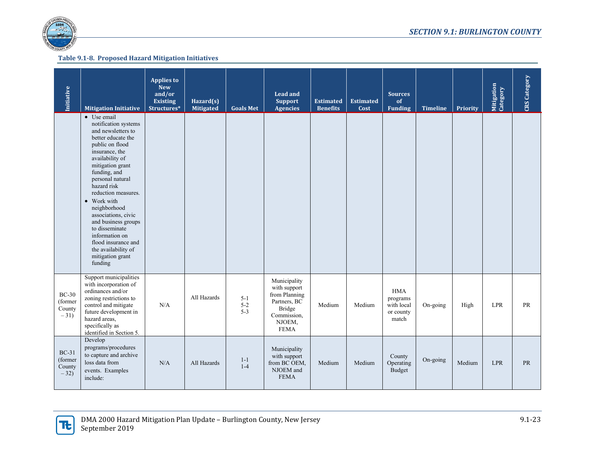

| Initiative                                  | <b>Mitigation Initiative</b>                                                                                                                                                                                                                                                                                                                                                                                                        | <b>Applies to</b><br><b>New</b><br>and/or<br><b>Existing</b><br>Structures* | Hazard(s)<br><b>Mitigated</b> | <b>Goals Met</b>            | <b>Lead and</b><br><b>Support</b><br><b>Agencies</b>                                                            | <b>Estimated</b><br><b>Benefits</b> | <b>Estimated</b><br>Cost | <b>Sources</b><br>of<br><b>Funding</b>                     | <b>Timeline</b> | Priority | Mitigation<br>Category | <b>CRS</b> Category |
|---------------------------------------------|-------------------------------------------------------------------------------------------------------------------------------------------------------------------------------------------------------------------------------------------------------------------------------------------------------------------------------------------------------------------------------------------------------------------------------------|-----------------------------------------------------------------------------|-------------------------------|-----------------------------|-----------------------------------------------------------------------------------------------------------------|-------------------------------------|--------------------------|------------------------------------------------------------|-----------------|----------|------------------------|---------------------|
|                                             | • Use email<br>notification systems<br>and newsletters to<br>better educate the<br>public on flood<br>insurance, the<br>availability of<br>mitigation grant<br>funding, and<br>personal natural<br>hazard risk<br>reduction measures.<br>• Work with<br>neighborhood<br>associations, civic<br>and business groups<br>to disseminate<br>information on<br>flood insurance and<br>the availability of<br>mitigation grant<br>funding |                                                                             |                               |                             |                                                                                                                 |                                     |                          |                                                            |                 |          |                        |                     |
| $BC-30$<br>(former<br>County<br>$-31)$      | Support municipalities<br>with incorporation of<br>ordinances and/or<br>zoning restrictions to<br>control and mitigate<br>future development in<br>hazard areas,<br>specifically as<br>identified in Section 5.                                                                                                                                                                                                                     | N/A                                                                         | All Hazards                   | $5 - 1$<br>$5 - 2$<br>$5-3$ | Municipality<br>with support<br>from Planning<br>Partners, BC<br>Bridge<br>Commission,<br>NJOEM,<br><b>FEMA</b> | Medium                              | Medium                   | <b>HMA</b><br>programs<br>with local<br>or county<br>match | On-going        | High     | <b>LPR</b>             | <b>PR</b>           |
| <b>BC-31</b><br>(former<br>County<br>$-32)$ | Develop<br>programs/procedures<br>to capture and archive<br>loss data from<br>events. Examples<br>include:                                                                                                                                                                                                                                                                                                                          | N/A                                                                         | All Hazards                   | $1 - 1$<br>$1 - 4$          | Municipality<br>with support<br>from BC OEM,<br>NJOEM and<br><b>FEMA</b>                                        | Medium                              | Medium                   | County<br>Operating<br>Budget                              | On-going        | Medium   | LPR                    | PR                  |

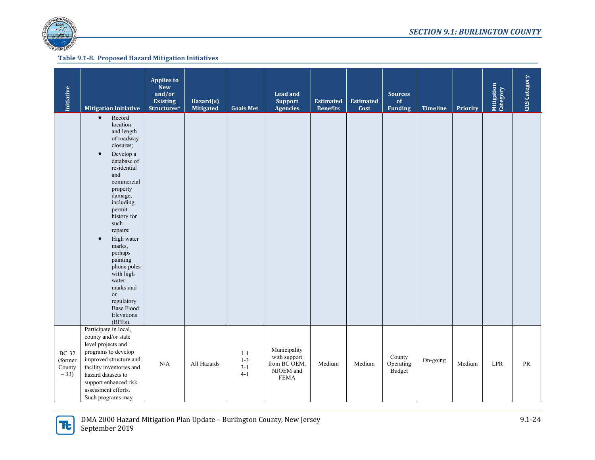

| Initiative                                 | <b>Mitigation Initiative</b>                                                                                                                                                                                                                                                                                                                                                                                           | <b>Applies to</b><br><b>New</b><br>and/or<br><b>Existing</b><br>Structures* | Hazard(s)<br>Mitigated | <b>Goals Met</b>                       | <b>Lead and</b><br><b>Support</b><br><b>Agencies</b>                     | <b>Estimated</b><br><b>Benefits</b> | <b>Estimated</b><br>Cost | <b>Sources</b><br>of<br><b>Funding</b> | <b>Timeline</b> | Priority | Mitigation<br>Category      | CRS Category |
|--------------------------------------------|------------------------------------------------------------------------------------------------------------------------------------------------------------------------------------------------------------------------------------------------------------------------------------------------------------------------------------------------------------------------------------------------------------------------|-----------------------------------------------------------------------------|------------------------|----------------------------------------|--------------------------------------------------------------------------|-------------------------------------|--------------------------|----------------------------------------|-----------------|----------|-----------------------------|--------------|
|                                            | $\bullet$<br>Record<br>location<br>and length<br>of roadway<br>closures;<br>Develop a<br>$\bullet$<br>database of<br>residential<br>and<br>commercial<br>property<br>damage,<br>including<br>permit<br>history for<br>such<br>repairs;<br>High water<br>$\bullet$<br>marks,<br>perhaps<br>painting<br>phone poles<br>with high<br>water<br>marks and<br>or<br>regulatory<br><b>Base Flood</b><br>Elevations<br>(BFEs). |                                                                             |                        |                                        |                                                                          |                                     |                          |                                        |                 |          |                             |              |
| <b>BC-32</b><br>(former<br>County<br>$-33$ | Participate in local,<br>county and/or state<br>level projects and<br>programs to develop<br>improved structure and<br>facility inventories and<br>hazard datasets to<br>support enhanced risk<br>assessment efforts.<br>Such programs may                                                                                                                                                                             | N/A                                                                         | All Hazards            | $1 - 1$<br>$1 - 3$<br>$3-1$<br>$4 - 1$ | Municipality<br>with support<br>from BC OEM,<br>NJOEM and<br><b>FEMA</b> | Medium                              | Medium                   | County<br>Operating<br>Budget          | On-going        | Medium   | $\ensuremath{\mathrm{LPR}}$ | $\rm PR$     |

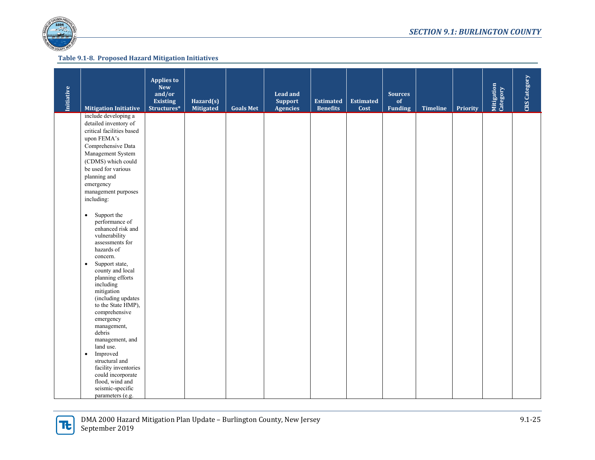

| <b>Initiative</b> | <b>Mitigation Initiative</b>                                                                                                                                                                                                                                                                                                                                                                                   | <b>Applies to</b><br><b>New</b><br>and/or<br><b>Existing</b><br>Structures* | Hazard(s)<br><b>Mitigated</b> | <b>Goals Met</b> | <b>Lead and</b><br><b>Support</b><br><b>Agencies</b> | <b>Estimated</b><br><b>Benefits</b> | <b>Estimated</b><br>Cost | <b>Sources</b><br>of<br><b>Funding</b> | <b>Timeline</b> | Priority | Mitigation<br>Category | <b>CRS</b> Category |
|-------------------|----------------------------------------------------------------------------------------------------------------------------------------------------------------------------------------------------------------------------------------------------------------------------------------------------------------------------------------------------------------------------------------------------------------|-----------------------------------------------------------------------------|-------------------------------|------------------|------------------------------------------------------|-------------------------------------|--------------------------|----------------------------------------|-----------------|----------|------------------------|---------------------|
|                   | include developing a<br>detailed inventory of<br>critical facilities based<br>upon FEMA's<br>Comprehensive Data<br>Management System<br>(CDMS) which could<br>be used for various<br>planning and<br>emergency<br>management purposes<br>including:<br>Support the<br>$\bullet$<br>performance of<br>enhanced risk and<br>vulnerability<br>assessments for                                                     |                                                                             |                               |                  |                                                      |                                     |                          |                                        |                 |          |                        |                     |
|                   | hazards of<br>concern.<br>Support state,<br>$\bullet$<br>county and local<br>planning efforts<br>including<br>mitigation<br>(including updates<br>to the State HMP),<br>comprehensive<br>emergency<br>management,<br>debris<br>management, and<br>land use.<br>Improved<br>$\bullet$<br>structural and<br>facility inventories<br>could incorporate<br>flood, wind and<br>seismic-specific<br>parameters (e.g. |                                                                             |                               |                  |                                                      |                                     |                          |                                        |                 |          |                        |                     |

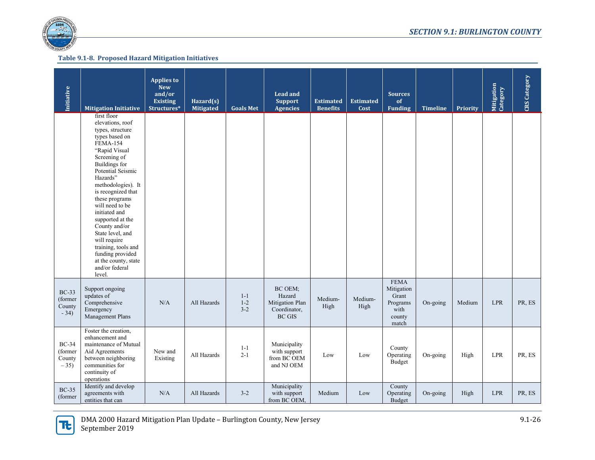

| Initiative                                  | <b>Mitigation Initiative</b>                                                                                                                                                                                                                                                                                                                                                                                                                                 | <b>Applies to</b><br><b>New</b><br>and/or<br><b>Existing</b><br>Structures* | Hazard(s)<br><b>Mitigated</b> | <b>Goals Met</b>              | <b>Lead and</b><br><b>Support</b><br><b>Agencies</b>                            | <b>Estimated</b><br><b>Benefits</b> | <b>Estimated</b><br>Cost | <b>Sources</b><br>of<br><b>Funding</b>                                    | <b>Timeline</b> | Priority | Mitigation<br>Category | CRS Category |
|---------------------------------------------|--------------------------------------------------------------------------------------------------------------------------------------------------------------------------------------------------------------------------------------------------------------------------------------------------------------------------------------------------------------------------------------------------------------------------------------------------------------|-----------------------------------------------------------------------------|-------------------------------|-------------------------------|---------------------------------------------------------------------------------|-------------------------------------|--------------------------|---------------------------------------------------------------------------|-----------------|----------|------------------------|--------------|
|                                             | first floor<br>elevations, roof<br>types, structure<br>types based on<br><b>FEMA-154</b><br>"Rapid Visual<br>Screening of<br><b>Buildings</b> for<br>Potential Seismic<br>Hazards"<br>methodologies). It<br>is recognized that<br>these programs<br>will need to be<br>initiated and<br>supported at the<br>County and/or<br>State level, and<br>will require<br>training, tools and<br>funding provided<br>at the county, state<br>and/or federal<br>level. |                                                                             |                               |                               |                                                                                 |                                     |                          |                                                                           |                 |          |                        |              |
| <b>BC-33</b><br>(former<br>County<br>$-34)$ | Support ongoing<br>updates of<br>Comprehensive<br>Emergency<br>Management Plans                                                                                                                                                                                                                                                                                                                                                                              | N/A                                                                         | All Hazards                   | $1 - 1$<br>$1 - 2$<br>$3 - 2$ | BC OEM;<br>Hazard<br>Mitigation Plan<br>Coordinator,<br>$\operatorname{BC}$ GIS | Medium-<br>High                     | Medium-<br>High          | <b>FEMA</b><br>Mitigation<br>Grant<br>Programs<br>with<br>county<br>match | On-going        | Medium   | <b>LPR</b>             | PR, ES       |
| <b>BC-34</b><br>(former<br>County<br>$-35)$ | Foster the creation,<br>enhancement and<br>maintenance of Mutual<br>Aid Agreements<br>between neighboring<br>communities for<br>continuity of<br>operations                                                                                                                                                                                                                                                                                                  | New and<br>Existing                                                         | All Hazards                   | $1 - 1$<br>$2 - 1$            | Municipality<br>with support<br>from BC OEM<br>and NJ OEM                       | Low                                 | Low                      | County<br>Operating<br>Budget                                             | On-going        | High     | <b>LPR</b>             | PR, ES       |
| <b>BC-35</b><br>(former)                    | Identify and develop<br>agreements with<br>entities that can                                                                                                                                                                                                                                                                                                                                                                                                 | N/A                                                                         | All Hazards                   | $3 - 2$                       | Municipality<br>with support<br>from BC OEM,                                    | Medium                              | Low                      | County<br>Operating<br>Budget                                             | $On-going$      | High     | <b>LPR</b>             | PR, ES       |

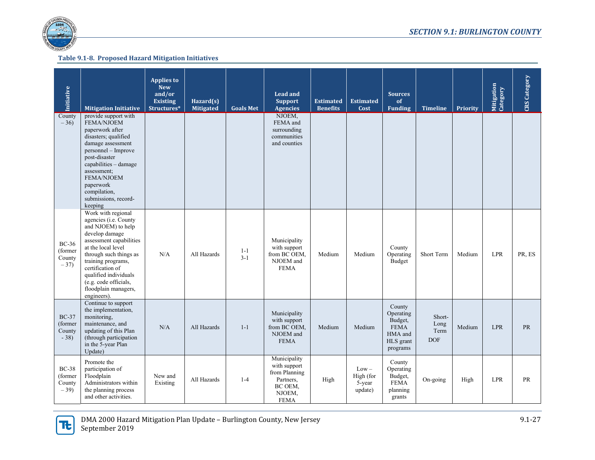

| Initiative                                  | <b>Mitigation Initiative</b>                                                                                                                                                                                                                                                                      | <b>Applies to</b><br><b>New</b><br>and/or<br><b>Existing</b><br>Structures* | Hazard(s)<br><b>Mitigated</b> | <b>Goals Met</b> | <b>Lead and</b><br><b>Support</b><br><b>Agencies</b>                                           | <b>Estimated</b><br><b>Benefits</b> | <b>Estimated</b><br>Cost                  | <b>Sources</b><br>of<br><b>Funding</b>                                            | <b>Timeline</b>                      | Priority | Mitigation<br>Category | <b>CRS</b> Category |
|---------------------------------------------|---------------------------------------------------------------------------------------------------------------------------------------------------------------------------------------------------------------------------------------------------------------------------------------------------|-----------------------------------------------------------------------------|-------------------------------|------------------|------------------------------------------------------------------------------------------------|-------------------------------------|-------------------------------------------|-----------------------------------------------------------------------------------|--------------------------------------|----------|------------------------|---------------------|
| County<br>$-36$                             | provide support with<br>FEMA/NJOEM<br>paperwork after<br>disasters; qualified<br>damage assessment<br>personnel - Improve<br>post-disaster<br>capabilities - damage<br>assessment:<br><b>FEMA/NJOEM</b><br>paperwork<br>compilation,<br>submissions, record-<br>keeping                           |                                                                             |                               |                  | NJOEM,<br>FEMA and<br>surrounding<br>communities<br>and counties                               |                                     |                                           |                                                                                   |                                      |          |                        |                     |
| <b>BC-36</b><br>(former<br>County<br>$-37)$ | Work with regional<br>agencies (i.e. County<br>and NJOEM) to help<br>develop damage<br>assessment capabilities<br>at the local level<br>through such things as<br>training programs,<br>certification of<br>qualified individuals<br>(e.g. code officials,<br>floodplain managers,<br>engineers). | N/A                                                                         | All Hazards                   | $1 - 1$<br>$3-1$ | Municipality<br>with support<br>from BC OEM,<br>NJOEM and<br><b>FEMA</b>                       | Medium                              | Medium                                    | County<br>Operating<br>Budget                                                     | Short Term                           | Medium   | <b>LPR</b>             | PR, ES              |
| $BC-37$<br>(former<br>County<br>$-38$       | Continue to support<br>the implementation,<br>monitoring,<br>maintenance, and<br>updating of this Plan<br>(through participation<br>in the 5-year Plan<br>Update)                                                                                                                                 | N/A                                                                         | All Hazards                   | $1-1$            | Municipality<br>with support<br>from BC OEM,<br>NJOEM and<br><b>FEMA</b>                       | Medium                              | Medium                                    | County<br>Operating<br>Budget,<br><b>FEMA</b><br>HMA and<br>HLS grant<br>programs | Short-<br>Long<br>Term<br><b>DOF</b> | Medium   | <b>LPR</b>             | <b>PR</b>           |
| <b>BC-38</b><br>(former<br>County<br>$-39$  | Promote the<br>participation of<br>Floodplain<br>Administrators within<br>the planning process<br>and other activities.                                                                                                                                                                           | New and<br>Existing                                                         | All Hazards                   | $1 - 4$          | Municipality<br>with support<br>from Planning<br>Partners.<br>BC OEM,<br>NJOEM,<br><b>FEMA</b> | High                                | $Low -$<br>High (for<br>5-year<br>update) | County<br>Operating<br>Budget,<br><b>FEMA</b><br>planning<br>grants               | On-going                             | High     | <b>LPR</b>             | PR                  |

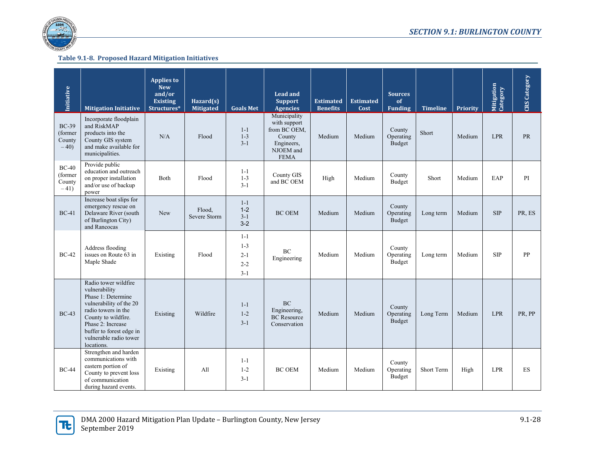

| Initiative                                 | <b>Mitigation Initiative</b>                                                                                                                                                                                                  | <b>Applies to</b><br><b>New</b><br>and/or<br><b>Existing</b><br>Structures* | Hazard(s)<br><b>Mitigated</b> | <b>Goals Met</b>                                    | <b>Lead and</b><br><b>Support</b><br><b>Agencies</b>                                             | <b>Estimated</b><br><b>Benefits</b> | <b>Estimated</b><br>Cost | <b>Sources</b><br>of<br><b>Funding</b> | <b>Timeline</b> | Priority | Mitigation<br>Category | <b>CRS</b> Category |
|--------------------------------------------|-------------------------------------------------------------------------------------------------------------------------------------------------------------------------------------------------------------------------------|-----------------------------------------------------------------------------|-------------------------------|-----------------------------------------------------|--------------------------------------------------------------------------------------------------|-------------------------------------|--------------------------|----------------------------------------|-----------------|----------|------------------------|---------------------|
| <b>BC-39</b><br>(former<br>County<br>$-40$ | Incorporate floodplain<br>and RiskMAP<br>products into the<br>County GIS system<br>and make available for<br>municipalities.                                                                                                  | N/A                                                                         | Flood                         | $1 - 1$<br>$1 - 3$<br>$3-1$                         | Municipality<br>with support<br>from BC OEM,<br>County<br>Engineers,<br>NJOEM and<br><b>FEMA</b> | Medium                              | Medium                   | County<br>Operating<br>Budget          | Short           | Medium   | <b>LPR</b>             | PR                  |
| $BC-40$<br>(former<br>County<br>$-41)$     | Provide public<br>education and outreach<br>on proper installation<br>and/or use of backup<br>power                                                                                                                           | <b>Both</b>                                                                 | Flood                         | $1 - 1$<br>$1 - 3$<br>$3-1$                         | County GIS<br>and BC OEM                                                                         | High                                | Medium                   | County<br>Budget                       | Short           | Medium   | EAP                    | PI                  |
| $BC-41$                                    | Increase boat slips for<br>emergency rescue on<br>Delaware River (south<br>of Burlington City)<br>and Rancocas                                                                                                                | New                                                                         | Flood.<br>Severe Storm        | $1-1$<br>$1 - 2$<br>$3 - 1$<br>$3 - 2$              | <b>BC OEM</b>                                                                                    | Medium                              | Medium                   | County<br>Operating<br>Budget          | Long term       | Medium   | SIP                    | PR, ES              |
| <b>BC-42</b>                               | Address flooding<br>issues on Route 63 in<br>Maple Shade                                                                                                                                                                      | Existing                                                                    | Flood                         | $1 - 1$<br>$1 - 3$<br>$2 - 1$<br>$2 - 2$<br>$3 - 1$ | BC<br>Engineering                                                                                | Medium                              | Medium                   | County<br>Operating<br>Budget          | Long term       | Medium   | <b>SIP</b>             | PP                  |
| $BC-43$                                    | Radio tower wildfire<br>vulnerability<br>Phase 1: Determine<br>vulnerability of the 20<br>radio towers in the<br>County to wildfire.<br>Phase 2: Increase<br>buffer to forest edge in<br>vulnerable radio tower<br>locations. | Existing                                                                    | Wildfire                      | $1 - 1$<br>$1 - 2$<br>$3 - 1$                       | <b>BC</b><br>Engineering,<br><b>BC</b> Resource<br>Conservation                                  | Medium                              | Medium                   | County<br>Operating<br>Budget          | Long Term       | Medium   | <b>LPR</b>             | PR, PP              |
| <b>BC-44</b>                               | Strengthen and harden<br>communications with<br>eastern portion of<br>County to prevent loss<br>of communication<br>during hazard events.                                                                                     | Existing                                                                    | A11                           | $1 - 1$<br>$1 - 2$<br>$3 - 1$                       | <b>BC OEM</b>                                                                                    | Medium                              | Medium                   | County<br>Operating<br>Budget          | Short Term      | High     | <b>LPR</b>             | <b>ES</b>           |

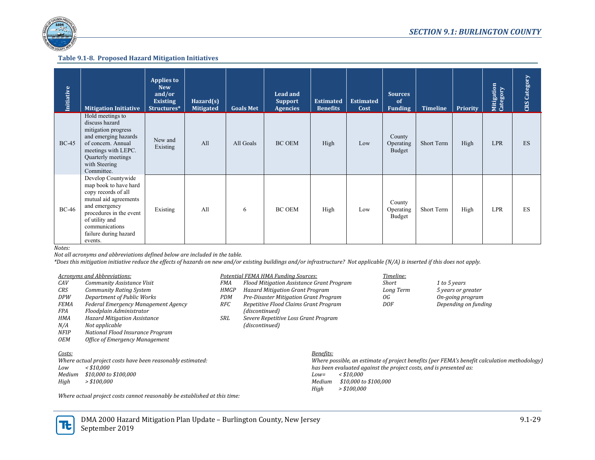

| <b>Initiative</b> | <b>Mitigation Initiative</b>                                                                                                                                                                                    | <b>Applies to</b><br><b>New</b><br>and/or<br><b>Existing</b><br>Structures* | Hazard(s)<br><b>Mitigated</b> | <b>Goals Met</b> | <b>Lead and</b><br><b>Support</b><br><b>Agencies</b> | <b>Estimated</b><br><b>Benefits</b> | <b>Estimated</b><br>Cost | <b>Sources</b><br>of<br><b>Funding</b> | <b>Timeline</b> | <b>Priority</b> | Mitigation<br>Category | <b>CRS</b> Category |
|-------------------|-----------------------------------------------------------------------------------------------------------------------------------------------------------------------------------------------------------------|-----------------------------------------------------------------------------|-------------------------------|------------------|------------------------------------------------------|-------------------------------------|--------------------------|----------------------------------------|-----------------|-----------------|------------------------|---------------------|
| $BC-45$           | Hold meetings to<br>discuss hazard<br>mitigation progress<br>and emerging hazards<br>of concern. Annual<br>meetings with LEPC.<br>Quarterly meetings<br>with Steering<br>Committee.                             | New and<br>Existing                                                         | A11                           | All Goals        | <b>BC OEM</b>                                        | High                                | Low                      | County<br>Operating<br>Budget          | Short Term      | High            | <b>LPR</b>             | ES                  |
| $BC-46$           | Develop Countywide<br>map book to have hard<br>copy records of all<br>mutual aid agreements<br>and emergency<br>procedures in the event<br>of utility and<br>communications<br>failure during hazard<br>events. | Existing                                                                    | A11                           | 6                | <b>BC OEM</b>                                        | High                                | Low                      | County<br>Operating<br>Budget          | Short Term      | High            | <b>LPR</b>             | ES                  |

*Notes:* 

*Not all acronyms and abbreviations defined below are included in the table.*

*\*Does this mitigation initiative reduce the effects of hazards on new and/or existing buildings and/or infrastructure? Not applicable (N/A) is inserted if this does not apply.*

| Acronyms and Abbreviations: | Potential FEMA HMA Fundina Sources: | l'imeline: |
|-----------------------------|-------------------------------------|------------|
|-----------------------------|-------------------------------------|------------|

| CAV         | Community Assistance Visit                                 | FMA         | Flood Mitigation Assistance Grant Program |           |                       | <b>Short</b>                                                       | 1 to 5 years                                                                                 |
|-------------|------------------------------------------------------------|-------------|-------------------------------------------|-----------|-----------------------|--------------------------------------------------------------------|----------------------------------------------------------------------------------------------|
| CRS         | <b>Community Rating System</b>                             | <b>HMGP</b> | <b>Hazard Mitigation Grant Program</b>    |           |                       | Long Term                                                          | 5 years or greater                                                                           |
| <b>DPW</b>  | Department of Public Works                                 | PDM         | Pre-Disaster Mitigation Grant Program     |           |                       | 0G                                                                 | On-going program                                                                             |
| <b>FEMA</b> | <b>Federal Emergency Management Agency</b>                 | <b>RFC</b>  | Repetitive Flood Claims Grant Program     |           |                       | DOF                                                                | Depending on funding                                                                         |
| FPA         | Floodplain Administrator                                   |             | (discontinued)                            |           |                       |                                                                    |                                                                                              |
| HMA         | <b>Hazard Mitigation Assistance</b>                        | SRL         | Severe Repetitive Loss Grant Program      |           |                       |                                                                    |                                                                                              |
| N/A         | Not applicable                                             |             | (discontinued)                            |           |                       |                                                                    |                                                                                              |
| NFIP        | National Flood Insurance Program                           |             |                                           |           |                       |                                                                    |                                                                                              |
| <b>OEM</b>  | <b>Office of Emergency Management</b>                      |             |                                           |           |                       |                                                                    |                                                                                              |
| Costs:      |                                                            |             |                                           | Benefits: |                       |                                                                    |                                                                                              |
|             | Where actual project costs have been reasonably estimated: |             |                                           |           |                       |                                                                    | Where possible, an estimate of project benefits (per FEMA's benefit calculation methodology) |
| Low         | $<$ \$10.000                                               |             |                                           |           |                       | has been evaluated against the project costs, and is presented as: |                                                                                              |
| Medium      | <i>\$10,000 to \$100,000</i>                               |             |                                           | Low=      | $\langle$ \$10.000    |                                                                    |                                                                                              |
| High        | $>$ \$100.000                                              |             |                                           | Medium    | \$10,000 to \$100,000 |                                                                    |                                                                                              |

*High > \$100,000*

*Where actual project costs cannot reasonably be established at this time:* 

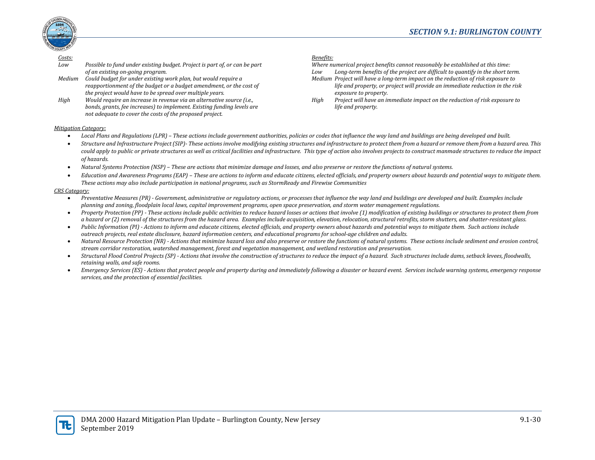*Where numerical project benefits cannot reasonably be established at this time: Low Long-term benefits of the project are difficult to quantify in the short term. Medium Project will have a long-term impact on the reduction of risk exposure to* 

*High Project will have an immediate impact on the reduction of risk exposure to* 

*exposure to property.* 

*life and property.*

*life and property, or project will provide an immediate reduction in the risk* 



#### *Costs: Benefits:*

| Low | Possible to fund under existing budget. Project is part of, or can be part |
|-----|----------------------------------------------------------------------------|
|     | of an existing on-going program.                                           |

*Medium Could budget for under existing work plan, but would require a reapportionment of the budget or a budget amendment, or the cost of the project would have to be spread over multiple years.*

*High Would require an increase in revenue via an alternative source (i.e., bonds, grants, fee increases) to implement. Existing funding levels are not adequate to cover the costs of the proposed project.*

#### *Mitigation Category:*

#### • *Local Plans and Regulations (LPR) – These actions include government authorities, policies or codes that influence the way land and buildings are being developed and built.*

- *Structure and Infrastructure Project (SIP)- These actions involve modifying existing structures and infrastructure to protect them from a hazard or remove them from a hazard area. This could apply to public or private structures as well as critical facilities and infrastructure. This type of action also involves projects to construct manmade structures to reduce the impact of hazards.*
- *Natural Systems Protection (NSP) – These are actions that minimize damage and losses, and also preserve or restore the functions of natural systems.*
- *Education and Awareness Programs (EAP) – These are actions to inform and educate citizens, elected officials, and property owners about hazards and potential ways to mitigate them. These actions may also include participation in national programs, such as StormReady and Firewise Communities*

#### *CRS Category:*

- *Preventative Measures (PR) - Government, administrative or regulatory actions, or processes that influence the way land and buildings are developed and built. Examples include planning and zoning, floodplain local laws, capital improvement programs, open space preservation, and storm water management regulations.*
- *Property Protection (PP) - These actions include public activities to reduce hazard losses or actions that involve (1) modification of existing buildings or structures to protect them from a hazard or (2) removal of the structures from the hazard area. Examples include acquisition, elevation, relocation, structural retrofits, storm shutters, and shatter-resistant glass.*
- *Public Information (PI) - Actions to inform and educate citizens, elected officials, and property owners about hazards and potential ways to mitigate them. Such actions include outreach projects, real estate disclosure, hazard information centers, and educational programs for school-age children and adults.*
- Natural Resource Protection (NR) Actions that minimize hazard loss and also preserve or restore the functions of natural systems. These actions include sediment and erosion control, *stream corridor restoration, watershed management, forest and vegetation management, and wetland restoration and preservation.*
- *Structural Flood Control Projects (SP) - Actions that involve the construction of structures to reduce the impact of a hazard. Such structures include dams, setback levees, floodwalls, retaining walls, and safe rooms.*
- *Emergency Services (ES) - Actions that protect people and property during and immediately following a disaster or hazard event. Services include warning systems, emergency response services, and the protection of essential facilities.*

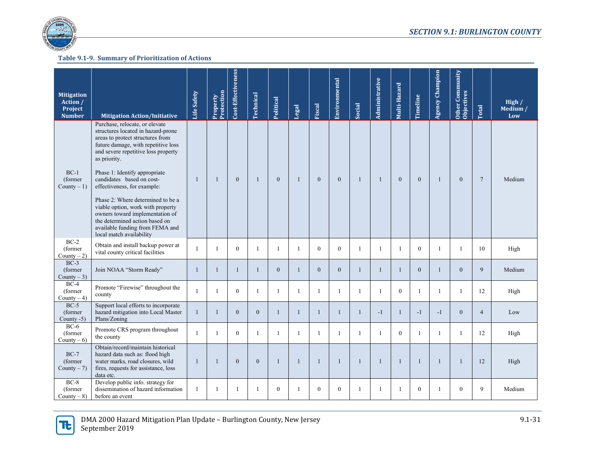

| <b>Mitigation</b><br>Action /<br>Project<br><b>Number</b> | <b>Mitigation Action/Initiative</b>                                                                                                                                                                                                                                                                                                                                                                                                                                                                               | Life Safety  | Protection<br>Property | Cost-Effectiveness | <b>Technical</b> | Political      | Legal          | <b>Fiscal</b> | Environmental | Social       | Administrative | Multi-Hazard | Timeline     | <b>Agency Champion</b> | Other Community<br><b>Objectives</b> | Total           | High $/$<br>Medium /<br>Low |
|-----------------------------------------------------------|-------------------------------------------------------------------------------------------------------------------------------------------------------------------------------------------------------------------------------------------------------------------------------------------------------------------------------------------------------------------------------------------------------------------------------------------------------------------------------------------------------------------|--------------|------------------------|--------------------|------------------|----------------|----------------|---------------|---------------|--------------|----------------|--------------|--------------|------------------------|--------------------------------------|-----------------|-----------------------------|
| $BC-1$<br>(former<br>County $-1$ )                        | Purchase, relocate, or elevate<br>structures located in hazard-prone<br>areas to protect structures from<br>future damage, with repetitive loss<br>and severe repetitive loss property<br>as priority.<br>Phase 1: Identify appropriate<br>candidates based on cost-<br>effectiveness, for example:<br>Phase 2: Where determined to be a<br>viable option, work with property<br>owners toward implementation of<br>the determined action based on<br>available funding from FEMA and<br>local match availability | -1           | 1                      | $\mathbf{0}$       | -1               | $\mathbf{0}$   | $\mathbf{1}$   | $\mathbf{0}$  | $\mathbf{0}$  | $\mathbf{1}$ | 1              | $\mathbf{0}$ | $\mathbf{0}$ | $\overline{1}$         | $\overline{0}$                       | $7\phantom{.0}$ | Medium                      |
| $BC-2$<br>(former)<br>$County - 2)$                       | Obtain and install backup power at<br>vital county critical facilities                                                                                                                                                                                                                                                                                                                                                                                                                                            | $\mathbf{1}$ | $\mathbf{1}$           | $\Omega$           | $\mathbf{1}$     | $\overline{1}$ | $\overline{1}$ | $\Omega$      | $\theta$      | $\mathbf{1}$ | $\mathbf{1}$   |              | $\theta$     | $\mathbf{1}$           | $\mathbf{1}$                         | 10              | High                        |
| $BC-3$<br>(former)<br>County $-3$ )                       | Join NOAA "Storm Ready"                                                                                                                                                                                                                                                                                                                                                                                                                                                                                           | $\mathbf{1}$ | $\mathbf{1}$           | $\mathbf{1}$       | $\mathbf{1}$     | $\mathbf{0}$   | $\mathbf{1}$   | $\mathbf{0}$  | $\mathbf{0}$  | $\mathbf{1}$ | $\mathbf{1}$   | $\mathbf{1}$ | $\mathbf{0}$ | -1                     | $\overline{0}$                       | 9               | Medium                      |
| $BC-4$<br>(former)<br>County $-4$ )                       | Promote "Firewise" throughout the<br>county                                                                                                                                                                                                                                                                                                                                                                                                                                                                       | $\mathbf{1}$ | $\mathbf{1}$           | $\boldsymbol{0}$   | $\mathbf{1}$     | $\mathbf{1}$   |                | $\mathbf{1}$  | $\mathbf{1}$  | $\mathbf{1}$ | $\mathbf{1}$   | $\mathbf{0}$ | $\mathbf{1}$ | $\mathbf{1}$           | 1                                    | 12              | High                        |
| $BC-5$<br>(former)<br>County -5)                          | Support local efforts to incorporate<br>hazard mitigation into Local Master<br>Plans/Zoning                                                                                                                                                                                                                                                                                                                                                                                                                       | $\mathbf{1}$ | $\mathbf{1}$           | $\overline{0}$     | $\mathbf{0}$     | $\mathbf{1}$   | $\mathbf{1}$   | $\mathbf{1}$  | $\mathbf{1}$  | $\mathbf{1}$ | $-1$           |              | $-1$         | $-1$                   | $\overline{0}$                       | $\overline{4}$  | Low                         |
| $BC-6$<br>(former)<br>County $-6$ )                       | Promote CRS program throughout<br>the county                                                                                                                                                                                                                                                                                                                                                                                                                                                                      | $\mathbf{1}$ | $\mathbf{1}$           | $\mathbf{0}$       | $\mathbf{1}$     | $\mathbf{1}$   | $\overline{1}$ | $\mathbf{1}$  | 1             | $\mathbf{1}$ | $\mathbf{1}$   | $\mathbf{0}$ | 1            | $\mathbf{1}$           | $\mathbf{1}$                         | 12              | High                        |
| $BC-7$<br>(former)<br>County $-7$ )                       | Obtain/record/maintain historical<br>hazard data such as: flood high<br>water marks, road closures, wild<br>fires, requests for assistance, loss<br>data etc.                                                                                                                                                                                                                                                                                                                                                     | $\mathbf{1}$ | $\mathbf{1}$           | $\mathbf{0}$       | $\mathbf{0}$     | $\mathbf{1}$   | $\mathbf{1}$   | 1             | $\mathbf{1}$  |              | $\mathbf{1}$   |              | $\mathbf{1}$ | $\mathbf{1}$           | 1                                    | 12              | High                        |
| $BC-8$<br>(former)<br>County $-8$ )                       | Develop public info. strategy for<br>dissemination of hazard information<br>before an event                                                                                                                                                                                                                                                                                                                                                                                                                       | 1            | 1                      | $\mathbf{1}$       | -1               | $\theta$       |                | $\mathbf{0}$  | $\mathbf{0}$  |              | $\mathbf{1}$   |              | $\mathbf{0}$ |                        | $\overline{0}$                       | 9               | Medium                      |

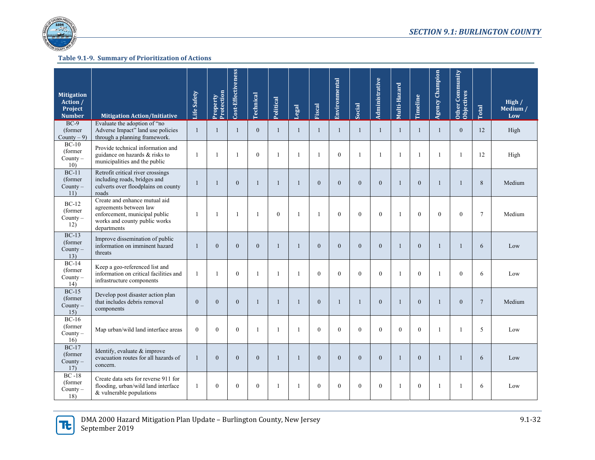

| <b>Mitigation</b><br>Action /<br>Project<br>Number | <b>Mitigation Action/Initiative</b>                                                                                                      | Life Safety    | Property<br>Protection | Cost-Effectiveness | <b>rechnical</b> | Political      | Legal        | Fiscal       | Environmental    | <b>Social</b>  | Administrative   | Multi-Hazard | Timeline       | <b>Agency Champion</b> | Other Community<br><b>Objectives</b> | <b>Total</b>    | High $/$<br>Medium /<br>Low |
|----------------------------------------------------|------------------------------------------------------------------------------------------------------------------------------------------|----------------|------------------------|--------------------|------------------|----------------|--------------|--------------|------------------|----------------|------------------|--------------|----------------|------------------------|--------------------------------------|-----------------|-----------------------------|
| $BC-9$<br>(former<br>County $-9$ )                 | Evaluate the adoption of "no<br>Adverse Impact" land use policies<br>through a planning framework.                                       | $\mathbf{1}$   | $\mathbf{1}$           | $\mathbf{1}$       | $\mathbf{0}$     | $\mathbf{1}$   | $\mathbf{1}$ | $\mathbf{1}$ | $\mathbf{1}$     | $\mathbf{1}$   | $\mathbf{1}$     | $\mathbf{1}$ | $\mathbf{1}$   | $\mathbf{1}$           | $\mathbf{0}$                         | 12              | High                        |
| $BC-10$<br>(former)<br>County-<br>10)              | Provide technical information and<br>guidance on hazards & risks to<br>municipalities and the public                                     | $\mathbf{1}$   | $\mathbf{1}$           | $\mathbf{1}$       | $\mathbf{0}$     | $\mathbf{1}$   |              | 1            | $\mathbf{0}$     | $\mathbf{1}$   | 1                | -1           | $\mathbf{1}$   | $\mathbf{1}$           | $\mathbf{1}$                         | 12              | High                        |
| $BC-11$<br>(former)<br>County $-$<br>11)           | Retrofit critical river crossings<br>including roads, bridges and<br>culverts over floodplains on county<br>roads                        | $\mathbf{1}$   | $\mathbf{1}$           | $\mathbf{0}$       | $\mathbf{1}$     | $\mathbf{1}$   | $\mathbf{1}$ | $\mathbf{0}$ | $\mathbf{0}$     | $\theta$       | $\mathbf{0}$     | -1           | $\mathbf{0}$   | $\mathbf{1}$           | $\mathbf{1}$                         | 8               | Medium                      |
| $BC-12$<br>(former)<br>County-<br>12)              | Create and enhance mutual aid<br>agreements between law<br>enforcement, municipal public<br>works and county public works<br>departments | $\overline{1}$ | $\mathbf{1}$           | $\mathbf{1}$       | $\mathbf{1}$     | $\theta$       | -1           | -1           | $\theta$         | $\Omega$       | $\theta$         |              | $\Omega$       | $\Omega$               | $\Omega$                             | $\tau$          | Medium                      |
| $BC-13$<br>(former)<br>County $-$<br>13)           | Improve dissemination of public<br>information on imminent hazard<br>threats                                                             | $\mathbf{1}$   | $\mathbf{0}$           | $\boldsymbol{0}$   | $\mathbf{0}$     | $\mathbf{1}$   | $\mathbf{1}$ | $\mathbf{0}$ | $\mathbf{0}$     | $\mathbf{0}$   | $\mathbf{0}$     | $\mathbf{1}$ | $\overline{0}$ | $\mathbf{1}$           | $\mathbf{1}$                         | 6               | Low                         |
| $BC-14$<br>(former)<br>County $-$<br>14)           | Keep a geo-referenced list and<br>information on critical facilities and<br>infrastructure components                                    | -1             | $\mathbf{1}$           | $\mathbf{0}$       | $\mathbf{1}$     | $\mathbf{1}$   |              | $\theta$     | $\theta$         | $\theta$       | $\theta$         |              | $\theta$       | $\mathbf{1}$           | $\Omega$                             | 6               | Low                         |
| $BC-15$<br>(former)<br>County-<br>15)              | Develop post disaster action plan<br>that includes debris removal<br>components                                                          | $\mathbf{0}$   | $\overline{0}$         | $\theta$           | $\mathbf{1}$     | $\mathbf{1}$   | $\mathbf{1}$ | $\theta$     | $\overline{1}$   | $\mathbf{1}$   | $\Omega$         | $\mathbf{1}$ | $\theta$       | $\mathbf{1}$           | $\Omega$                             | $7\phantom{.0}$ | Medium                      |
| $BC-16$<br>(former)<br>County $-$<br>16)           | Map urban/wild land interface areas                                                                                                      | $\theta$       | $\theta$               | $\theta$           | $\mathbf{1}$     | $\overline{1}$ | $\mathbf{1}$ | $\theta$     | $\theta$         | $\theta$       | $\theta$         | $\Omega$     | $\theta$       | $\mathbf{1}$           | $\mathbf{1}$                         | 5               | Low                         |
| $BC-17$<br>(former<br>$Countv -$<br>17)            | Identify, evaluate & improve<br>evacuation routes for all hazards of<br>concern.                                                         | $\mathbf{1}$   | $\mathbf{0}$           | $\boldsymbol{0}$   | $\boldsymbol{0}$ | $\mathbf{1}$   | 1            | $\mathbf{0}$ | $\boldsymbol{0}$ | $\overline{0}$ | $\boldsymbol{0}$ | -1           | $\mathbf{0}$   | $\mathbf{1}$           | 1                                    | 6               | Low                         |
| $BC -18$<br>(former)<br>County $-$<br>18)          | Create data sets for reverse 911 for<br>flooding, urban/wild land interface<br>& vulnerable populations                                  | $\mathbf{1}$   | $\mathbf{0}$           | $\mathbf{0}$       | $\mathbf{0}$     | $\mathbf{1}$   |              | $\mathbf{0}$ | $\mathbf{0}$     | $\mathbf{0}$   | $\mathbf{0}$     | -1           | $\mathbf{0}$   | $\mathbf{1}$           | $\mathbf{1}$                         | 6               | Low                         |

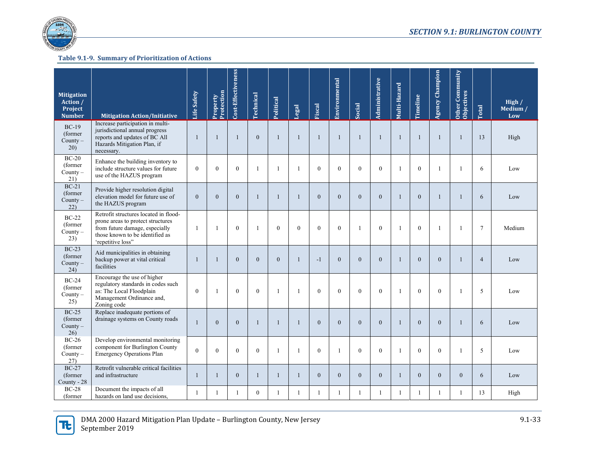

| <b>Mitigation</b><br>Action /<br>Project<br><b>Number</b> | <b>Mitigation Action/Initiative</b>                                                                                                                                  | Life Safety      | Protection<br>Property | Cost-Effectiveness | <b>Technical</b> | Political      | Legal        | Fiscal       | Environmental    | Social         | Administrative | Multi-Hazard | Timeline     | <b>Agency Champion</b> | Other Community<br><b>Objectives</b> | Total          | High $/$<br>Medium /<br>Low |
|-----------------------------------------------------------|----------------------------------------------------------------------------------------------------------------------------------------------------------------------|------------------|------------------------|--------------------|------------------|----------------|--------------|--------------|------------------|----------------|----------------|--------------|--------------|------------------------|--------------------------------------|----------------|-----------------------------|
| $BC-19$<br>(former)<br>County $-$<br>20)                  | Increase participation in multi-<br>jurisdictional annual progress<br>reports and updates of BC All<br>Hazards Mitigation Plan, if<br>necessary.                     | -1               | $\mathbf{1}$           | $\overline{1}$     | $\mathbf{0}$     | $\mathbf{1}$   | $\mathbf{1}$ | $\mathbf{1}$ | $\overline{1}$   | -1             | $\mathbf{1}$   | $\mathbf{1}$ | $\mathbf{1}$ | -1                     | $\mathbf{1}$                         | 13             | High                        |
| $BC-20$<br>(former)<br>County $-$<br>21)                  | Enhance the building inventory to<br>include structure values for future<br>use of the HAZUS program                                                                 | $\mathbf{0}$     | $\theta$               | $\mathbf{0}$       | $\mathbf{1}$     | $\overline{1}$ |              | $\mathbf{0}$ | $\mathbf{0}$     | $\theta$       | $\mathbf{0}$   | $\mathbf{1}$ | $\mathbf{0}$ | $\mathbf{1}$           | 1                                    | 6              | Low                         |
| $BC-21$<br>(former)<br>County $-$<br>22)                  | Provide higher resolution digital<br>elevation model for future use of<br>the HAZUS program                                                                          | $\mathbf{0}$     | $\theta$               | $\mathbf{0}$       | 1                | $\mathbf{1}$   | 1            | $\mathbf{0}$ | $\mathbf{0}$     | $\theta$       | $\mathbf{0}$   | $\mathbf{1}$ | $\mathbf{0}$ | $\mathbf{1}$           | 1                                    | 6              | Low                         |
| $BC-22$<br>(former)<br>$Country -$<br>23)                 | Retrofit structures located in flood-<br>prone areas to protect structures<br>from future damage, especially<br>those known to be identified as<br>'repetitive loss" | $\mathbf{1}$     | $\mathbf{1}$           | $\theta$           | -1               | $\theta$       | $\theta$     | $\mathbf{0}$ | $\mathbf{0}$     |                | $\mathbf{0}$   | $\mathbf{1}$ | $\mathbf{0}$ |                        | 1                                    | $\overline{7}$ | Medium                      |
| $BC-23$<br>(former<br>County $-$<br>(24)                  | Aid municipalities in obtaining<br>backup power at vital critical<br>facilities                                                                                      | $\overline{1}$   | $\mathbf{1}$           | $\mathbf{0}$       | $\theta$         | $\theta$       | 1            | $-1$         | $\mathbf{0}$     | $\theta$       | $\Omega$       | $\mathbf{1}$ | $\theta$     | $\theta$               | $\mathbf{1}$                         | $\overline{4}$ | Low                         |
| $BC-24$<br>(former<br>County $-$<br>25)                   | Encourage the use of higher<br>regulatory standards in codes such<br>as: The Local Floodplain<br>Management Ordinance and,<br>Zoning code                            | $\boldsymbol{0}$ | $\mathbf{1}$           | $\theta$           | $\mathbf{0}$     | -1             |              | $\mathbf{0}$ | $\boldsymbol{0}$ | $\theta$       | $\mathbf{0}$   |              | $\mathbf{0}$ | $\overline{0}$         |                                      | 5              | Low                         |
| $BC-25$<br>(former<br>County $-$<br>26)                   | Replace inadequate portions of<br>drainage systems on County roads                                                                                                   | $\mathbf{1}$     | $\mathbf{0}$           | $\boldsymbol{0}$   | $\mathbf{1}$     | $\mathbf{1}$   | $\mathbf{1}$ | $\mathbf{0}$ | $\boldsymbol{0}$ | $\overline{0}$ | $\overline{0}$ | $\mathbf{1}$ | $\mathbf{0}$ | $\overline{0}$         | 1                                    | 6              | Low                         |
| $BC-26$<br>(former)<br>$County -$<br>27)                  | Develop environmental monitoring<br>component for Burlington County<br><b>Emergency Operations Plan</b>                                                              | $\theta$         | $\theta$               | $\mathbf{0}$       | $\theta$         | $\mathbf{1}$   | $\mathbf{1}$ | $\mathbf{0}$ | $\mathbf{1}$     | $\theta$       | $\theta$       | $\mathbf{1}$ | $\mathbf{0}$ | $\theta$               | 1                                    | 5              | Low                         |
| $BC-27$<br>(former<br>County - 28                         | Retrofit vulnerable critical facilities<br>and infrastructure                                                                                                        | $\mathbf{1}$     | $\mathbf{1}$           | $\boldsymbol{0}$   | $\mathbf{1}$     | $\mathbf{1}$   | $\mathbf{1}$ | $\mathbf{0}$ | $\mathbf{0}$     | $\overline{0}$ | $\mathbf{0}$   | $\mathbf{1}$ | $\mathbf{0}$ | $\Omega$               | $\overline{0}$                       | 6              | Low                         |
| $BC-28$<br>(former)                                       | Document the impacts of all<br>hazards on land use decisions,                                                                                                        | $\mathbf{1}$     | $\mathbf{1}$           | $\overline{1}$     | $\mathbf{0}$     | $\mathbf{1}$   | $\mathbf{1}$ | 1            | $\mathbf{1}$     |                | $\mathbf{1}$   | $\mathbf{1}$ | 1            | 1                      | 1                                    | 13             | High                        |

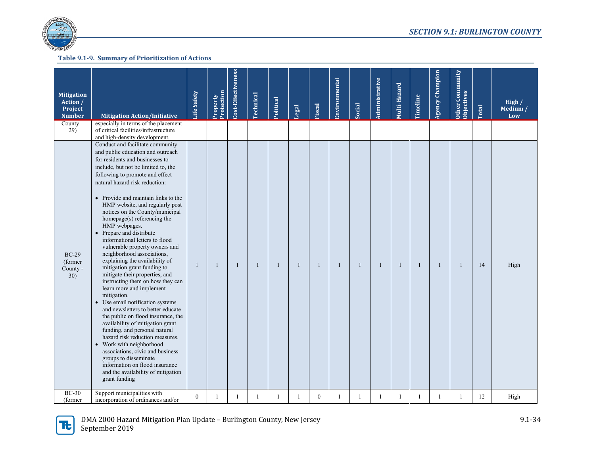

| <b>Mitigation</b><br>Action /<br>Project<br><b>Number</b><br>$County -$ | <b>Mitigation Action/Initiative</b><br>especially in terms of the placement                                                                                                                                                                                                                                                                                                                                                                                                                                                                                                                                                                                                                                                                                                                                                                                                                                                                                                                                                                                                                                                                                                          | Life Safety  | Protection<br>Property | Cost-Effectiveness | <b>Technical</b> | Political    | Legal | Fiscal         | Environmental | Social       | Administrative | Multi-Hazard | Timeline     | <b>Agency Champion</b> | Other Community<br><b>Objectives</b> | Total | High $/$<br>Medium /<br>Low |
|-------------------------------------------------------------------------|--------------------------------------------------------------------------------------------------------------------------------------------------------------------------------------------------------------------------------------------------------------------------------------------------------------------------------------------------------------------------------------------------------------------------------------------------------------------------------------------------------------------------------------------------------------------------------------------------------------------------------------------------------------------------------------------------------------------------------------------------------------------------------------------------------------------------------------------------------------------------------------------------------------------------------------------------------------------------------------------------------------------------------------------------------------------------------------------------------------------------------------------------------------------------------------|--------------|------------------------|--------------------|------------------|--------------|-------|----------------|---------------|--------------|----------------|--------------|--------------|------------------------|--------------------------------------|-------|-----------------------------|
| 29)<br>$BC-29$<br>(former)<br>County -<br>30)                           | of critical facilities/infrastructure<br>and high-density development.<br>Conduct and facilitate community<br>and public education and outreach<br>for residents and businesses to<br>include, but not be limited to, the<br>following to promote and effect<br>natural hazard risk reduction:<br>• Provide and maintain links to the<br>HMP website, and regularly post<br>notices on the County/municipal<br>homepage(s) referencing the<br>HMP webpages.<br>• Prepare and distribute<br>informational letters to flood<br>vulnerable property owners and<br>neighborhood associations,<br>explaining the availability of<br>mitigation grant funding to<br>mitigate their properties, and<br>instructing them on how they can<br>learn more and implement<br>mitigation.<br>• Use email notification systems<br>and newsletters to better educate<br>the public on flood insurance, the<br>availability of mitigation grant<br>funding, and personal natural<br>hazard risk reduction measures.<br>• Work with neighborhood<br>associations, civic and business<br>groups to disseminate<br>information on flood insurance<br>and the availability of mitigation<br>grant funding | $\mathbf{1}$ | $\overline{1}$         | $\mathbf{1}$       | $\mathbf{1}$     | $\mathbf{1}$ | -1    | $\mathbf{1}$   | $\mathbf{1}$  | $\mathbf{1}$ | $\mathbf{1}$   | -1           | $\mathbf{1}$ | $\mathbf{1}$           | 1                                    | 14    | High                        |
| $BC-30$<br>(former)                                                     | Support municipalities with<br>incorporation of ordinances and/or                                                                                                                                                                                                                                                                                                                                                                                                                                                                                                                                                                                                                                                                                                                                                                                                                                                                                                                                                                                                                                                                                                                    | $\mathbf{0}$ | 1                      | 1                  | 1                |              |       | $\overline{0}$ | 1             |              | $\mathbf{1}$   | -1           | -1           | $\mathbf{1}$           | 1                                    | 12    | High                        |

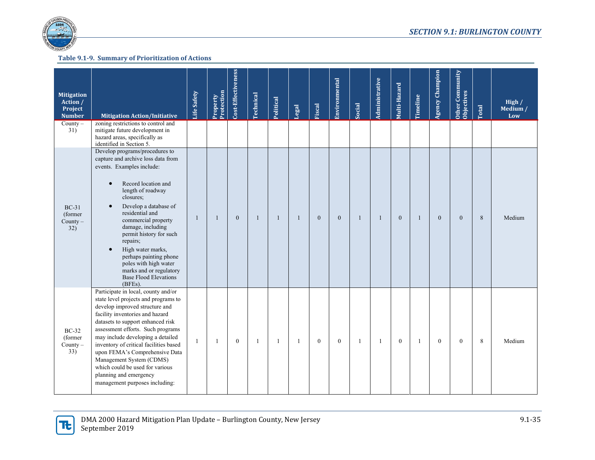

| <b>Mitigation</b><br>Action /<br>Project<br><b>Number</b> | <b>Mitigation Action/Initiative</b>                                                                                                                                                                                                                                                                                                                                                                                                                                               | Life Safety | Protection<br>Property | Cost-Effectiveness | Technical    | Political    | Legal | Fiscal       | Environmental    | Social       | Administrative | Multi-Hazard | Timeline     | <b>Agency Champion</b> | Other Community<br>Objectives | Total | High $/$<br>Medium /<br>Low |
|-----------------------------------------------------------|-----------------------------------------------------------------------------------------------------------------------------------------------------------------------------------------------------------------------------------------------------------------------------------------------------------------------------------------------------------------------------------------------------------------------------------------------------------------------------------|-------------|------------------------|--------------------|--------------|--------------|-------|--------------|------------------|--------------|----------------|--------------|--------------|------------------------|-------------------------------|-------|-----------------------------|
| $Country -$<br>31)                                        | zoning restrictions to control and<br>mitigate future development in<br>hazard areas, specifically as<br>identified in Section 5.                                                                                                                                                                                                                                                                                                                                                 |             |                        |                    |              |              |       |              |                  |              |                |              |              |                        |                               |       |                             |
| $BC-31$<br>(former)<br>County $-$<br>32)                  | Develop programs/procedures to<br>capture and archive loss data from<br>events. Examples include:<br>Record location and<br>$\bullet$<br>length of roadway<br>closures;<br>Develop a database of<br>$\bullet$<br>residential and<br>commercial property<br>damage, including<br>permit history for such<br>repairs;<br>High water marks,<br>$\bullet$<br>perhaps painting phone<br>poles with high water<br>marks and or regulatory<br><b>Base Flood Elevations</b><br>$(BFEs)$ . | 1           | $\mathbf{1}$           | $\mathbf{0}$       | $\mathbf{1}$ | $\mathbf{1}$ | -1    | $\mathbf{0}$ | $\mathbf{0}$     | $\mathbf{1}$ | $\mathbf{1}$   | $\mathbf{0}$ | $\mathbf{1}$ | $\mathbf{0}$           | $\overline{0}$                | 8     | Medium                      |
| $BC-32$<br>(former)<br>$County -$<br>33)                  | Participate in local, county and/or<br>state level projects and programs to<br>develop improved structure and<br>facility inventories and hazard<br>datasets to support enhanced risk<br>assessment efforts. Such programs<br>may include developing a detailed<br>inventory of critical facilities based<br>upon FEMA's Comprehensive Data<br>Management System (CDMS)<br>which could be used for various<br>planning and emergency<br>management purposes including:            | 1           | 1                      | $\mathbf{0}$       | -1           | -1           | -1    | $\mathbf{0}$ | $\boldsymbol{0}$ | $\mathbf{1}$ | $\mathbf{1}$   | $\mathbf{0}$ | 1            | $\mathbf{0}$           | $\mathbf{0}$                  | 8     | Medium                      |

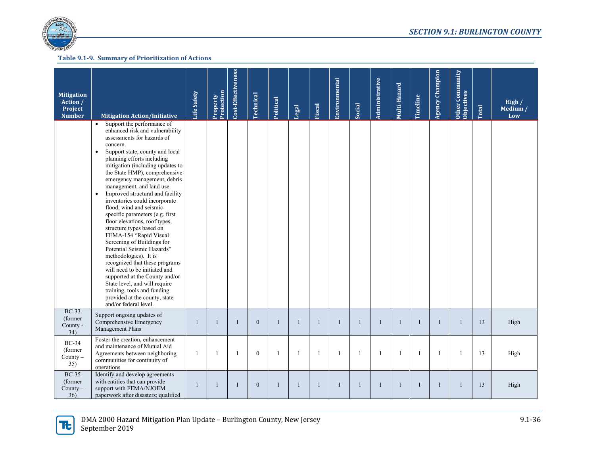

| <b>Mitigation</b><br>Action /<br>Project<br><b>Number</b> | <b>Mitigation Action/Initiative</b>                                                                                                                                                                                                                                                                                                                                                                                                                                                                                                                                                                                                                                                                                                                                                                                                                                                              | Life Safety  | Property<br>Protection | Cost-Effectiveness | Technical    | Political    | Legal        | Fiscal       | Environmental  | Social       | Administrative | Multi-Hazard | Timeline     | <b>Agency Champion</b> | Other Community<br>Objectives | Total | High $/$<br>Medium /<br>Low |
|-----------------------------------------------------------|--------------------------------------------------------------------------------------------------------------------------------------------------------------------------------------------------------------------------------------------------------------------------------------------------------------------------------------------------------------------------------------------------------------------------------------------------------------------------------------------------------------------------------------------------------------------------------------------------------------------------------------------------------------------------------------------------------------------------------------------------------------------------------------------------------------------------------------------------------------------------------------------------|--------------|------------------------|--------------------|--------------|--------------|--------------|--------------|----------------|--------------|----------------|--------------|--------------|------------------------|-------------------------------|-------|-----------------------------|
|                                                           | Support the performance of<br>$\bullet$<br>enhanced risk and vulnerability<br>assessments for hazards of<br>concern.<br>Support state, county and local<br>$\bullet$<br>planning efforts including<br>mitigation (including updates to<br>the State HMP), comprehensive<br>emergency management, debris<br>management, and land use.<br>Improved structural and facility<br>$\bullet$<br>inventories could incorporate<br>flood, wind and seismic-<br>specific parameters (e.g. first<br>floor elevations, roof types,<br>structure types based on<br>FEMA-154 "Rapid Visual<br>Screening of Buildings for<br>Potential Seismic Hazards"<br>methodologies). It is<br>recognized that these programs<br>will need to be initiated and<br>supported at the County and/or<br>State level, and will require<br>training, tools and funding<br>provided at the county, state<br>and/or federal level. |              |                        |                    |              |              |              |              |                |              |                |              |              |                        |                               |       |                             |
| <b>BC-33</b><br>(former)<br>County -<br>34)               | Support ongoing updates of<br>Comprehensive Emergency<br>Management Plans                                                                                                                                                                                                                                                                                                                                                                                                                                                                                                                                                                                                                                                                                                                                                                                                                        | $\mathbf{1}$ | $\mathbf{1}$           | $\mathbf{1}$       | $\mathbf{0}$ | $\mathbf{1}$ | 1            | $\mathbf{1}$ | $\mathbf{1}$   | $\mathbf{1}$ | $\mathbf{1}$   | -1           | -1           | -1                     | 1                             | 13    | High                        |
| $BC-34$<br>(former)<br>County $-$<br>35)                  | Foster the creation, enhancement<br>and maintenance of Mutual Aid<br>Agreements between neighboring<br>communities for continuity of<br>operations                                                                                                                                                                                                                                                                                                                                                                                                                                                                                                                                                                                                                                                                                                                                               | -1           | $\overline{1}$         | $\mathbf{1}$       | $\theta$     | $\mathbf{1}$ | $\mathbf{1}$ | 1            | $\overline{1}$ | $\mathbf{1}$ | $\mathbf{1}$   | $\mathbf{1}$ | $\mathbf{1}$ | $\mathbf{1}$           | 1                             | 13    | High                        |
| <b>BC-35</b><br>(former)<br>$County -$<br>36)             | Identify and develop agreements<br>with entities that can provide<br>support with FEMA/NJOEM<br>paperwork after disasters; qualified                                                                                                                                                                                                                                                                                                                                                                                                                                                                                                                                                                                                                                                                                                                                                             | $\mathbf{1}$ | $\mathbf{1}$           | $\mathbf{1}$       | $\mathbf{0}$ | $\mathbf{1}$ | 1            | $\mathbf{1}$ | $\overline{1}$ | $\mathbf{1}$ | $\mathbf{1}$   | $\mathbf{1}$ |              | $\mathbf{1}$           | $\mathbf{1}$                  | 13    | High                        |

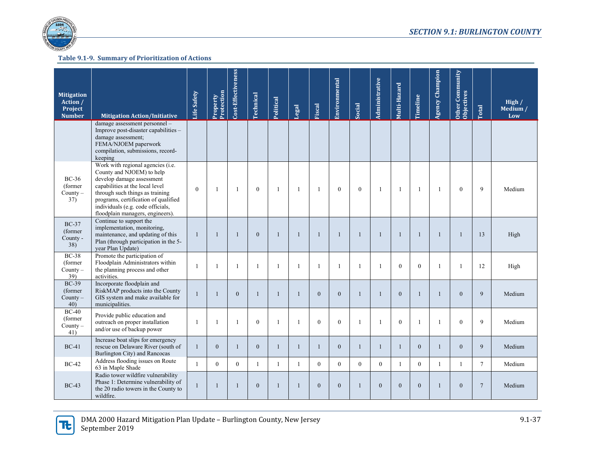

| <b>Mitigation</b><br>Action /<br>Project<br><b>Number</b> | <b>Mitigation Action/Initiative</b>                                                                                                                                                                                                                                                | Life Safety  | Protection<br>Property | Cost-Effectiveness | <b>Technical</b> | Political    | <b>Legal</b> | Fiscal       | Environmental  | Social       | Administrative | Multi-Hazard   | Timeline     | <b>Agency Champion</b> | Other Community<br><b>Objectives</b> | Total          | High $/$<br>Medium /<br>Low |
|-----------------------------------------------------------|------------------------------------------------------------------------------------------------------------------------------------------------------------------------------------------------------------------------------------------------------------------------------------|--------------|------------------------|--------------------|------------------|--------------|--------------|--------------|----------------|--------------|----------------|----------------|--------------|------------------------|--------------------------------------|----------------|-----------------------------|
|                                                           | damage assessment personnel -<br>Improve post-disaster capabilities -<br>damage assessment;<br>FEMA/NJOEM paperwork<br>compilation, submissions, record-<br>keeping                                                                                                                |              |                        |                    |                  |              |              |              |                |              |                |                |              |                        |                                      |                |                             |
| <b>BC-36</b><br>(former)<br>County $-$<br>37)             | Work with regional agencies (i.e.<br>County and NJOEM) to help<br>develop damage assessment<br>capabilities at the local level<br>through such things as training<br>programs, certification of qualified<br>individuals (e.g. code officials,<br>floodplain managers, engineers). | $\mathbf{0}$ | -1                     | $\mathbf{1}$       | $\mathbf{0}$     | -1           | $\mathbf{1}$ | $\mathbf{1}$ | $\mathbf{0}$   | $\mathbf{0}$ | $\mathbf{1}$   | $\overline{1}$ | -1           | -1                     | $\mathbf{0}$                         | 9              | Medium                      |
| $BC-37$<br>(former)<br>County -<br>38)                    | Continue to support the<br>implementation, monitoring,<br>maintenance, and updating of this<br>Plan (through participation in the 5-<br>year Plan Update)                                                                                                                          | -1           | $\mathbf{1}$           | $\mathbf{1}$       | $\theta$         | $\mathbf{1}$ | 1            | $\mathbf{1}$ | $\overline{1}$ | $\mathbf{1}$ | $\mathbf{1}$   | $\mathbf{1}$   | -1           | $\mathbf{1}$           | -1                                   | 13             | High                        |
| $BC-38$<br>(former)<br>County $-$<br>39)                  | Promote the participation of<br>Floodplain Administrators within<br>the planning process and other<br>activities.                                                                                                                                                                  | -1           | $\mathbf{1}$           | $\mathbf{1}$       | $\mathbf{1}$     | $\mathbf{1}$ | $\mathbf{1}$ | 1            | $\overline{1}$ | $\mathbf{1}$ | $\mathbf{1}$   | $\Omega$       | $\theta$     | -1                     | 1                                    | 12             | High                        |
| <b>BC-39</b><br>(former)<br>County $-$<br>40)             | Incorporate floodplain and<br>RiskMAP products into the County<br>GIS system and make available for<br>municipalities.                                                                                                                                                             | $\mathbf{1}$ | $\mathbf{1}$           | $\mathbf{0}$       | 1                | $\mathbf{1}$ | 1            | $\mathbf{0}$ | $\mathbf{0}$   | 1            | $\mathbf{1}$   | $\theta$       | -1           | $\mathbf{1}$           | $\mathbf{0}$                         | 9              | Medium                      |
| $BC-40$<br>(former)<br>County $-$<br>41)                  | Provide public education and<br>outreach on proper installation<br>and/or use of backup power                                                                                                                                                                                      | -1           | $\mathbf{1}$           | $\mathbf{1}$       | $\mathbf{0}$     | $\mathbf{1}$ |              | $\mathbf{0}$ | $\mathbf{0}$   | $\mathbf{1}$ | $\mathbf{1}$   | $\theta$       |              |                        | $\mathbf{0}$                         | 9              | Medium                      |
| $BC-41$                                                   | Increase boat slips for emergency<br>rescue on Delaware River (south of<br>Burlington City) and Rancocas                                                                                                                                                                           | $\mathbf{1}$ | $\mathbf{0}$           | $\mathbf{1}$       | $\mathbf{0}$     | $\mathbf{1}$ | $\mathbf{1}$ | $\mathbf{1}$ | $\mathbf{0}$   | 1            | $\mathbf{1}$   | $\mathbf{1}$   | $\mathbf{0}$ | $\overline{1}$         | $\mathbf{0}$                         | 9              | Medium                      |
| $BC-42$                                                   | Address flooding issues on Route<br>63 in Maple Shade                                                                                                                                                                                                                              | $\mathbf{1}$ | $\theta$               | $\theta$           | 1                | 1            | $\mathbf{1}$ | $\Omega$     | $\theta$       | $\theta$     | $\theta$       | -1             | $\theta$     | 1                      | $\mathbf{1}$                         | $\tau$         | Medium                      |
| $BC-43$                                                   | Radio tower wildfire vulnerability<br>Phase 1: Determine vulnerability of<br>the 20 radio towers in the County to<br>wildfire.                                                                                                                                                     | $\mathbf{1}$ | $\mathbf{1}$           | $\mathbf{1}$       | $\mathbf{0}$     | $\mathbf{1}$ | $\mathbf{1}$ | $\mathbf{0}$ | $\mathbf{0}$   | $\mathbf{1}$ | $\overline{0}$ | $\theta$       | $\mathbf{0}$ | $\overline{1}$         | $\mathbf{0}$                         | $\overline{7}$ | Medium                      |

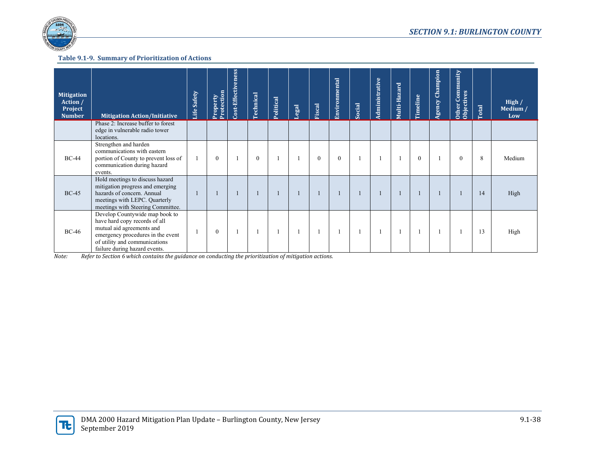

| <b>Mitigation</b><br>Action /<br>Project<br><b>Number</b> | <b>Mitigation Action/Initiative</b><br>Phase 2: Increase buffer to forest<br>edge in vulnerable radio tower<br>locations.                                                                           | Safety<br>Life | Protection<br>Property | Cost-Effectiveness | <b>Technical</b> | Political | Legal | <b>Fiscal</b> | Environmental | Social | Administrative | Multi-Hazard | Timeline | Agency Champion | Other Community<br>Objectives | Total | High /<br>Medium /<br>Low |
|-----------------------------------------------------------|-----------------------------------------------------------------------------------------------------------------------------------------------------------------------------------------------------|----------------|------------------------|--------------------|------------------|-----------|-------|---------------|---------------|--------|----------------|--------------|----------|-----------------|-------------------------------|-------|---------------------------|
| <b>BC-44</b>                                              | Strengthen and harden<br>communications with eastern<br>portion of County to prevent loss of<br>communication during hazard<br>events.                                                              |                | $\mathbf{0}$           |                    | $\theta$         |           |       | $\mathbf{0}$  | $\mathbf{0}$  |        |                |              | $\theta$ |                 | $\theta$                      | 8     | Medium                    |
| $BC-45$                                                   | Hold meetings to discuss hazard<br>mitigation progress and emerging<br>hazards of concern. Annual<br>meetings with LEPC. Quarterly<br>meetings with Steering Committee.                             |                |                        |                    |                  |           |       |               |               |        |                |              |          |                 |                               | 14    | High                      |
| $BC-46$                                                   | Develop Countywide map book to<br>have hard copy records of all<br>mutual aid agreements and<br>emergency procedures in the event<br>of utility and communications<br>failure during hazard events. |                | $\mathbf{0}$           |                    |                  |           |       |               |               |        |                |              |          |                 |                               | 13    | High                      |

*Note: Refer to Section 6 which contains the guidance on conducting the prioritization of mitigation actions.* 

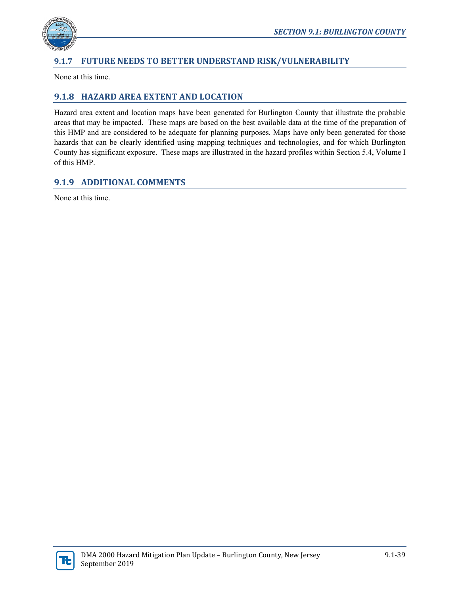

# **9.1.7 FUTURE NEEDS TO BETTER UNDERSTAND RISK/VULNERABILITY**

None at this time.

# **9.1.8 HAZARD AREA EXTENT AND LOCATION**

Hazard area extent and location maps have been generated for Burlington County that illustrate the probable areas that may be impacted. These maps are based on the best available data at the time of the preparation of this HMP and are considered to be adequate for planning purposes. Maps have only been generated for those hazards that can be clearly identified using mapping techniques and technologies, and for which Burlington County has significant exposure. These maps are illustrated in the hazard profiles within Section 5.4, Volume I of this HMP.

# **9.1.9 ADDITIONAL COMMENTS**

None at this time.

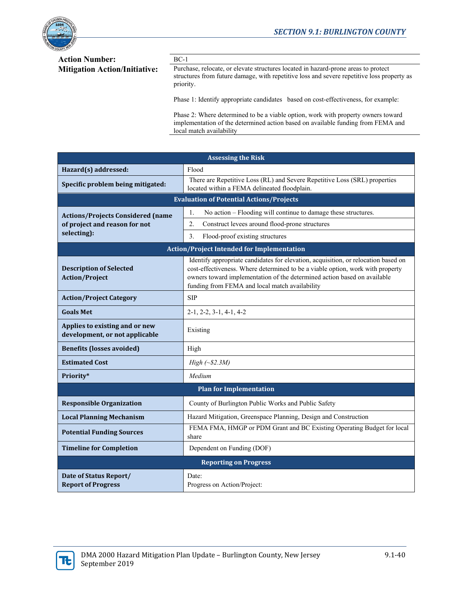

# **Action Number:** BC-1

Mitigation Action/Initiative: Purchase, relocate, or elevate structures located in hazard-prone areas to protect structures from future damage, with repetitive loss and severe repetitive loss property as priority.

Phase 1: Identify appropriate candidates based on cost-effectiveness, for example:

Phase 2: Where determined to be a viable option, work with property owners toward implementation of the determined action based on available funding from FEMA and local match availability

| <b>Assessing the Risk</b>                                        |                                                                                                                                                                                                                                                                                                    |  |  |  |  |  |  |  |  |  |
|------------------------------------------------------------------|----------------------------------------------------------------------------------------------------------------------------------------------------------------------------------------------------------------------------------------------------------------------------------------------------|--|--|--|--|--|--|--|--|--|
| Hazard(s) addressed:                                             | Flood                                                                                                                                                                                                                                                                                              |  |  |  |  |  |  |  |  |  |
| Specific problem being mitigated:                                | There are Repetitive Loss (RL) and Severe Repetitive Loss (SRL) properties<br>located within a FEMA delineated floodplain.                                                                                                                                                                         |  |  |  |  |  |  |  |  |  |
| <b>Evaluation of Potential Actions/Projects</b>                  |                                                                                                                                                                                                                                                                                                    |  |  |  |  |  |  |  |  |  |
| <b>Actions/Projects Considered (name</b>                         | No action – Flooding will continue to damage these structures.<br>1.                                                                                                                                                                                                                               |  |  |  |  |  |  |  |  |  |
| of project and reason for not                                    | $\overline{2}$ .<br>Construct levees around flood-prone structures                                                                                                                                                                                                                                 |  |  |  |  |  |  |  |  |  |
| selecting):                                                      | Flood-proof existing structures<br>3.                                                                                                                                                                                                                                                              |  |  |  |  |  |  |  |  |  |
| <b>Action/Project Intended for Implementation</b>                |                                                                                                                                                                                                                                                                                                    |  |  |  |  |  |  |  |  |  |
| <b>Description of Selected</b><br><b>Action/Project</b>          | Identify appropriate candidates for elevation, acquisition, or relocation based on<br>cost-effectiveness. Where determined to be a viable option, work with property<br>owners toward implementation of the determined action based on available<br>funding from FEMA and local match availability |  |  |  |  |  |  |  |  |  |
| <b>Action/Project Category</b>                                   | <b>SIP</b>                                                                                                                                                                                                                                                                                         |  |  |  |  |  |  |  |  |  |
| <b>Goals Met</b>                                                 | $2-1, 2-2, 3-1, 4-1, 4-2$                                                                                                                                                                                                                                                                          |  |  |  |  |  |  |  |  |  |
| Applies to existing and or new<br>development, or not applicable | Existing                                                                                                                                                                                                                                                                                           |  |  |  |  |  |  |  |  |  |
| <b>Benefits (losses avoided)</b>                                 | High                                                                                                                                                                                                                                                                                               |  |  |  |  |  |  |  |  |  |
| <b>Estimated Cost</b>                                            | High $(\sim$ \$2.3M)                                                                                                                                                                                                                                                                               |  |  |  |  |  |  |  |  |  |
| Priority*                                                        | Medium                                                                                                                                                                                                                                                                                             |  |  |  |  |  |  |  |  |  |
|                                                                  | <b>Plan for Implementation</b>                                                                                                                                                                                                                                                                     |  |  |  |  |  |  |  |  |  |
| <b>Responsible Organization</b>                                  | County of Burlington Public Works and Public Safety                                                                                                                                                                                                                                                |  |  |  |  |  |  |  |  |  |
| <b>Local Planning Mechanism</b>                                  | Hazard Mitigation, Greenspace Planning, Design and Construction                                                                                                                                                                                                                                    |  |  |  |  |  |  |  |  |  |
| <b>Potential Funding Sources</b>                                 | FEMA FMA, HMGP or PDM Grant and BC Existing Operating Budget for local<br>share                                                                                                                                                                                                                    |  |  |  |  |  |  |  |  |  |
| <b>Timeline for Completion</b>                                   | Dependent on Funding (DOF)                                                                                                                                                                                                                                                                         |  |  |  |  |  |  |  |  |  |
|                                                                  | <b>Reporting on Progress</b>                                                                                                                                                                                                                                                                       |  |  |  |  |  |  |  |  |  |
| Date of Status Report/<br><b>Report of Progress</b>              | Date:<br>Progress on Action/Project:                                                                                                                                                                                                                                                               |  |  |  |  |  |  |  |  |  |

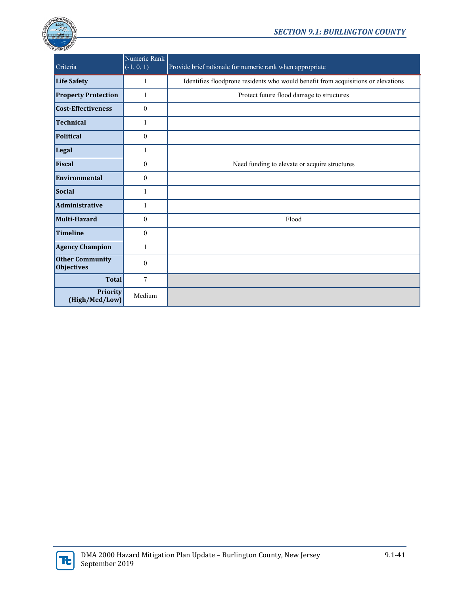



| Criteria                                    | Numeric Rank<br>$(-1, 0, 1)$ | Provide brief rationale for numeric rank when appropriate                         |
|---------------------------------------------|------------------------------|-----------------------------------------------------------------------------------|
| <b>Life Safety</b>                          | 1                            | Identifies floodprone residents who would benefit from acquisitions or elevations |
| <b>Property Protection</b>                  | 1                            | Protect future flood damage to structures                                         |
| <b>Cost-Effectiveness</b>                   | $\mathbf{0}$                 |                                                                                   |
| <b>Technical</b>                            | 1                            |                                                                                   |
| <b>Political</b>                            | $\theta$                     |                                                                                   |
| Legal                                       | 1                            |                                                                                   |
| <b>Fiscal</b>                               | $\mathbf{0}$                 | Need funding to elevate or acquire structures                                     |
| <b>Environmental</b>                        | $\theta$                     |                                                                                   |
| <b>Social</b>                               | 1                            |                                                                                   |
| <b>Administrative</b>                       | 1                            |                                                                                   |
| Multi-Hazard                                | $\theta$                     | Flood                                                                             |
| <b>Timeline</b>                             | $\mathbf{0}$                 |                                                                                   |
| <b>Agency Champion</b>                      | $\mathbf{1}$                 |                                                                                   |
| <b>Other Community</b><br><b>Objectives</b> | $\theta$                     |                                                                                   |
| <b>Total</b>                                | $\tau$                       |                                                                                   |
| Priority<br>(High/Med/Low)                  | Medium                       |                                                                                   |

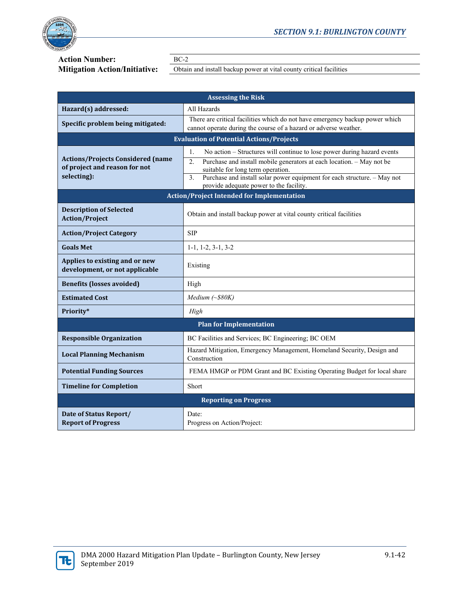

# **Action Number:** BC-2<br>**Mitigation Action/Initiative:** Distain

Obtain and install backup power at vital county critical facilities

| <b>Assessing the Risk</b>                                                                |                                                                                                                                                                                                                                                                                                                                                            |  |  |  |  |  |  |  |  |
|------------------------------------------------------------------------------------------|------------------------------------------------------------------------------------------------------------------------------------------------------------------------------------------------------------------------------------------------------------------------------------------------------------------------------------------------------------|--|--|--|--|--|--|--|--|
| Hazard(s) addressed:                                                                     | All Hazards                                                                                                                                                                                                                                                                                                                                                |  |  |  |  |  |  |  |  |
| Specific problem being mitigated:                                                        | There are critical facilities which do not have emergency backup power which<br>cannot operate during the course of a hazard or adverse weather.                                                                                                                                                                                                           |  |  |  |  |  |  |  |  |
|                                                                                          | <b>Evaluation of Potential Actions/Projects</b>                                                                                                                                                                                                                                                                                                            |  |  |  |  |  |  |  |  |
| <b>Actions/Projects Considered (name</b><br>of project and reason for not<br>selecting): | 1.<br>No action – Structures will continue to lose power during hazard events<br>Purchase and install mobile generators at each location. - May not be<br>$\overline{2}$ .<br>suitable for long term operation.<br>Purchase and install solar power equipment for each structure. - May not<br>$\overline{3}$ .<br>provide adequate power to the facility. |  |  |  |  |  |  |  |  |
|                                                                                          | <b>Action/Project Intended for Implementation</b>                                                                                                                                                                                                                                                                                                          |  |  |  |  |  |  |  |  |
| <b>Description of Selected</b><br><b>Action/Project</b>                                  | Obtain and install backup power at vital county critical facilities                                                                                                                                                                                                                                                                                        |  |  |  |  |  |  |  |  |
| <b>Action/Project Category</b>                                                           | <b>SIP</b>                                                                                                                                                                                                                                                                                                                                                 |  |  |  |  |  |  |  |  |
| <b>Goals Met</b>                                                                         | $1-1, 1-2, 3-1, 3-2$                                                                                                                                                                                                                                                                                                                                       |  |  |  |  |  |  |  |  |
| Applies to existing and or new<br>development, or not applicable                         | Existing                                                                                                                                                                                                                                                                                                                                                   |  |  |  |  |  |  |  |  |
| <b>Benefits (losses avoided)</b>                                                         | High                                                                                                                                                                                                                                                                                                                                                       |  |  |  |  |  |  |  |  |
| <b>Estimated Cost</b>                                                                    | Medium $(\sim$ \$80K)                                                                                                                                                                                                                                                                                                                                      |  |  |  |  |  |  |  |  |
| Priority*                                                                                | High                                                                                                                                                                                                                                                                                                                                                       |  |  |  |  |  |  |  |  |
|                                                                                          | <b>Plan for Implementation</b>                                                                                                                                                                                                                                                                                                                             |  |  |  |  |  |  |  |  |
| <b>Responsible Organization</b>                                                          | BC Facilities and Services; BC Engineering; BC OEM                                                                                                                                                                                                                                                                                                         |  |  |  |  |  |  |  |  |
| <b>Local Planning Mechanism</b>                                                          | Hazard Mitigation, Emergency Management, Homeland Security, Design and<br>Construction                                                                                                                                                                                                                                                                     |  |  |  |  |  |  |  |  |
| <b>Potential Funding Sources</b>                                                         | FEMA HMGP or PDM Grant and BC Existing Operating Budget for local share                                                                                                                                                                                                                                                                                    |  |  |  |  |  |  |  |  |
| <b>Timeline for Completion</b>                                                           | Short                                                                                                                                                                                                                                                                                                                                                      |  |  |  |  |  |  |  |  |
|                                                                                          | <b>Reporting on Progress</b>                                                                                                                                                                                                                                                                                                                               |  |  |  |  |  |  |  |  |
| Date of Status Report/<br><b>Report of Progress</b>                                      | Date:<br>Progress on Action/Project:                                                                                                                                                                                                                                                                                                                       |  |  |  |  |  |  |  |  |

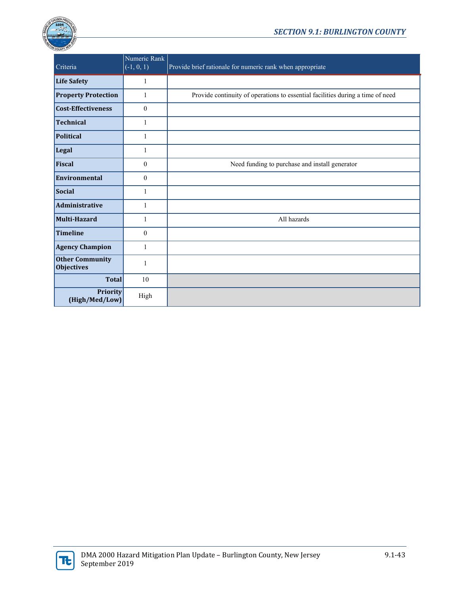

| Criteria                                    | Numeric Rank<br>$(-1, 0, 1)$ | Provide brief rationale for numeric rank when appropriate                      |
|---------------------------------------------|------------------------------|--------------------------------------------------------------------------------|
| <b>Life Safety</b>                          | $\mathbf{1}$                 |                                                                                |
| <b>Property Protection</b>                  | 1                            | Provide continuity of operations to essential facilities during a time of need |
| <b>Cost-Effectiveness</b>                   | $\mathbf{0}$                 |                                                                                |
| <b>Technical</b>                            | 1                            |                                                                                |
| <b>Political</b>                            | 1                            |                                                                                |
| Legal                                       | 1                            |                                                                                |
| Fiscal                                      | $\mathbf{0}$                 | Need funding to purchase and install generator                                 |
| <b>Environmental</b>                        | $\mathbf{0}$                 |                                                                                |
| Social                                      | $\mathbf{1}$                 |                                                                                |
| <b>Administrative</b>                       | 1                            |                                                                                |
| <b>Multi-Hazard</b>                         | 1                            | All hazards                                                                    |
| <b>Timeline</b>                             | $\theta$                     |                                                                                |
| <b>Agency Champion</b>                      | 1                            |                                                                                |
| <b>Other Community</b><br><b>Objectives</b> | 1                            |                                                                                |
| <b>Total</b>                                | 10                           |                                                                                |
| <b>Priority</b><br>(High/Med/Low)           | High                         |                                                                                |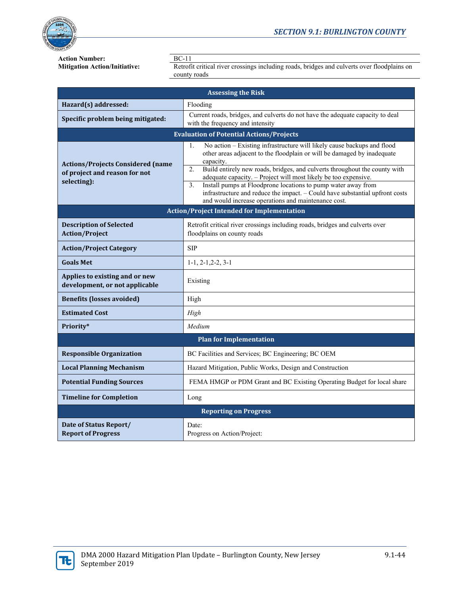

### *SECTION 9.1: BURLINGTON COUNTY*

**Action Number:**<br>**Mitigation Action/Initiative:** Retrofi

Retrofit critical river crossings including roads, bridges and culverts over floodplains on county roads

| <b>Assessing the Risk</b>                                                                |                                                                                                                                                                                                                                                                                                                                                                                                                                                                                                                                            |  |  |  |  |  |  |  |  |
|------------------------------------------------------------------------------------------|--------------------------------------------------------------------------------------------------------------------------------------------------------------------------------------------------------------------------------------------------------------------------------------------------------------------------------------------------------------------------------------------------------------------------------------------------------------------------------------------------------------------------------------------|--|--|--|--|--|--|--|--|
| Hazard(s) addressed:                                                                     | Flooding                                                                                                                                                                                                                                                                                                                                                                                                                                                                                                                                   |  |  |  |  |  |  |  |  |
| Specific problem being mitigated:                                                        | Current roads, bridges, and culverts do not have the adequate capacity to deal<br>with the frequency and intensity                                                                                                                                                                                                                                                                                                                                                                                                                         |  |  |  |  |  |  |  |  |
| <b>Evaluation of Potential Actions/Projects</b>                                          |                                                                                                                                                                                                                                                                                                                                                                                                                                                                                                                                            |  |  |  |  |  |  |  |  |
| <b>Actions/Projects Considered (name</b><br>of project and reason for not<br>selecting): | No action - Existing infrastructure will likely cause backups and flood<br>1.<br>other areas adjacent to the floodplain or will be damaged by inadequate<br>capacity.<br>Build entirely new roads, bridges, and culverts throughout the county with<br>2.<br>adequate capacity. - Project will most likely be too expensive.<br>Install pumps at Floodprone locations to pump water away from<br>3.<br>infrastructure and reduce the impact. - Could have substantial upfront costs<br>and would increase operations and maintenance cost. |  |  |  |  |  |  |  |  |
|                                                                                          | <b>Action/Project Intended for Implementation</b>                                                                                                                                                                                                                                                                                                                                                                                                                                                                                          |  |  |  |  |  |  |  |  |
| <b>Description of Selected</b><br><b>Action/Project</b>                                  | Retrofit critical river crossings including roads, bridges and culverts over<br>floodplains on county roads                                                                                                                                                                                                                                                                                                                                                                                                                                |  |  |  |  |  |  |  |  |
| <b>Action/Project Category</b>                                                           | <b>SIP</b>                                                                                                                                                                                                                                                                                                                                                                                                                                                                                                                                 |  |  |  |  |  |  |  |  |
| <b>Goals Met</b>                                                                         | $1-1, 2-1, 2-2, 3-1$                                                                                                                                                                                                                                                                                                                                                                                                                                                                                                                       |  |  |  |  |  |  |  |  |
| Applies to existing and or new<br>development, or not applicable                         | Existing                                                                                                                                                                                                                                                                                                                                                                                                                                                                                                                                   |  |  |  |  |  |  |  |  |
| <b>Benefits (losses avoided)</b>                                                         | High                                                                                                                                                                                                                                                                                                                                                                                                                                                                                                                                       |  |  |  |  |  |  |  |  |
| <b>Estimated Cost</b>                                                                    | High                                                                                                                                                                                                                                                                                                                                                                                                                                                                                                                                       |  |  |  |  |  |  |  |  |
| Priority*                                                                                | Medium                                                                                                                                                                                                                                                                                                                                                                                                                                                                                                                                     |  |  |  |  |  |  |  |  |
|                                                                                          | <b>Plan for Implementation</b>                                                                                                                                                                                                                                                                                                                                                                                                                                                                                                             |  |  |  |  |  |  |  |  |
| <b>Responsible Organization</b>                                                          | BC Facilities and Services; BC Engineering; BC OEM                                                                                                                                                                                                                                                                                                                                                                                                                                                                                         |  |  |  |  |  |  |  |  |
| <b>Local Planning Mechanism</b>                                                          | Hazard Mitigation, Public Works, Design and Construction                                                                                                                                                                                                                                                                                                                                                                                                                                                                                   |  |  |  |  |  |  |  |  |
| <b>Potential Funding Sources</b>                                                         | FEMA HMGP or PDM Grant and BC Existing Operating Budget for local share                                                                                                                                                                                                                                                                                                                                                                                                                                                                    |  |  |  |  |  |  |  |  |
| <b>Timeline for Completion</b>                                                           | Long                                                                                                                                                                                                                                                                                                                                                                                                                                                                                                                                       |  |  |  |  |  |  |  |  |
|                                                                                          | <b>Reporting on Progress</b>                                                                                                                                                                                                                                                                                                                                                                                                                                                                                                               |  |  |  |  |  |  |  |  |
| Date of Status Report/<br><b>Report of Progress</b>                                      | Date:<br>Progress on Action/Project:                                                                                                                                                                                                                                                                                                                                                                                                                                                                                                       |  |  |  |  |  |  |  |  |

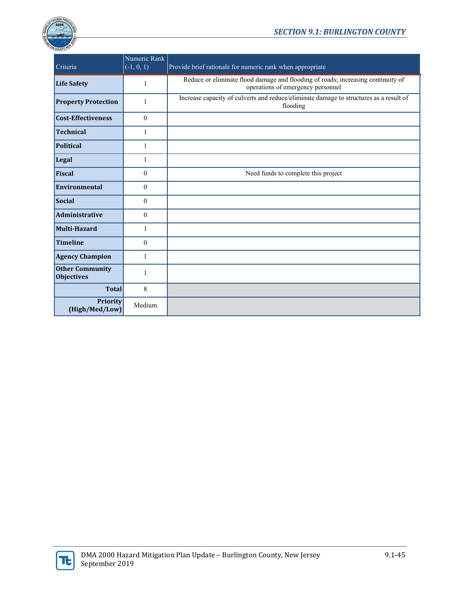

# *SECTION 9.1: BURLINGTON COUNTY*

| Criteria                                    | Numeric Rank<br>$\overline{(-1, 0, 1)}$ | Provide brief rationale for numeric rank when appropriate                                                             |
|---------------------------------------------|-----------------------------------------|-----------------------------------------------------------------------------------------------------------------------|
| <b>Life Safety</b>                          | 1                                       | Reduce or eliminate flood damage and flooding of roads; increasing continuity of<br>operations of emergency personnel |
| <b>Property Protection</b>                  | 1                                       | Increase capacity of culverts and reduce/eliminate damage to structures as a result of<br>flooding                    |
| <b>Cost-Effectiveness</b>                   | $\mathbf{0}$                            |                                                                                                                       |
| <b>Technical</b>                            | 1                                       |                                                                                                                       |
| <b>Political</b>                            | 1                                       |                                                                                                                       |
| Legal                                       | 1                                       |                                                                                                                       |
| Fiscal                                      | $\mathbf{0}$                            | Need funds to complete this project                                                                                   |
| Environmental                               | $\mathbf{0}$                            |                                                                                                                       |
| <b>Social</b>                               | $\theta$                                |                                                                                                                       |
| Administrative                              | $\mathbf{0}$                            |                                                                                                                       |
| Multi-Hazard                                | 1                                       |                                                                                                                       |
| <b>Timeline</b>                             | $\mathbf{0}$                            |                                                                                                                       |
| <b>Agency Champion</b>                      | 1                                       |                                                                                                                       |
| <b>Other Community</b><br><b>Objectives</b> | $\mathbf{1}$                            |                                                                                                                       |
| <b>Total</b>                                | 8                                       |                                                                                                                       |
| Priority<br>(High/Med/Low)                  | Medium                                  |                                                                                                                       |

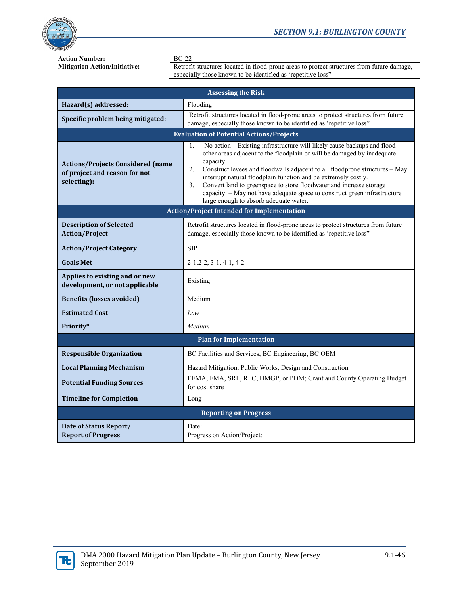

**Action Number:**<br>**Mitigation Action/Initiative:** Retrofi

Retrofit structures located in flood-prone areas to protect structures from future damage, especially those known to be identified as 'repetitive loss"

| <b>Assessing the Risk</b>                                                                |                                                                                                                                                                                                                                                                                                                                                                                                                                                                                                                                                |  |  |  |  |  |  |  |  |
|------------------------------------------------------------------------------------------|------------------------------------------------------------------------------------------------------------------------------------------------------------------------------------------------------------------------------------------------------------------------------------------------------------------------------------------------------------------------------------------------------------------------------------------------------------------------------------------------------------------------------------------------|--|--|--|--|--|--|--|--|
| Hazard(s) addressed:                                                                     | Flooding                                                                                                                                                                                                                                                                                                                                                                                                                                                                                                                                       |  |  |  |  |  |  |  |  |
| Specific problem being mitigated:                                                        | Retrofit structures located in flood-prone areas to protect structures from future<br>damage, especially those known to be identified as 'repetitive loss"                                                                                                                                                                                                                                                                                                                                                                                     |  |  |  |  |  |  |  |  |
| <b>Evaluation of Potential Actions/Projects</b>                                          |                                                                                                                                                                                                                                                                                                                                                                                                                                                                                                                                                |  |  |  |  |  |  |  |  |
| <b>Actions/Projects Considered (name</b><br>of project and reason for not<br>selecting): | No action - Existing infrastructure will likely cause backups and flood<br>1.<br>other areas adjacent to the floodplain or will be damaged by inadequate<br>capacity.<br>2.<br>Construct levees and floodwalls adjacent to all floodprone structures - May<br>interrupt natural floodplain function and be extremely costly.<br>Convert land to greenspace to store floodwater and increase storage<br>$\overline{3}$ .<br>capacity. - May not have adequate space to construct green infrastructure<br>large enough to absorb adequate water. |  |  |  |  |  |  |  |  |
| <b>Action/Project Intended for Implementation</b>                                        |                                                                                                                                                                                                                                                                                                                                                                                                                                                                                                                                                |  |  |  |  |  |  |  |  |
| <b>Description of Selected</b><br><b>Action/Project</b>                                  | Retrofit structures located in flood-prone areas to protect structures from future<br>damage, especially those known to be identified as 'repetitive loss"                                                                                                                                                                                                                                                                                                                                                                                     |  |  |  |  |  |  |  |  |
| <b>Action/Project Category</b>                                                           | <b>SIP</b>                                                                                                                                                                                                                                                                                                                                                                                                                                                                                                                                     |  |  |  |  |  |  |  |  |
| <b>Goals Met</b>                                                                         | $2-1, 2-2, 3-1, 4-1, 4-2$                                                                                                                                                                                                                                                                                                                                                                                                                                                                                                                      |  |  |  |  |  |  |  |  |
| Applies to existing and or new<br>development, or not applicable                         | Existing                                                                                                                                                                                                                                                                                                                                                                                                                                                                                                                                       |  |  |  |  |  |  |  |  |
| <b>Benefits (losses avoided)</b>                                                         | Medium                                                                                                                                                                                                                                                                                                                                                                                                                                                                                                                                         |  |  |  |  |  |  |  |  |
| <b>Estimated Cost</b>                                                                    | Low                                                                                                                                                                                                                                                                                                                                                                                                                                                                                                                                            |  |  |  |  |  |  |  |  |
| Priority*                                                                                | Medium                                                                                                                                                                                                                                                                                                                                                                                                                                                                                                                                         |  |  |  |  |  |  |  |  |
|                                                                                          | <b>Plan for Implementation</b>                                                                                                                                                                                                                                                                                                                                                                                                                                                                                                                 |  |  |  |  |  |  |  |  |
| <b>Responsible Organization</b>                                                          | BC Facilities and Services; BC Engineering; BC OEM                                                                                                                                                                                                                                                                                                                                                                                                                                                                                             |  |  |  |  |  |  |  |  |
| <b>Local Planning Mechanism</b>                                                          | Hazard Mitigation, Public Works, Design and Construction                                                                                                                                                                                                                                                                                                                                                                                                                                                                                       |  |  |  |  |  |  |  |  |
| <b>Potential Funding Sources</b>                                                         | FEMA, FMA, SRL, RFC, HMGP, or PDM; Grant and County Operating Budget<br>for cost share                                                                                                                                                                                                                                                                                                                                                                                                                                                         |  |  |  |  |  |  |  |  |
| <b>Timeline for Completion</b>                                                           | Long                                                                                                                                                                                                                                                                                                                                                                                                                                                                                                                                           |  |  |  |  |  |  |  |  |
|                                                                                          | <b>Reporting on Progress</b>                                                                                                                                                                                                                                                                                                                                                                                                                                                                                                                   |  |  |  |  |  |  |  |  |
| Date of Status Report/<br><b>Report of Progress</b>                                      | Date:<br>Progress on Action/Project:                                                                                                                                                                                                                                                                                                                                                                                                                                                                                                           |  |  |  |  |  |  |  |  |

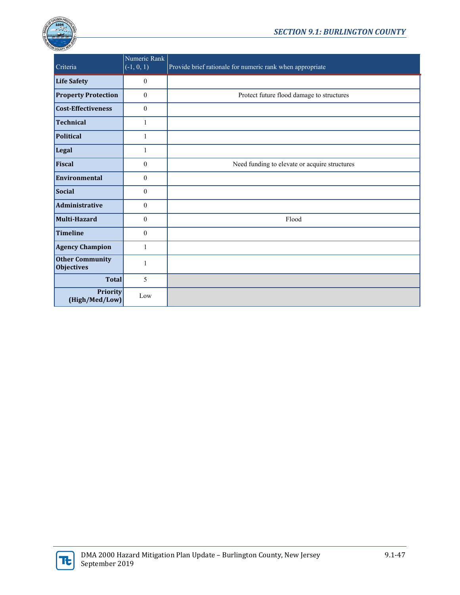

| Criteria                                    | Numeric Rank<br>$(-1, 0, 1)$ | Provide brief rationale for numeric rank when appropriate |
|---------------------------------------------|------------------------------|-----------------------------------------------------------|
| <b>Life Safety</b>                          | $\boldsymbol{0}$             |                                                           |
| <b>Property Protection</b>                  | $\mathbf{0}$                 | Protect future flood damage to structures                 |
| Cost-Effectiveness                          | $\boldsymbol{0}$             |                                                           |
| <b>Technical</b>                            | 1                            |                                                           |
| <b>Political</b>                            | $\mathbf{1}$                 |                                                           |
| Legal                                       | $\mathbf{1}$                 |                                                           |
| Fiscal                                      | $\mathbf{0}$                 | Need funding to elevate or acquire structures             |
| <b>Environmental</b>                        | $\mathbf{0}$                 |                                                           |
| Social                                      | $\mathbf{0}$                 |                                                           |
| Administrative                              | $\mathbf{0}$                 |                                                           |
| Multi-Hazard                                | $\mathbf{0}$                 | Flood                                                     |
| <b>Timeline</b>                             | $\theta$                     |                                                           |
| <b>Agency Champion</b>                      | $\mathbf{1}$                 |                                                           |
| <b>Other Community</b><br><b>Objectives</b> | 1                            |                                                           |
| <b>Total</b>                                | 5                            |                                                           |
| Priority<br>(High/Med/Low)                  | Low                          |                                                           |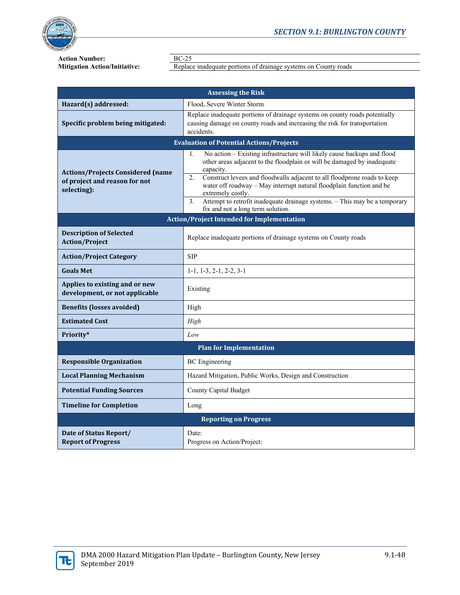

**Action Number:**<br>**Mitigation Action/Initiative:** Replac

Replace inadequate portions of drainage systems on County roads

| <b>Assessing the Risk</b>                                                                |                                                                                                                                                                                                                                                                                                                                                                                                                                                                               |  |  |
|------------------------------------------------------------------------------------------|-------------------------------------------------------------------------------------------------------------------------------------------------------------------------------------------------------------------------------------------------------------------------------------------------------------------------------------------------------------------------------------------------------------------------------------------------------------------------------|--|--|
| Hazard(s) addressed:                                                                     | Flood, Severe Winter Storm                                                                                                                                                                                                                                                                                                                                                                                                                                                    |  |  |
| Specific problem being mitigated:                                                        | Replace inadequate portions of drainage systems on county roads potentially<br>causing damage on county roads and increasing the risk for transportation<br>accidents.                                                                                                                                                                                                                                                                                                        |  |  |
|                                                                                          | <b>Evaluation of Potential Actions/Projects</b>                                                                                                                                                                                                                                                                                                                                                                                                                               |  |  |
| <b>Actions/Projects Considered (name</b><br>of project and reason for not<br>selecting): | No action - Existing infrastructure will likely cause backups and flood<br>1.<br>other areas adjacent to the floodplain or will be damaged by inadequate<br>capacity.<br>Construct levees and floodwalls adjacent to all floodprone roads to keep<br>2.<br>water off roadway - May interrupt natural floodplain function and be<br>extremely costly.<br>Attempt to retrofit inadequate drainage systems. - This may be a temporary<br>3.<br>fix and not a long term solution. |  |  |
| <b>Action/Project Intended for Implementation</b>                                        |                                                                                                                                                                                                                                                                                                                                                                                                                                                                               |  |  |
| <b>Description of Selected</b><br><b>Action/Project</b>                                  | Replace inadequate portions of drainage systems on County roads                                                                                                                                                                                                                                                                                                                                                                                                               |  |  |
| <b>Action/Project Category</b>                                                           | <b>SIP</b>                                                                                                                                                                                                                                                                                                                                                                                                                                                                    |  |  |
| <b>Goals Met</b>                                                                         | $1-1, 1-3, 2-1, 2-2, 3-1$                                                                                                                                                                                                                                                                                                                                                                                                                                                     |  |  |
| Applies to existing and or new<br>development, or not applicable                         | Existing                                                                                                                                                                                                                                                                                                                                                                                                                                                                      |  |  |
| <b>Benefits (losses avoided)</b>                                                         | High                                                                                                                                                                                                                                                                                                                                                                                                                                                                          |  |  |
| <b>Estimated Cost</b>                                                                    | High                                                                                                                                                                                                                                                                                                                                                                                                                                                                          |  |  |
| Priority*                                                                                | Low                                                                                                                                                                                                                                                                                                                                                                                                                                                                           |  |  |
| <b>Plan for Implementation</b>                                                           |                                                                                                                                                                                                                                                                                                                                                                                                                                                                               |  |  |
| <b>Responsible Organization</b>                                                          | <b>BC</b> Engineering                                                                                                                                                                                                                                                                                                                                                                                                                                                         |  |  |
| <b>Local Planning Mechanism</b>                                                          | Hazard Mitigation, Public Works, Design and Construction                                                                                                                                                                                                                                                                                                                                                                                                                      |  |  |
| <b>Potential Funding Sources</b>                                                         | County Capital Budget                                                                                                                                                                                                                                                                                                                                                                                                                                                         |  |  |
| <b>Timeline for Completion</b>                                                           | Long                                                                                                                                                                                                                                                                                                                                                                                                                                                                          |  |  |
| <b>Reporting on Progress</b>                                                             |                                                                                                                                                                                                                                                                                                                                                                                                                                                                               |  |  |
| Date of Status Report/<br><b>Report of Progress</b>                                      | Date:<br>Progress on Action/Project:                                                                                                                                                                                                                                                                                                                                                                                                                                          |  |  |

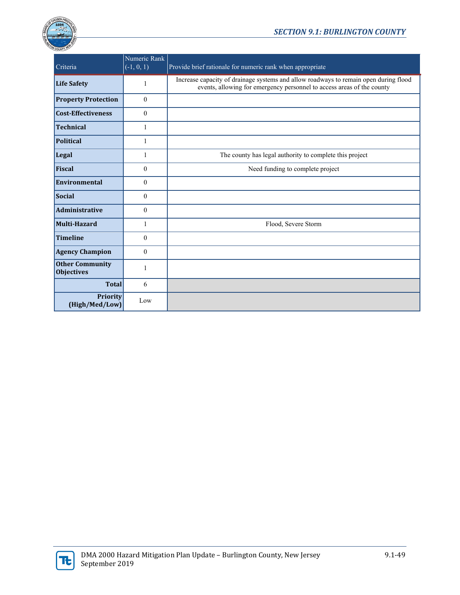

| Criteria                                    | Numeric Rank<br>$(-1, 0, 1)$ | Provide brief rationale for numeric rank when appropriate                                                                                                      |
|---------------------------------------------|------------------------------|----------------------------------------------------------------------------------------------------------------------------------------------------------------|
| <b>Life Safety</b>                          | 1                            | Increase capacity of drainage systems and allow roadways to remain open during flood<br>events, allowing for emergency personnel to access areas of the county |
| <b>Property Protection</b>                  | $\mathbf{0}$                 |                                                                                                                                                                |
| <b>Cost-Effectiveness</b>                   | $\theta$                     |                                                                                                                                                                |
| Technical                                   | 1                            |                                                                                                                                                                |
| <b>Political</b>                            | 1                            |                                                                                                                                                                |
| Legal                                       | 1                            | The county has legal authority to complete this project                                                                                                        |
| Fiscal                                      | $\mathbf{0}$                 | Need funding to complete project                                                                                                                               |
| Environmental                               | $\mathbf{0}$                 |                                                                                                                                                                |
| Social                                      | $\mathbf{0}$                 |                                                                                                                                                                |
| Administrative                              | $\mathbf{0}$                 |                                                                                                                                                                |
| Multi-Hazard                                | 1                            | Flood, Severe Storm                                                                                                                                            |
| Timeline                                    | $\mathbf{0}$                 |                                                                                                                                                                |
| <b>Agency Champion</b>                      | $\mathbf{0}$                 |                                                                                                                                                                |
| <b>Other Community</b><br><b>Objectives</b> | 1                            |                                                                                                                                                                |
| <b>Total</b>                                | 6                            |                                                                                                                                                                |
| <b>Priority</b><br>(High/Med/Low)           | Low                          |                                                                                                                                                                |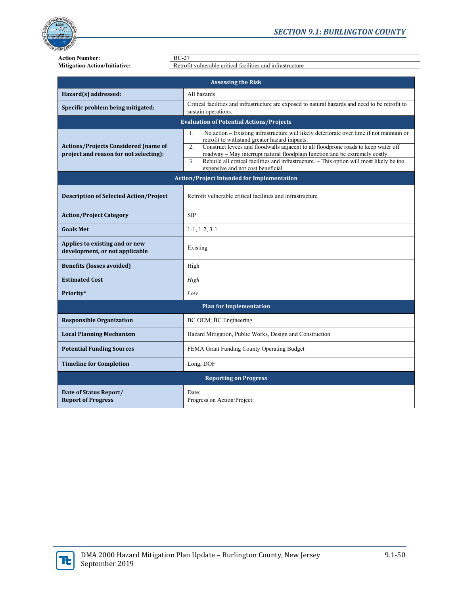

**Action Number:**<br>**Mitigation Action/Initiative:** BC-27<br>Retrofi

**Mitigation Action/Initiative:** Retrofit vulnerable critical facilities and infrastructure

| <b>Assessing the Risk</b>                                                             |                                                                                                                                                                                                                                                                                                                                                                                                                                                                                   |  |  |
|---------------------------------------------------------------------------------------|-----------------------------------------------------------------------------------------------------------------------------------------------------------------------------------------------------------------------------------------------------------------------------------------------------------------------------------------------------------------------------------------------------------------------------------------------------------------------------------|--|--|
| Hazard(s) addressed:                                                                  | All hazards                                                                                                                                                                                                                                                                                                                                                                                                                                                                       |  |  |
| Specific problem being mitigated:                                                     | Critical facilities and infrastructure are exposed to natural hazards and need to be retrofit to<br>sustain operations.                                                                                                                                                                                                                                                                                                                                                           |  |  |
| <b>Evaluation of Potential Actions/Projects</b>                                       |                                                                                                                                                                                                                                                                                                                                                                                                                                                                                   |  |  |
| <b>Actions/Projects Considered (name of</b><br>project and reason for not selecting): | No action - Existing infrastructure will likely deteriorate over time if not maintain or<br>1.<br>retrofit to withstand greater hazard impacts.<br>Construct levees and floodwalls adjacent to all floodprone roads to keep water off<br>2.<br>roadway - May interrupt natural floodplain function and be extremely costly.<br>$\overline{3}$ .<br>Rebuild all critical facilities and infrastructure. - This option will most likely be too<br>expensive and not cost beneficial |  |  |
| <b>Action/Project Intended for Implementation</b>                                     |                                                                                                                                                                                                                                                                                                                                                                                                                                                                                   |  |  |
| <b>Description of Selected Action/Project</b>                                         | Retrofit vulnerable critical facilities and infrastructure                                                                                                                                                                                                                                                                                                                                                                                                                        |  |  |
| <b>Action/Project Category</b>                                                        | <b>SIP</b>                                                                                                                                                                                                                                                                                                                                                                                                                                                                        |  |  |
| <b>Goals Met</b>                                                                      | $1-1, 1-2, 3-1$                                                                                                                                                                                                                                                                                                                                                                                                                                                                   |  |  |
| Applies to existing and or new<br>development, or not applicable                      | Existing                                                                                                                                                                                                                                                                                                                                                                                                                                                                          |  |  |
| <b>Benefits (losses avoided)</b>                                                      | High                                                                                                                                                                                                                                                                                                                                                                                                                                                                              |  |  |
| <b>Estimated Cost</b>                                                                 | High                                                                                                                                                                                                                                                                                                                                                                                                                                                                              |  |  |
| Priority*                                                                             | Low                                                                                                                                                                                                                                                                                                                                                                                                                                                                               |  |  |
| <b>Plan for Implementation</b>                                                        |                                                                                                                                                                                                                                                                                                                                                                                                                                                                                   |  |  |
| <b>Responsible Organization</b>                                                       | BC OEM; BC Engineering                                                                                                                                                                                                                                                                                                                                                                                                                                                            |  |  |
| <b>Local Planning Mechanism</b>                                                       | Hazard Mitigation, Public Works, Design and Construction                                                                                                                                                                                                                                                                                                                                                                                                                          |  |  |
| <b>Potential Funding Sources</b>                                                      | FEMA Grant Funding County Operating Budget                                                                                                                                                                                                                                                                                                                                                                                                                                        |  |  |
| <b>Timeline for Completion</b>                                                        | Long, DOF                                                                                                                                                                                                                                                                                                                                                                                                                                                                         |  |  |
| <b>Reporting on Progress</b>                                                          |                                                                                                                                                                                                                                                                                                                                                                                                                                                                                   |  |  |
| Date of Status Report/<br><b>Report of Progress</b>                                   | Date:<br>Progress on Action/Project:                                                                                                                                                                                                                                                                                                                                                                                                                                              |  |  |